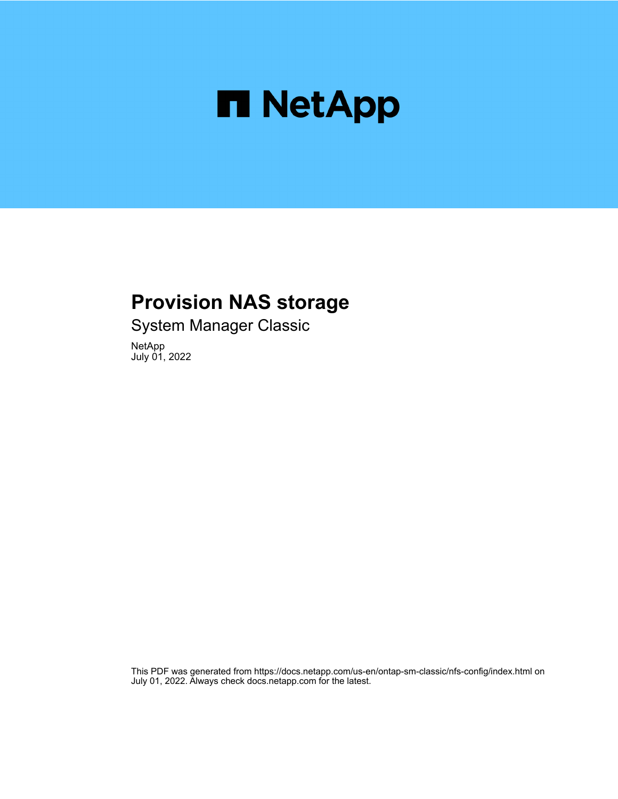

## **Provision NAS storage**

System Manager Classic

NetApp July 01, 2022

This PDF was generated from https://docs.netapp.com/us-en/ontap-sm-classic/nfs-config/index.html on July 01, 2022. Always check docs.netapp.com for the latest.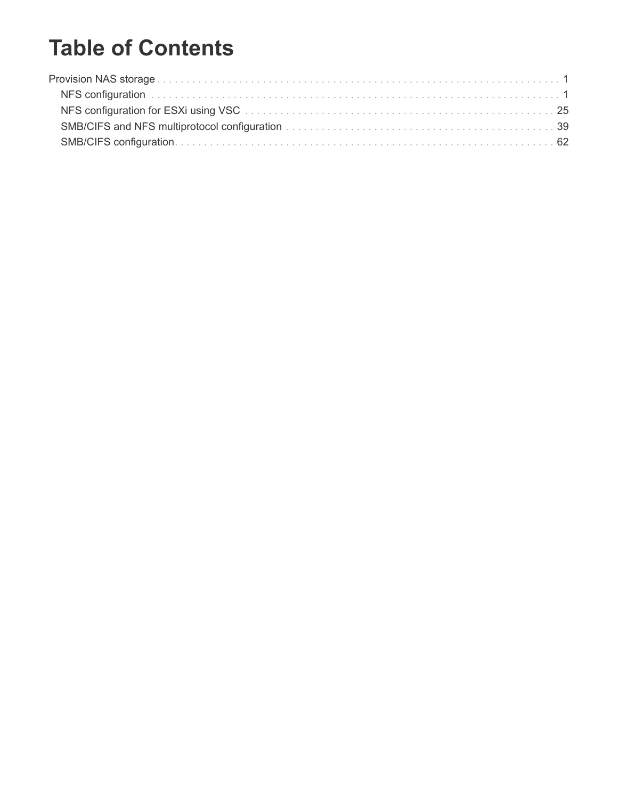# **Table of Contents**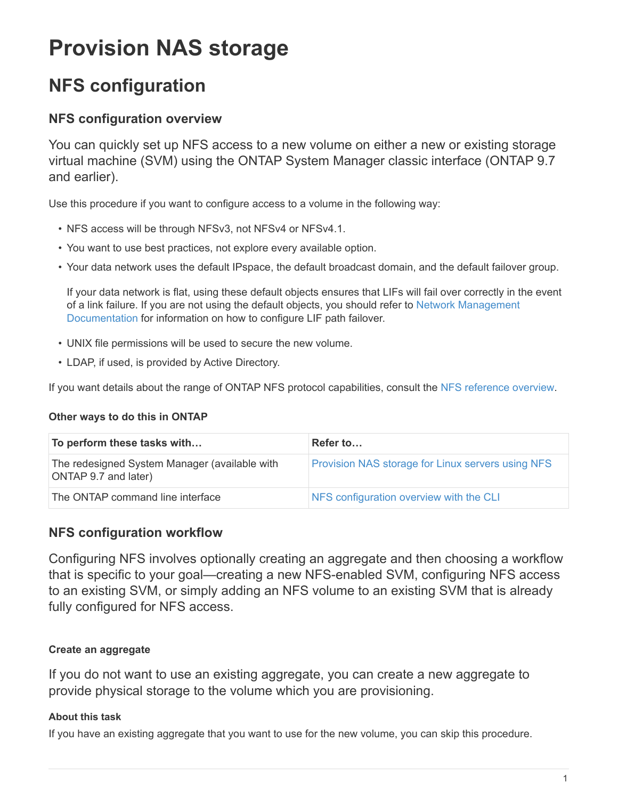# <span id="page-2-0"></span>**Provision NAS storage**

## <span id="page-2-1"></span>**NFS configuration**

## **NFS configuration overview**

You can quickly set up NFS access to a new volume on either a new or existing storage virtual machine (SVM) using the ONTAP System Manager classic interface (ONTAP 9.7 and earlier).

Use this procedure if you want to configure access to a volume in the following way:

- NFS access will be through NFSv3, not NFSv4 or NFSv4.1.
- You want to use best practices, not explore every available option.
- Your data network uses the default IPspace, the default broadcast domain, and the default failover group.

If your data network is flat, using these default objects ensures that LIFs will fail over correctly in the event of a link failure. If you are not using the default objects, you should refer to [Network Management](https://docs.netapp.com/us-en/ontap/networking/index.html) [Documentation](https://docs.netapp.com/us-en/ontap/networking/index.html) for information on how to configure LIF path failover.

- UNIX file permissions will be used to secure the new volume.
- LDAP, if used, is provided by Active Directory.

If you want details about the range of ONTAP NFS protocol capabilities, consult the [NFS reference overview](https://docs.netapp.com/us-en/ontap/nfs-admin/index.html).

#### **Other ways to do this in ONTAP**

| To perform these tasks with                                           | Refer to                                                 |
|-----------------------------------------------------------------------|----------------------------------------------------------|
| The redesigned System Manager (available with<br>ONTAP 9.7 and later) | <b>Provision NAS storage for Linux servers using NFS</b> |
| The ONTAP command line interface                                      | NFS configuration overview with the CLI                  |

## **NFS configuration workflow**

Configuring NFS involves optionally creating an aggregate and then choosing a workflow that is specific to your goal—creating a new NFS-enabled SVM, configuring NFS access to an existing SVM, or simply adding an NFS volume to an existing SVM that is already fully configured for NFS access.

## **Create an aggregate**

If you do not want to use an existing aggregate, you can create a new aggregate to provide physical storage to the volume which you are provisioning.

#### **About this task**

If you have an existing aggregate that you want to use for the new volume, you can skip this procedure.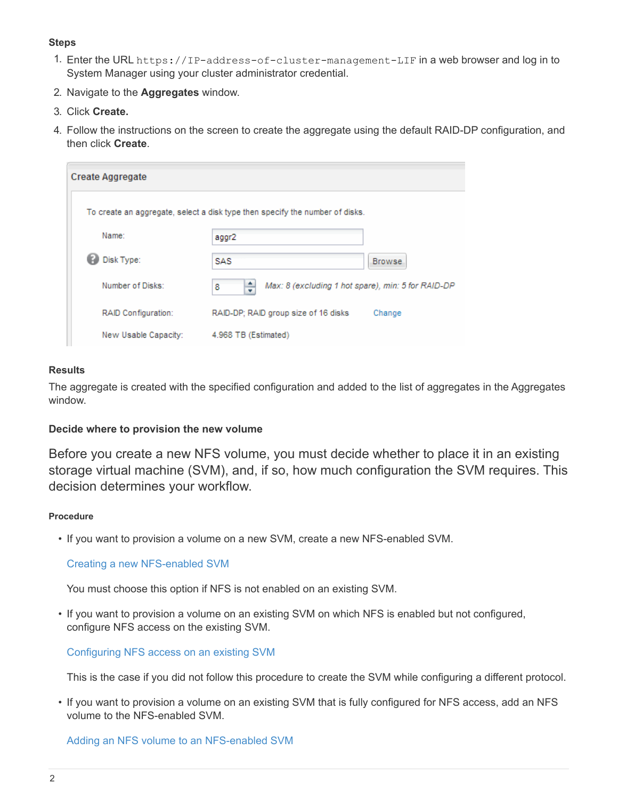#### **Steps**

- 1. Enter the URL https://IP-address-of-cluster-management-LIF in a web browser and log in to System Manager using your cluster administrator credential.
- 2. Navigate to the **Aggregates** window.
- 3. Click **Create.**
- 4. Follow the instructions on the screen to create the aggregate using the default RAID-DP configuration, and then click **Create**.

| <b>Create Aggregate</b> |                                                                              |         |
|-------------------------|------------------------------------------------------------------------------|---------|
|                         | To create an aggregate, select a disk type then specify the number of disks. |         |
| Name:                   | aggr2                                                                        |         |
| Disk Type:              | SAS                                                                          | Browse. |
| Number of Disks:        | ÷<br>Max: 8 (excluding 1 hot spare), min: 5 for RAID-DP<br>8                 |         |
| RAID Configuration:     | RAID-DP; RAID group size of 16 disks                                         | Change  |
| New Usable Capacity:    | 4.968 TB (Estimated)                                                         |         |

#### **Results**

The aggregate is created with the specified configuration and added to the list of aggregates in the Aggregates window.

#### **Decide where to provision the new volume**

Before you create a new NFS volume, you must decide whether to place it in an existing storage virtual machine (SVM), and, if so, how much configuration the SVM requires. This decision determines your workflow.

#### **Procedure**

• If you want to provision a volume on a new SVM, create a new NFS-enabled SVM.

#### [Creating a new NFS-enabled SVM](#page-4-0)

You must choose this option if NFS is not enabled on an existing SVM.

• If you want to provision a volume on an existing SVM on which NFS is enabled but not configured, configure NFS access on the existing SVM.

[Configuring NFS access on an existing SVM](#page-13-0)

This is the case if you did not follow this procedure to create the SVM while configuring a different protocol.

• If you want to provision a volume on an existing SVM that is fully configured for NFS access, add an NFS volume to the NFS-enabled SVM.

#### [Adding an NFS volume to an NFS-enabled SVM](#page-21-0)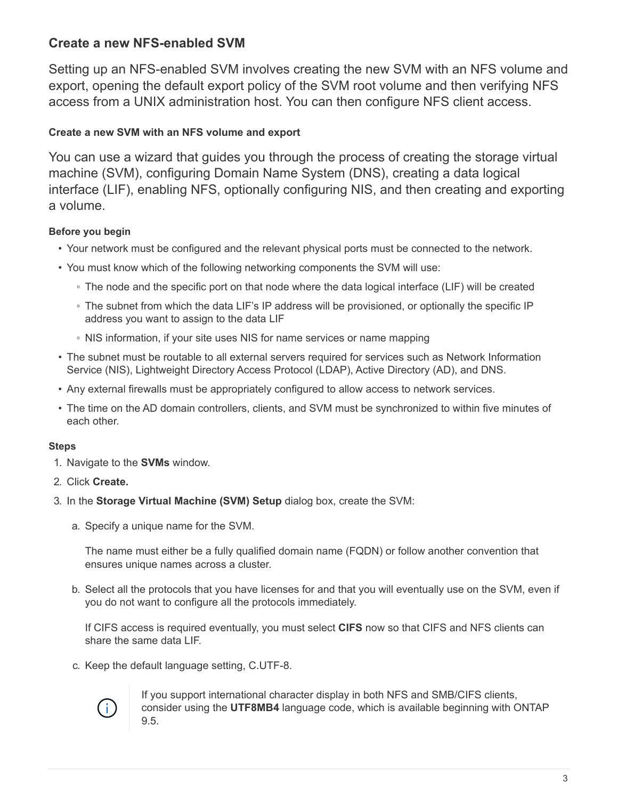## <span id="page-4-0"></span>**Create a new NFS-enabled SVM**

Setting up an NFS-enabled SVM involves creating the new SVM with an NFS volume and export, opening the default export policy of the SVM root volume and then verifying NFS access from a UNIX administration host. You can then configure NFS client access.

## **Create a new SVM with an NFS volume and export**

You can use a wizard that guides you through the process of creating the storage virtual machine (SVM), configuring Domain Name System (DNS), creating a data logical interface (LIF), enabling NFS, optionally configuring NIS, and then creating and exporting a volume.

## **Before you begin**

- Your network must be configured and the relevant physical ports must be connected to the network.
- You must know which of the following networking components the SVM will use:
	- The node and the specific port on that node where the data logical interface (LIF) will be created
	- The subnet from which the data LIF's IP address will be provisioned, or optionally the specific IP address you want to assign to the data LIF
	- NIS information, if your site uses NIS for name services or name mapping
- The subnet must be routable to all external servers required for services such as Network Information Service (NIS), Lightweight Directory Access Protocol (LDAP), Active Directory (AD), and DNS.
- Any external firewalls must be appropriately configured to allow access to network services.
- The time on the AD domain controllers, clients, and SVM must be synchronized to within five minutes of each other.

#### **Steps**

- 1. Navigate to the **SVMs** window.
- 2. Click **Create.**
- 3. In the **Storage Virtual Machine (SVM) Setup** dialog box, create the SVM:
	- a. Specify a unique name for the SVM.

The name must either be a fully qualified domain name (FQDN) or follow another convention that ensures unique names across a cluster.

b. Select all the protocols that you have licenses for and that you will eventually use on the SVM, even if you do not want to configure all the protocols immediately.

If CIFS access is required eventually, you must select **CIFS** now so that CIFS and NFS clients can share the same data LIF.

c. Keep the default language setting, C.UTF-8.



If you support international character display in both NFS and SMB/CIFS clients, consider using the **UTF8MB4** language code, which is available beginning with ONTAP 9.5.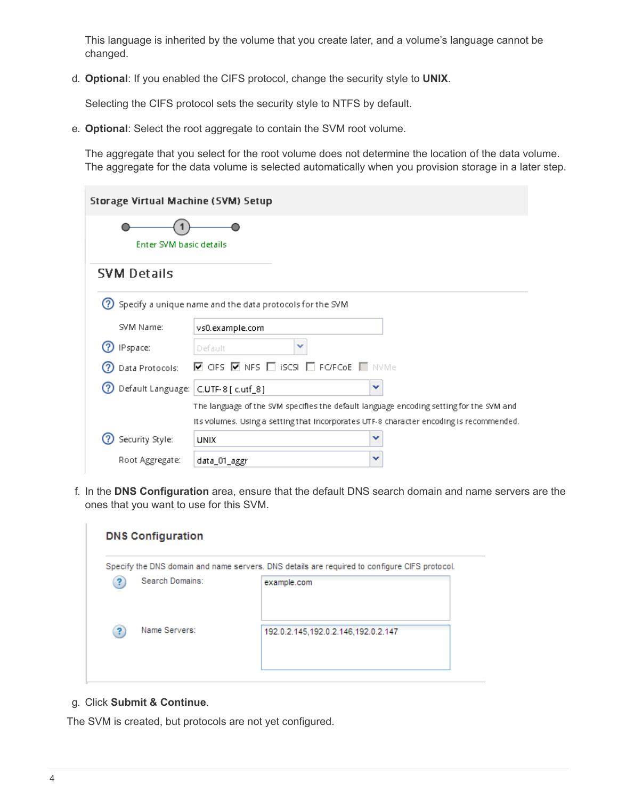This language is inherited by the volume that you create later, and a volume's language cannot be changed.

d. **Optional**: If you enabled the CIFS protocol, change the security style to **UNIX**.

Selecting the CIFS protocol sets the security style to NTFS by default.

e. **Optional**: Select the root aggregate to contain the SVM root volume.

The aggregate that you select for the root volume does not determine the location of the data volume. The aggregate for the data volume is selected automatically when you provision storage in a later step.

| Storage Virtual Machine (SVM) Setup  |                                                                                                                                                                                    |
|--------------------------------------|------------------------------------------------------------------------------------------------------------------------------------------------------------------------------------|
| Enter SVM basic details              |                                                                                                                                                                                    |
| <b>SVM Details</b>                   |                                                                                                                                                                                    |
|                                      | Specify a unique name and the data protocols for the SVM                                                                                                                           |
| SVM Name:                            | vs0.example.com                                                                                                                                                                    |
| IPspace:                             | ×<br>Default                                                                                                                                                                       |
| Data Protocols:                      | $\blacksquare$ CIFS $\blacksquare$ NFS $\Box$ iscsl $\Box$ Forficae $\blacksquare$ nivime.                                                                                         |
| Default Language: C.UTF-8 [ c.utf_8] | v                                                                                                                                                                                  |
|                                      | The language of the SVM specifies the default language encoding setting for the SVM and<br>Its volumes. Using a setting that incorporates UTF-8 character encoding is recommended. |
| Security Style:                      | ×<br><b>UNIX</b>                                                                                                                                                                   |
| Root Aggregate:                      | ×<br>data_01_aggr                                                                                                                                                                  |

f. In the **DNS Configuration** area, ensure that the default DNS search domain and name servers are the ones that you want to use for this SVM.

|                 | Specify the DNS domain and name servers. DNS details are required to configure CIFS protocol. |
|-----------------|-----------------------------------------------------------------------------------------------|
| Search Domains: | example.com                                                                                   |
| Name Servers:   | 192.0.2.145,192.0.2.146,192.0.2.147                                                           |

#### g. Click **Submit & Continue**.

The SVM is created, but protocols are not yet configured.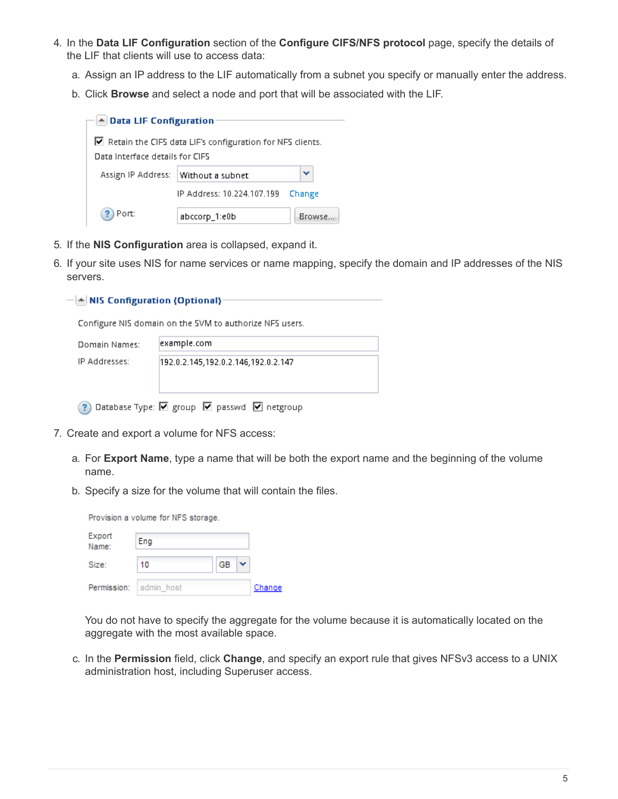- 4. In the **Data LIF Configuration** section of the **Configure CIFS/NFS protocol** page, specify the details of the LIF that clients will use to access data:
	- a. Assign an IP address to the LIF automatically from a subnet you specify or manually enter the address.
	- b. Click **Browse** and select a node and port that will be associated with the LIF.

| $\blacktriangle$ Data LIF Configuration |                                                                          |        |
|-----------------------------------------|--------------------------------------------------------------------------|--------|
|                                         |                                                                          |        |
|                                         | $\blacksquare$ Retain the CIFS data LIF's configuration for NFS clients. |        |
| Data Interface details for CIFS.        |                                                                          |        |
| Assign IP Address:                      | Without a subnet                                                         | v      |
|                                         | IP Address: 10.224.107.199                                               | Change |
| Port:                                   | abccorp_1:e0b                                                            | Browse |

- 5. If the **NIS Configuration** area is collapsed, expand it.
- 6. If your site uses NIS for name services or name mapping, specify the domain and IP addresses of the NIS servers.

|  |  | (▲ NIS Configuration (Optional) → |  |  |
|--|--|-----------------------------------|--|--|
|  |  |                                   |  |  |

Configure NIS domain on the SVM to authorize NFS users.

| Domain Names: | example.com                         |
|---------------|-------------------------------------|
| IP Addresses: | 192.0.2.145,192.0.2.146,192.0.2.147 |
|               |                                     |

? Database Type: ☑ group ☑ passwd ☑ netgroup

- 7. Create and export a volume for NFS access:
	- a. For **Export Name**, type a name that will be both the export name and the beginning of the volume name.
	- b. Specify a size for the volume that will contain the files.

|                 | Provision a volume for NFS storage. |    |        |
|-----------------|-------------------------------------|----|--------|
| Export<br>Name: | Eng                                 |    |        |
| Size:           | 10                                  | GB |        |
|                 | Permission: admin host              |    | Change |

You do not have to specify the aggregate for the volume because it is automatically located on the aggregate with the most available space.

c. In the **Permission** field, click **Change**, and specify an export rule that gives NFSv3 access to a UNIX administration host, including Superuser access.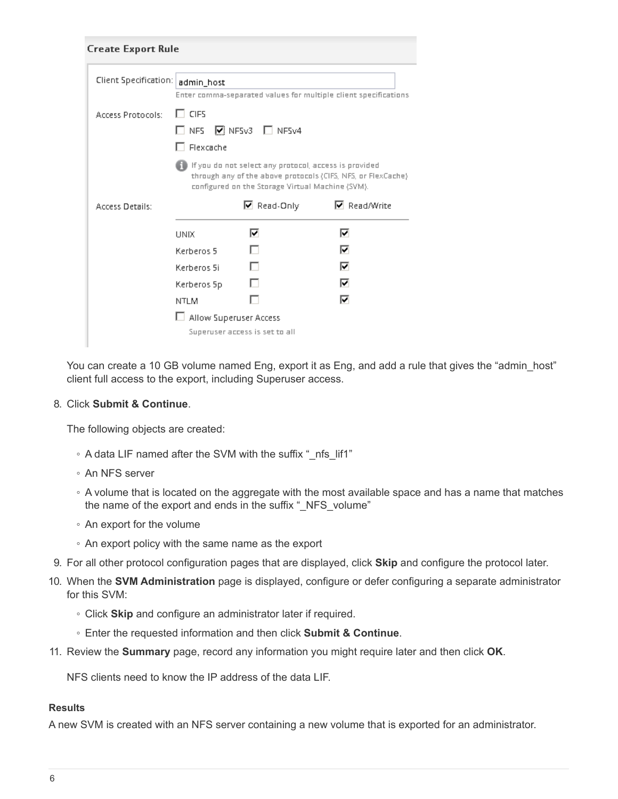| <b>Create Export Rule</b> |                                 |                                                                                                           |                                                                 |
|---------------------------|---------------------------------|-----------------------------------------------------------------------------------------------------------|-----------------------------------------------------------------|
| Client Specification:     | admin_host                      |                                                                                                           | Enter comma-separated values for multiple client specifications |
| <b>Access Protocols:</b>  | $\Box$ CIFS<br>$\Box$ Flexcache | $\square$ NFS $\square$ NFSv3 $\square$ NFSv4                                                             |                                                                 |
|                           |                                 | If you do not select any protocol, access is provided<br>configured on the Storage Virtual Machine (SVM). | through any of the above protocols (CIFS, NFS, or FlexCache).   |
|                           |                                 |                                                                                                           |                                                                 |
| <b>Access Details:</b>    |                                 | $\boxdot$ Read-Only                                                                                       | $\nabla$ Read/Write                                             |
|                           | <b>UNIX</b>                     | 罓                                                                                                         | ⊽                                                               |
|                           | Kerberos 5                      |                                                                                                           | ⊽                                                               |
|                           | Kerberos 5i                     |                                                                                                           | ⊽                                                               |
|                           | Kerberos 5p                     |                                                                                                           | ⊽                                                               |
|                           | <b>NTLM</b>                     |                                                                                                           | ⊽                                                               |
|                           | Allow Superuser Access          |                                                                                                           |                                                                 |

You can create a 10 GB volume named Eng, export it as Eng, and add a rule that gives the "admin host" client full access to the export, including Superuser access.

#### 8. Click **Submit & Continue**.

The following objects are created:

- A data LIF named after the SVM with the suffix "\_nfs\_lif1"
- An NFS server
- A volume that is located on the aggregate with the most available space and has a name that matches the name of the export and ends in the suffix " NFS volume"
- An export for the volume
- An export policy with the same name as the export
- 9. For all other protocol configuration pages that are displayed, click **Skip** and configure the protocol later.
- 10. When the **SVM Administration** page is displayed, configure or defer configuring a separate administrator for this SVM:
	- Click **Skip** and configure an administrator later if required.
	- Enter the requested information and then click **Submit & Continue**.
- 11. Review the **Summary** page, record any information you might require later and then click **OK**.

NFS clients need to know the IP address of the data LIF.

#### **Results**

A new SVM is created with an NFS server containing a new volume that is exported for an administrator.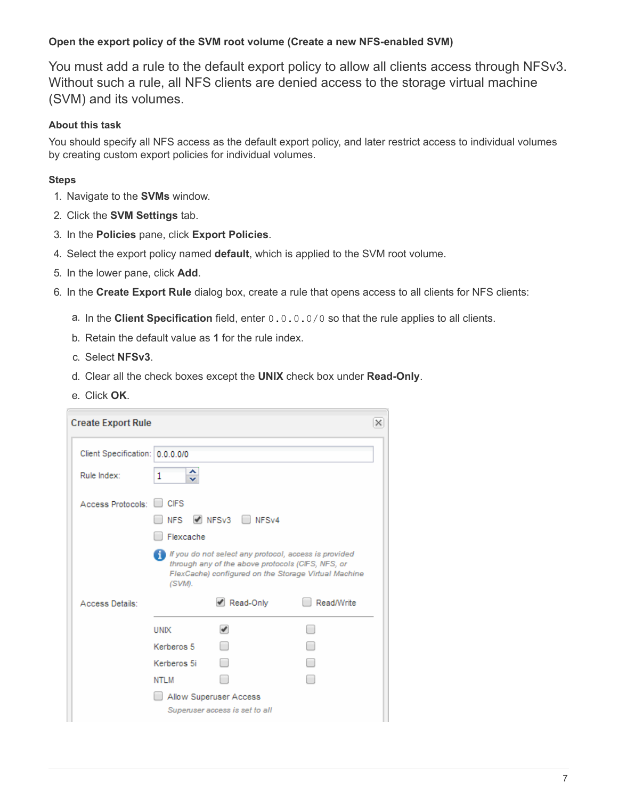### **Open the export policy of the SVM root volume (Create a new NFS-enabled SVM)**

You must add a rule to the default export policy to allow all clients access through NFSv3. Without such a rule, all NFS clients are denied access to the storage virtual machine (SVM) and its volumes.

#### **About this task**

You should specify all NFS access as the default export policy, and later restrict access to individual volumes by creating custom export policies for individual volumes.

- 1. Navigate to the **SVMs** window.
- 2. Click the **SVM Settings** tab.
- 3. In the **Policies** pane, click **Export Policies**.
- 4. Select the export policy named **default**, which is applied to the SVM root volume.
- 5. In the lower pane, click **Add**.
- 6. In the **Create Export Rule** dialog box, create a rule that opens access to all clients for NFS clients:
	- a. In the **Client Specification** field, enter 0.0.0.0/0 so that the rule applies to all clients.
	- b. Retain the default value as **1** for the rule index.
	- c. Select **NFSv3**.
	- d. Clear all the check boxes except the **UNIX** check box under **Read-Only**.
	- e. Click **OK**.

| <b>Create Export Rule</b>       |                              |                                                                                                                                                                    | ×                 |
|---------------------------------|------------------------------|--------------------------------------------------------------------------------------------------------------------------------------------------------------------|-------------------|
| Client Specification: 0.0.0.0/0 |                              |                                                                                                                                                                    |                   |
| Rule Index:                     | 1<br>$\overline{\mathbf{v}}$ |                                                                                                                                                                    |                   |
| Access Protocols:               | <b>CIFS</b>                  |                                                                                                                                                                    |                   |
|                                 | <b>NFS</b>                   | NFSv3 NFSv4                                                                                                                                                        |                   |
|                                 | Flexcache                    |                                                                                                                                                                    |                   |
|                                 | (SVM).                       | If you do not select any protocol, access is provided<br>through any of the above protocols (CIFS, NFS, or<br>FlexCache) configured on the Storage Virtual Machine |                   |
| Access Details:                 |                              | Read-Only                                                                                                                                                          | <b>Read/Write</b> |
|                                 | <b>UNIX</b>                  |                                                                                                                                                                    | m                 |
|                                 | Kerberos 5                   |                                                                                                                                                                    |                   |
|                                 | Kerberos 5i                  |                                                                                                                                                                    |                   |
|                                 | NTLM                         |                                                                                                                                                                    |                   |
|                                 |                              | Allow Superuser Access                                                                                                                                             |                   |
|                                 |                              | Superuser access is set to all                                                                                                                                     |                   |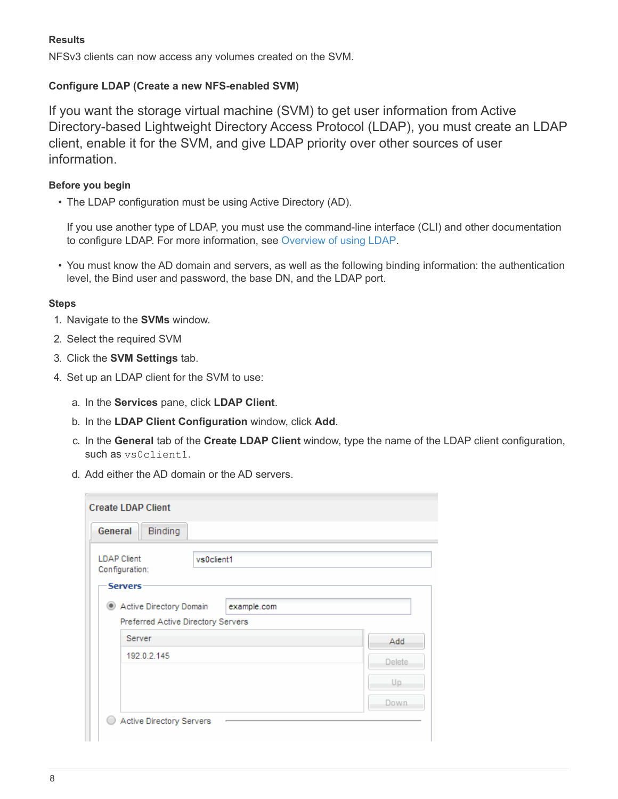#### **Results**

NFSv3 clients can now access any volumes created on the SVM.

#### **Configure LDAP (Create a new NFS-enabled SVM)**

If you want the storage virtual machine (SVM) to get user information from Active Directory-based Lightweight Directory Access Protocol (LDAP), you must create an LDAP client, enable it for the SVM, and give LDAP priority over other sources of user information.

#### **Before you begin**

• The LDAP configuration must be using Active Directory (AD).

If you use another type of LDAP, you must use the command-line interface (CLI) and other documentation to configure LDAP. For more information, see [Overview of using LDAP.](https://docs.netapp.com/us-en/ontap/nfs-config/using-ldap-concept.html)

• You must know the AD domain and servers, as well as the following binding information: the authentication level, the Bind user and password, the base DN, and the LDAP port.

- 1. Navigate to the **SVMs** window.
- 2. Select the required SVM
- 3. Click the **SVM Settings** tab.
- 4. Set up an LDAP client for the SVM to use:
	- a. In the **Services** pane, click **LDAP Client**.
	- b. In the **LDAP Client Configuration** window, click **Add**.
	- c. In the **General** tab of the **Create LDAP Client** window, type the name of the LDAP client configuration, such as vs0client1.
	- d. Add either the AD domain or the AD servers.

| General<br>Binding                                                           |         |
|------------------------------------------------------------------------------|---------|
| <b>LDAP Client</b><br>vs0client1<br>Configuration:<br><b>Servers</b>         |         |
| Active Directory Domain<br>example.com<br>Preferred Active Directory Servers |         |
| Server                                                                       | Add     |
| 192.0.2.145                                                                  | Delete. |
|                                                                              | Up.     |
|                                                                              | Down.   |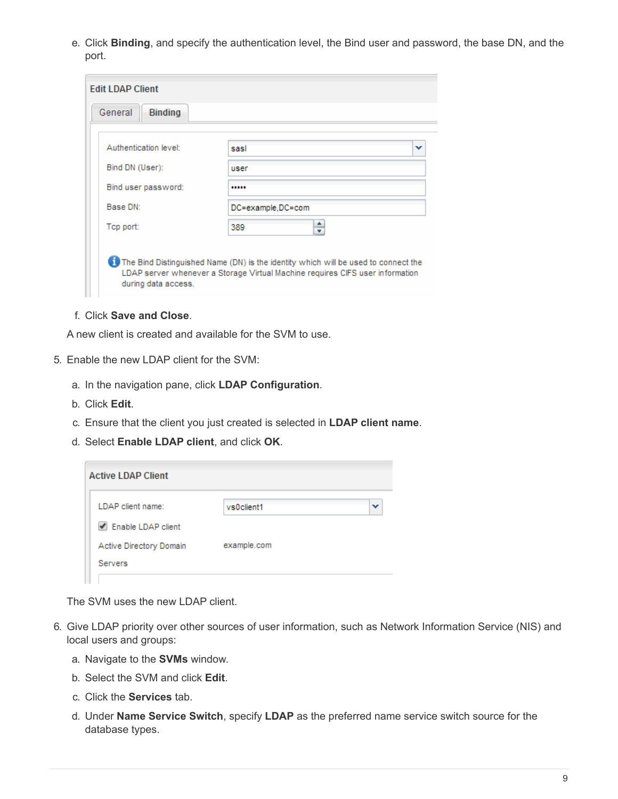e. Click **Binding**, and specify the authentication level, the Bind user and password, the base DN, and the port.

| Authentication level: | sasi              |
|-----------------------|-------------------|
| Bind DN (User):       | user              |
| Bind user password:   |                   |
| Base DN:              | DC=example,DC=com |
| Top port:             | ÷<br>389          |

f. Click **Save and Close**.

A new client is created and available for the SVM to use.

- 5. Enable the new LDAP client for the SVM:
	- a. In the navigation pane, click **LDAP Configuration**.
	- b. Click **Edit**.
	- c. Ensure that the client you just created is selected in **LDAP client name**.
	- d. Select **Enable LDAP client**, and click **OK**.

| <b>Active LDAP Client</b> |             |   |
|---------------------------|-------------|---|
| LDAP client name:         | vs0client1  | v |
| Enable LDAP client        |             |   |
| Active Directory Domain   | example.com |   |
| <b>Servers</b>            |             |   |
|                           |             |   |

The SVM uses the new LDAP client.

- 6. Give LDAP priority over other sources of user information, such as Network Information Service (NIS) and local users and groups:
	- a. Navigate to the **SVMs** window.
	- b. Select the SVM and click **Edit**.
	- c. Click the **Services** tab.
	- d. Under **Name Service Switch**, specify **LDAP** as the preferred name service switch source for the database types.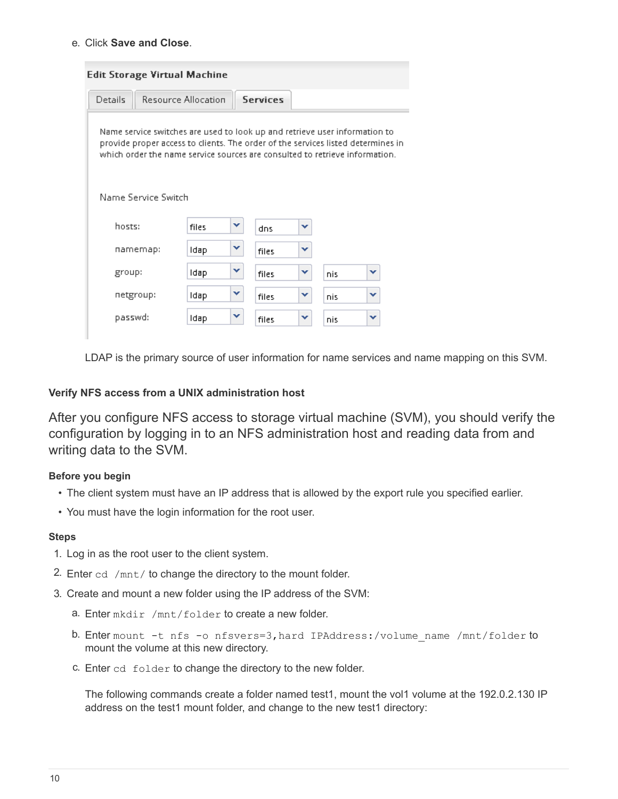#### e. Click **Save and Close**.

|         | <b>Edit Storage Virtual Machine</b>                                                                                                                                                                                                           |       |   |                 |   |     |   |
|---------|-----------------------------------------------------------------------------------------------------------------------------------------------------------------------------------------------------------------------------------------------|-------|---|-----------------|---|-----|---|
| Details | <b>Resource Allocation</b>                                                                                                                                                                                                                    |       |   | <b>Services</b> |   |     |   |
|         | Name service switches are used to look up and retrieve user information to<br>provide proper access to clients. The order of the services listed determines in<br>which order the name service sources are consulted to retrieve information. |       |   |                 |   |     |   |
|         | Name Service Switch                                                                                                                                                                                                                           |       |   |                 |   |     |   |
| hosts:  |                                                                                                                                                                                                                                               | files | v | dns             | v |     |   |
|         | namemap:                                                                                                                                                                                                                                      | Idap  | v | files           | ▾ |     |   |
| group:  |                                                                                                                                                                                                                                               | Idap  | v | files           | v | nis | v |
|         | netgroup:                                                                                                                                                                                                                                     | Idap  | v | files           | v | nis | v |
| passwd: |                                                                                                                                                                                                                                               | Idap  | v | files           | v | nis | v |

LDAP is the primary source of user information for name services and name mapping on this SVM.

#### <span id="page-11-0"></span>**Verify NFS access from a UNIX administration host**

After you configure NFS access to storage virtual machine (SVM), you should verify the configuration by logging in to an NFS administration host and reading data from and writing data to the SVM.

#### **Before you begin**

- The client system must have an IP address that is allowed by the export rule you specified earlier.
- You must have the login information for the root user.

## **Steps**

- 1. Log in as the root user to the client system.
- 2. Enter  $cd$  /mnt/ to change the directory to the mount folder.
- 3. Create and mount a new folder using the IP address of the SVM:
	- a. Enter mkdir /mnt/folder to create a new folder.
	- b. Enter mount -t nfs -o nfsvers=3, hard IPAddress:/volume\_name /mnt/folder to mount the volume at this new directory.
	- c. Enter cd folder to change the directory to the new folder.

The following commands create a folder named test1, mount the vol1 volume at the 192.0.2.130 IP address on the test1 mount folder, and change to the new test1 directory: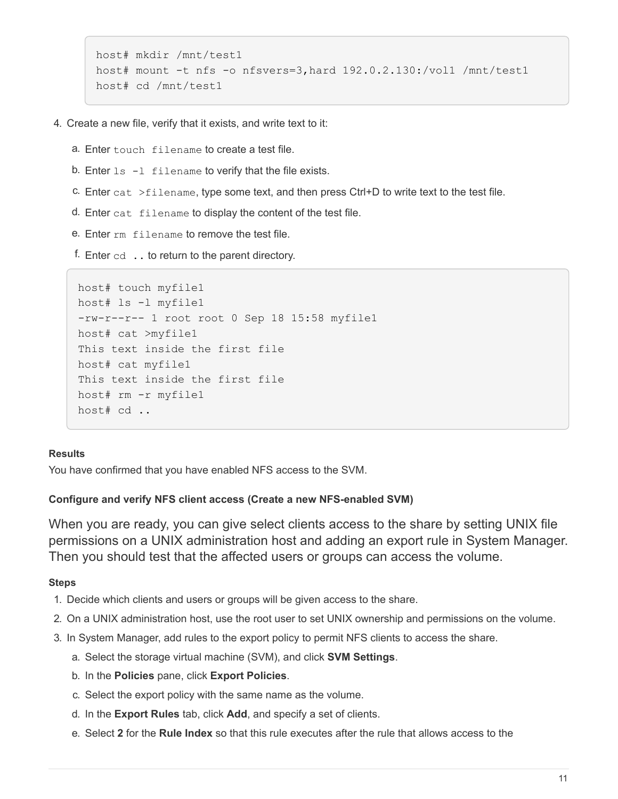```
host# mkdir /mnt/test1
host# mount -t nfs -o nfsvers=3,hard 192.0.2.130:/vol1 /mnt/test1
host# cd /mnt/test1
```
- 4. Create a new file, verify that it exists, and write text to it:
	- a. Enter touch filename to create a test file.
	- b. Enter  $ls$  -1 filename to verify that the file exists.
	- c. Enter cat  $>$ filename, type some text, and then press Ctrl+D to write text to the test file.
	- d. Enter cat filename to display the content of the test file.
	- e. Enter rm filename to remove the test file.
	- f. Enter  $cd$   $\ldots$  to return to the parent directory.

```
host# touch myfile1
host# ls -l myfile1
-rw-r--r-- 1 root root 0 Sep 18 15:58 myfile1
host# cat >myfile1
This text inside the first file
host# cat myfile1
This text inside the first file
host# rm -r myfile1
host# cd ..
```
#### **Results**

You have confirmed that you have enabled NFS access to the SVM.

#### **Configure and verify NFS client access (Create a new NFS-enabled SVM)**

When you are ready, you can give select clients access to the share by setting UNIX file permissions on a UNIX administration host and adding an export rule in System Manager. Then you should test that the affected users or groups can access the volume.

- 1. Decide which clients and users or groups will be given access to the share.
- 2. On a UNIX administration host, use the root user to set UNIX ownership and permissions on the volume.
- 3. In System Manager, add rules to the export policy to permit NFS clients to access the share.
	- a. Select the storage virtual machine (SVM), and click **SVM Settings**.
	- b. In the **Policies** pane, click **Export Policies**.
	- c. Select the export policy with the same name as the volume.
	- d. In the **Export Rules** tab, click **Add**, and specify a set of clients.
	- e. Select **2** for the **Rule Index** so that this rule executes after the rule that allows access to the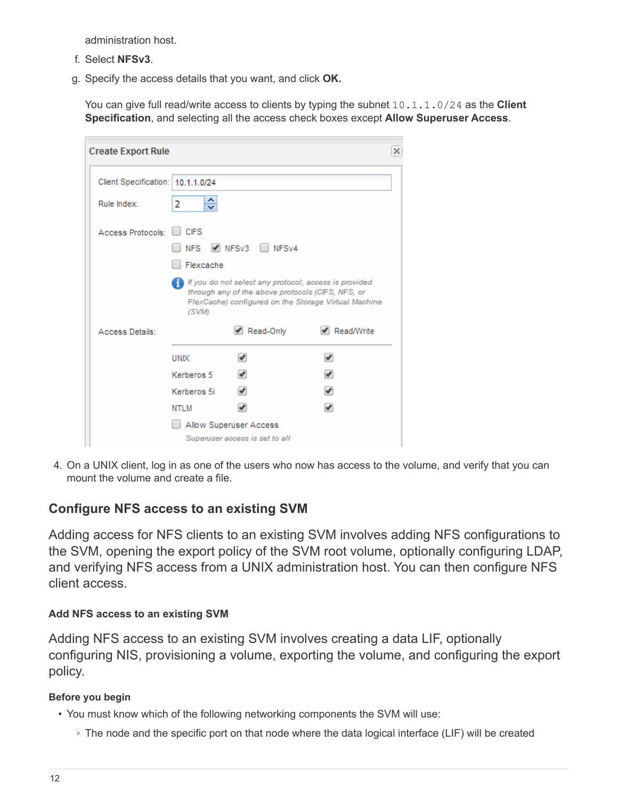administration host.

- f. Select **NFSv3**.
- g. Specify the access details that you want, and click **OK.**

You can give full read/write access to clients by typing the subnet 10.1.1.0/24 as the **Client Specification**, and selecting all the access check boxes except **Allow Superuser Access**.

| <b>Create Export Rule</b>         |             |                                                                                                               |                                                      | × |
|-----------------------------------|-------------|---------------------------------------------------------------------------------------------------------------|------------------------------------------------------|---|
| Client Specification: 10.1.1.0/24 |             |                                                                                                               |                                                      |   |
| Rule Index:                       | ≎<br>2      |                                                                                                               |                                                      |   |
| Access Protocols:                 | <b>CIFS</b> |                                                                                                               |                                                      |   |
|                                   | <b>NFS</b>  | NESv3 NESv4                                                                                                   |                                                      |   |
|                                   | Flexcache   |                                                                                                               |                                                      |   |
|                                   |             | If If you do not select any protocol, access is provided<br>through any of the above protocols (CIFS, NFS, or |                                                      |   |
|                                   | (SVM).      |                                                                                                               | FlexCache) configured on the Storage Virtual Machine |   |
| Access Details:                   |             | Read-Only                                                                                                     | $\blacktriangleright$ Read/Write                     |   |
|                                   | <b>UNIX</b> |                                                                                                               |                                                      |   |
|                                   | Kerberos 5  | ✔                                                                                                             | ✔                                                    |   |
|                                   | Kerberos 5i | $\overline{\mathscr{I}}$                                                                                      |                                                      |   |
|                                   | <b>NTLM</b> |                                                                                                               |                                                      |   |
|                                   |             | Allow Superuser Access<br>Superuser access is set to all                                                      |                                                      |   |

4. On a UNIX client, log in as one of the users who now has access to the volume, and verify that you can mount the volume and create a file.

## <span id="page-13-0"></span>**Configure NFS access to an existing SVM**

Adding access for NFS clients to an existing SVM involves adding NFS configurations to the SVM, opening the export policy of the SVM root volume, optionally configuring LDAP, and verifying NFS access from a UNIX administration host. You can then configure NFS client access.

## **Add NFS access to an existing SVM**

Adding NFS access to an existing SVM involves creating a data LIF, optionally configuring NIS, provisioning a volume, exporting the volume, and configuring the export policy.

#### **Before you begin**

- You must know which of the following networking components the SVM will use:
	- The node and the specific port on that node where the data logical interface (LIF) will be created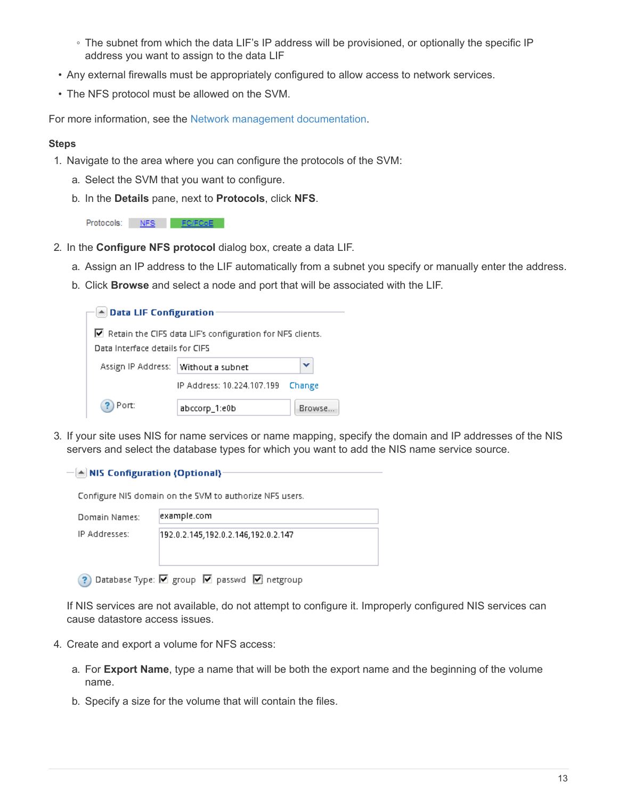- The subnet from which the data LIF's IP address will be provisioned, or optionally the specific IP address you want to assign to the data LIF
- Any external firewalls must be appropriately configured to allow access to network services.
- The NFS protocol must be allowed on the SVM.

For more information, see the [Network management documentation](https://docs.netapp.com/us-en/ontap/networking/index.html).

#### **Steps**

- 1. Navigate to the area where you can configure the protocols of the SVM:
	- a. Select the SVM that you want to configure.
	- b. In the **Details** pane, next to **Protocols**, click **NFS**.

Protocols: NFS FO/FCoE

- 2. In the **Configure NFS protocol** dialog box, create a data LIF.
	- a. Assign an IP address to the LIF automatically from a subnet you specify or manually enter the address.
	- b. Click **Browse** and select a node and port that will be associated with the LIF.

| ▲ Data LIF Configuration         |                                                                          |        |
|----------------------------------|--------------------------------------------------------------------------|--------|
|                                  | $\blacksquare$ Retain the CIFS data LIF's configuration for NFS clients. |        |
| Data Interface details for CIFS. |                                                                          |        |
| Assign IP Address:               | Without a subnet                                                         |        |
|                                  | IP Address: 10.224.107.199                                               | Change |
| Port:                            | abccorp_1:e0b                                                            | Browse |

3. If your site uses NIS for name services or name mapping, specify the domain and IP addresses of the NIS servers and select the database types for which you want to add the NIS name service source.

 $\left| \triangle \right|$  NIS Configuration (Optional)-

Configure NIS domain on the SVM to authorize NFS users.

| Domain Names: | example.com                         |
|---------------|-------------------------------------|
| IP Addresses: | 192.0.2.145,192.0.2.146,192.0.2.147 |

? Database Type: Ø group Ø passwd Ø netgroup

If NIS services are not available, do not attempt to configure it. Improperly configured NIS services can cause datastore access issues.

- 4. Create and export a volume for NFS access:
	- a. For **Export Name**, type a name that will be both the export name and the beginning of the volume name.
	- b. Specify a size for the volume that will contain the files.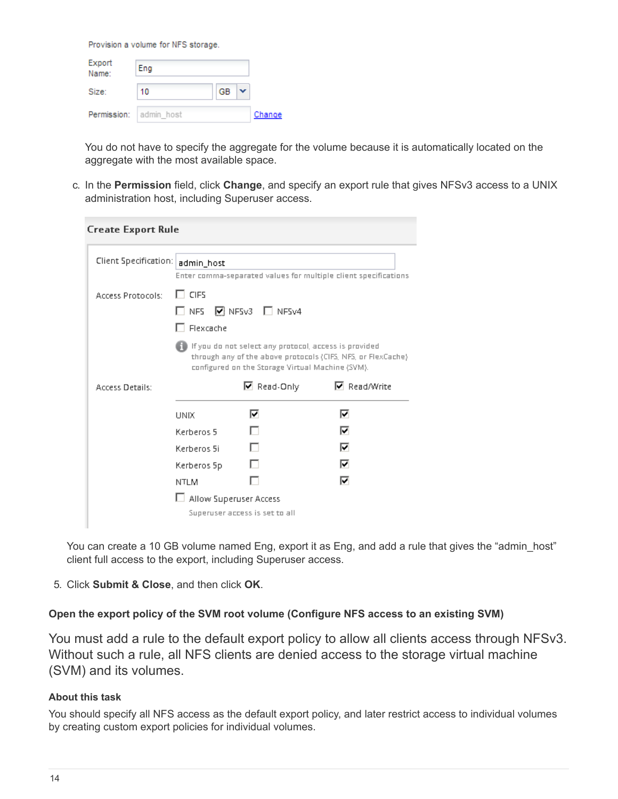Provision a volume for NFS storage.

| Export<br>Name:        | Eng |    |        |
|------------------------|-----|----|--------|
| Size:                  | 10  | GB |        |
| Permission: admin host |     |    | Change |

You do not have to specify the aggregate for the volume because it is automatically located on the aggregate with the most available space.

c. In the **Permission** field, click **Change**, and specify an export rule that gives NFSv3 access to a UNIX administration host, including Superuser access.

| Enter comma-separated values for multiple client specifications                                                          |
|--------------------------------------------------------------------------------------------------------------------------|
|                                                                                                                          |
| l If you do not select any protocol, access is provided<br>through any of the above protocols (CIFS, NFS, or FlexCache). |
| <b>▽</b> Read/Write                                                                                                      |
|                                                                                                                          |
|                                                                                                                          |
|                                                                                                                          |
|                                                                                                                          |
|                                                                                                                          |
|                                                                                                                          |
|                                                                                                                          |

You can create a 10 GB volume named Eng, export it as Eng, and add a rule that gives the "admin host" client full access to the export, including Superuser access.

5. Click **Submit & Close**, and then click **OK**.

#### **Open the export policy of the SVM root volume (Configure NFS access to an existing SVM)**

You must add a rule to the default export policy to allow all clients access through NFSv3. Without such a rule, all NFS clients are denied access to the storage virtual machine (SVM) and its volumes.

#### **About this task**

You should specify all NFS access as the default export policy, and later restrict access to individual volumes by creating custom export policies for individual volumes.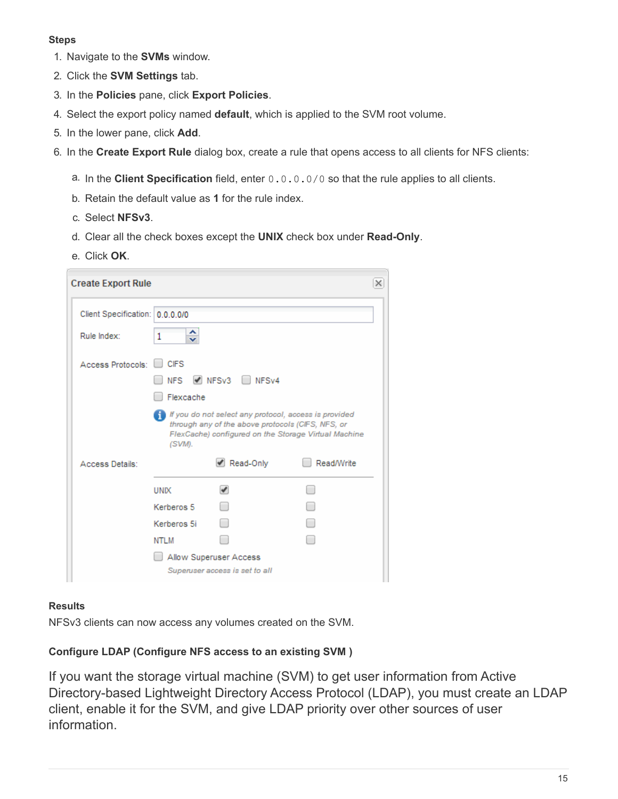#### **Steps**

- 1. Navigate to the **SVMs** window.
- 2. Click the **SVM Settings** tab.
- 3. In the **Policies** pane, click **Export Policies**.
- 4. Select the export policy named **default**, which is applied to the SVM root volume.
- 5. In the lower pane, click **Add**.
- 6. In the **Create Export Rule** dialog box, create a rule that opens access to all clients for NFS clients:
	- a. In the **Client Specification** field, enter 0.0.0.0/0 so that the rule applies to all clients.
	- b. Retain the default value as **1** for the rule index.
	- c. Select **NFSv3**.
	- d. Clear all the check boxes except the **UNIX** check box under **Read-Only**.
	- e. Click **OK**.

| <b>Create Export Rule</b>       |                     |                                                                                                            |                                                      | × |
|---------------------------------|---------------------|------------------------------------------------------------------------------------------------------------|------------------------------------------------------|---|
| Client Specification: 0.0.0.0/0 |                     |                                                                                                            |                                                      |   |
| Rule Index:                     | ∼<br>1<br>v         |                                                                                                            |                                                      |   |
| Access Protocols:               | <b>CIFS</b><br>NFS. | NESv3 NESv4                                                                                                |                                                      |   |
|                                 | Flexcache<br>(SVM). | If you do not select any protocol, access is provided<br>through any of the above protocols (CIFS, NFS, or | FlexCache) configured on the Storage Virtual Machine |   |
| Access Details:                 |                     | Read-Only                                                                                                  | Read/Write                                           |   |
|                                 | <b>UNIX</b>         | $\mathcal{I}$                                                                                              |                                                      |   |
|                                 | Kerberos 5          |                                                                                                            |                                                      |   |
|                                 | Kerberos 5i         |                                                                                                            |                                                      |   |
|                                 | NTLM                |                                                                                                            |                                                      |   |
|                                 |                     | Allow Superuser Access<br>Superuser access is set to all                                                   |                                                      |   |

#### **Results**

NFSv3 clients can now access any volumes created on the SVM.

## **Configure LDAP (Configure NFS access to an existing SVM )**

If you want the storage virtual machine (SVM) to get user information from Active Directory-based Lightweight Directory Access Protocol (LDAP), you must create an LDAP client, enable it for the SVM, and give LDAP priority over other sources of user information.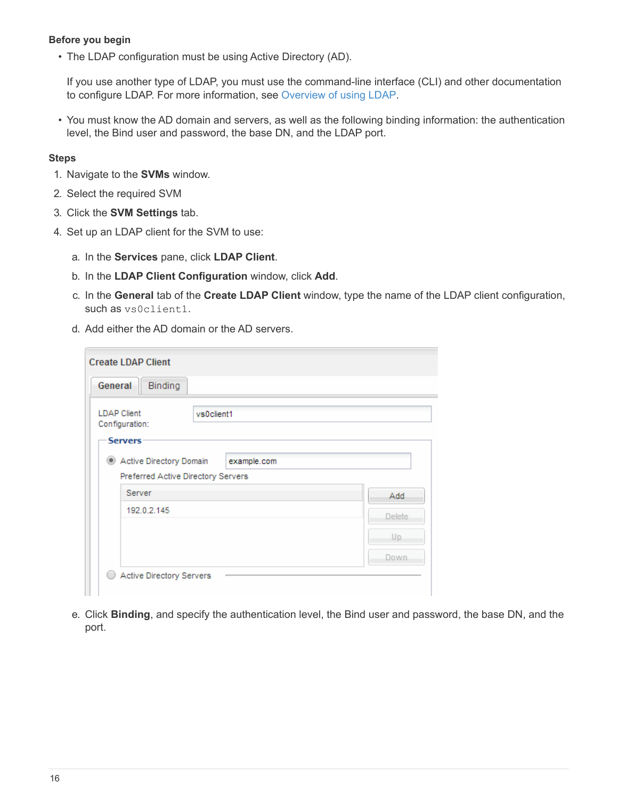#### **Before you begin**

• The LDAP configuration must be using Active Directory (AD).

If you use another type of LDAP, you must use the command-line interface (CLI) and other documentation to configure LDAP. For more information, see [Overview of using LDAP.](https://docs.netapp.com/us-en/ontap/nfs-config/using-ldap-concept.html)

• You must know the AD domain and servers, as well as the following binding information: the authentication level, the Bind user and password, the base DN, and the LDAP port.

#### **Steps**

- 1. Navigate to the **SVMs** window.
- 2. Select the required SVM
- 3. Click the **SVM Settings** tab.
- 4. Set up an LDAP client for the SVM to use:
	- a. In the **Services** pane, click **LDAP Client**.
	- b. In the **LDAP Client Configuration** window, click **Add**.
	- c. In the **General** tab of the **Create LDAP Client** window, type the name of the LDAP client configuration, such as vs0client1.
	- d. Add either the AD domain or the AD servers.

| General                                                | Binding                                                                      |         |
|--------------------------------------------------------|------------------------------------------------------------------------------|---------|
| <b>LDAP Client</b><br>Configuration:<br><b>Servers</b> | vs0client1                                                                   |         |
| $\circledcirc$                                         | Active Directory Domain<br>example.com<br>Preferred Active Directory Servers |         |
| Server                                                 |                                                                              | Add.    |
| 192.0.2.145                                            |                                                                              | Delete. |
|                                                        |                                                                              | Up.     |
|                                                        |                                                                              | Down.   |

e. Click **Binding**, and specify the authentication level, the Bind user and password, the base DN, and the port.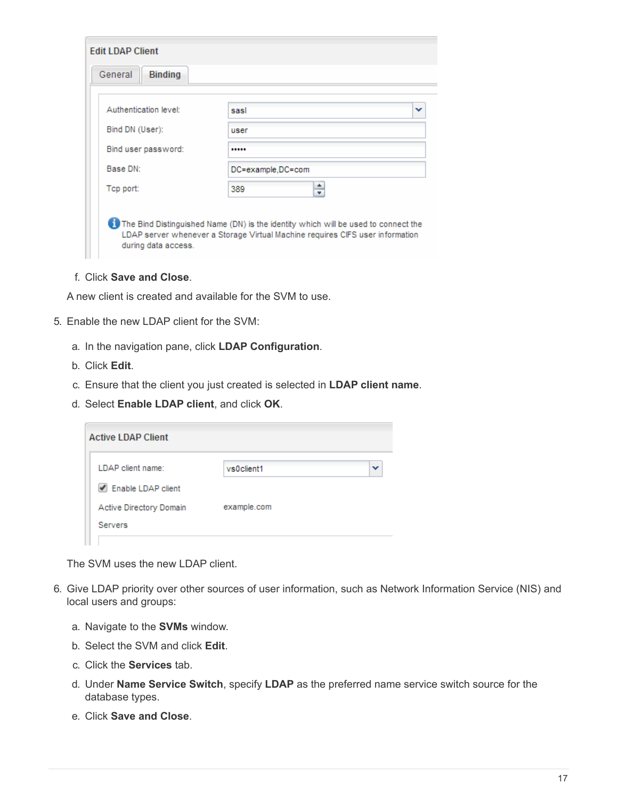| <b>Edit LDAP Client</b>   |                                                                                                                                                                     |
|---------------------------|---------------------------------------------------------------------------------------------------------------------------------------------------------------------|
| General<br><b>Binding</b> |                                                                                                                                                                     |
|                           |                                                                                                                                                                     |
| Authentication level:     | sasl<br>v                                                                                                                                                           |
| Bind DN (User):           | user                                                                                                                                                                |
| Bind user password:       |                                                                                                                                                                     |
| Base DN:                  | DC=example,DC=com                                                                                                                                                   |
| Top port:                 | ÷<br>389                                                                                                                                                            |
| during data access.       | The Bind Distinguished Name (DN) is the identity which will be used to connect the<br>LDAP server whenever a Storage Virtual Machine requires CIFS user information |

f. Click **Save and Close**.

A new client is created and available for the SVM to use.

- 5. Enable the new LDAP client for the SVM:
	- a. In the navigation pane, click **LDAP Configuration**.
	- b. Click **Edit**.
	- c. Ensure that the client you just created is selected in **LDAP client name**.
	- d. Select **Enable LDAP client**, and click **OK**.

| <b>Active LDAP Client</b>                 |             |   |
|-------------------------------------------|-------------|---|
| LDAP client name:                         | vs0client1  | v |
| Enable LDAP client                        |             |   |
| Active Directory Domain<br><b>Servers</b> | example.com |   |

The SVM uses the new LDAP client.

- 6. Give LDAP priority over other sources of user information, such as Network Information Service (NIS) and local users and groups:
	- a. Navigate to the **SVMs** window.
	- b. Select the SVM and click **Edit**.
	- c. Click the **Services** tab.
	- d. Under **Name Service Switch**, specify **LDAP** as the preferred name service switch source for the database types.
	- e. Click **Save and Close**.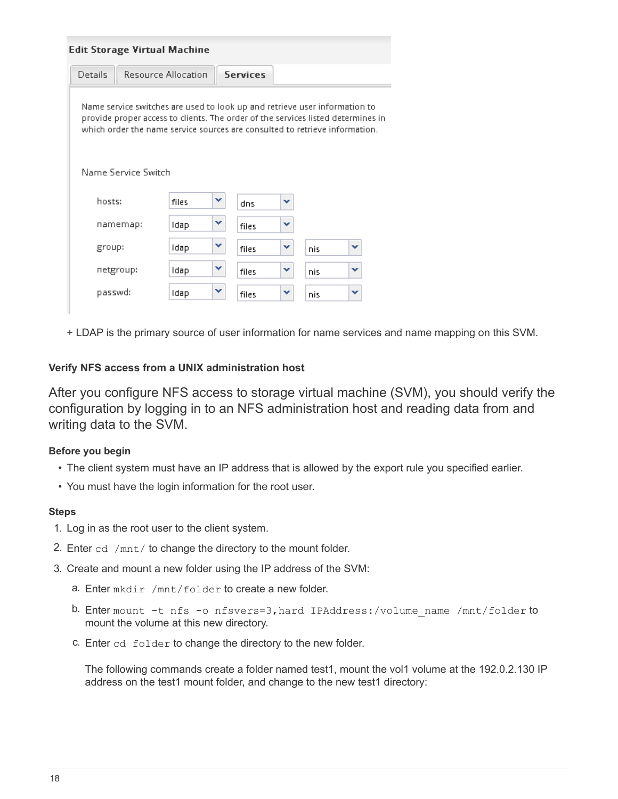| <b>Edit Storage Virtual Machine</b>                                                                                                                                                                                                           |                            |   |                 |   |     |   |
|-----------------------------------------------------------------------------------------------------------------------------------------------------------------------------------------------------------------------------------------------|----------------------------|---|-----------------|---|-----|---|
| Details                                                                                                                                                                                                                                       | <b>Resource Allocation</b> |   | <b>Services</b> |   |     |   |
| Name service switches are used to look up and retrieve user information to<br>provide proper access to clients. The order of the services listed determines in<br>which order the name service sources are consulted to retrieve information. |                            |   |                 |   |     |   |
| Name Service Switch                                                                                                                                                                                                                           |                            |   |                 |   |     |   |
| hosts:                                                                                                                                                                                                                                        | files                      | v | dns             | v |     |   |
| namemap:                                                                                                                                                                                                                                      | ldap                       | v | files           | v |     |   |
| group:                                                                                                                                                                                                                                        | ldap                       | v | files           | v | nis | v |
| netgroup:                                                                                                                                                                                                                                     | Idap                       | v | files           | v | nis | v |
| passwd:                                                                                                                                                                                                                                       | Idap                       | v | files           | v | nis | v |
|                                                                                                                                                                                                                                               |                            |   |                 |   |     |   |

+ LDAP is the primary source of user information for name services and name mapping on this SVM.

#### **Verify NFS access from a UNIX administration host**

After you configure NFS access to storage virtual machine (SVM), you should verify the configuration by logging in to an NFS administration host and reading data from and writing data to the SVM.

#### **Before you begin**

- The client system must have an IP address that is allowed by the export rule you specified earlier.
- You must have the login information for the root user.

#### **Steps**

- 1. Log in as the root user to the client system.
- 2. Enter cd /mnt/ to change the directory to the mount folder.
- 3. Create and mount a new folder using the IP address of the SVM:
	- a. Enter mkdir /mnt/folder to create a new folder.
	- b. Enter mount -t nfs -o nfsvers=3, hard IPAddress:/volume name /mnt/folder to mount the volume at this new directory.
	- c. Enter cd folder to change the directory to the new folder.

The following commands create a folder named test1, mount the vol1 volume at the 192.0.2.130 IP address on the test1 mount folder, and change to the new test1 directory: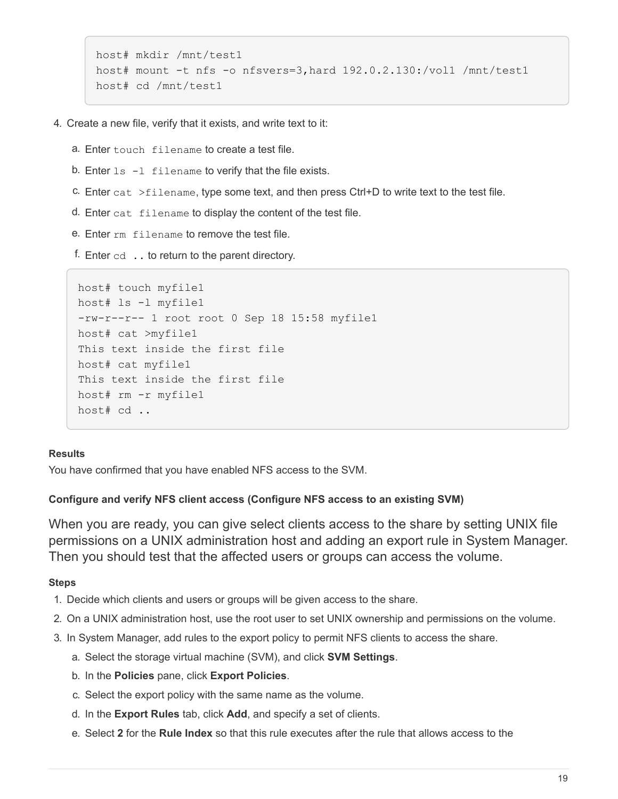```
host# mkdir /mnt/test1
host# mount -t nfs -o nfsvers=3,hard 192.0.2.130:/vol1 /mnt/test1
host# cd /mnt/test1
```
- 4. Create a new file, verify that it exists, and write text to it:
	- a. Enter touch filename to create a test file.
	- b. Enter  $ls$  -1 filename to verify that the file exists.
	- c. Enter cat  $>$ filename, type some text, and then press Ctrl+D to write text to the test file.
	- d. Enter cat filename to display the content of the test file.
	- e. Enter rm filename to remove the test file.
	- f. Enter  $cd$   $\ldots$  to return to the parent directory.

```
host# touch myfile1
host# ls -l myfile1
-rw-r--r-- 1 root root 0 Sep 18 15:58 myfile1
host# cat >myfile1
This text inside the first file
host# cat myfile1
This text inside the first file
host# rm -r myfile1
host# cd ..
```
#### **Results**

You have confirmed that you have enabled NFS access to the SVM.

#### **Configure and verify NFS client access (Configure NFS access to an existing SVM)**

When you are ready, you can give select clients access to the share by setting UNIX file permissions on a UNIX administration host and adding an export rule in System Manager. Then you should test that the affected users or groups can access the volume.

- 1. Decide which clients and users or groups will be given access to the share.
- 2. On a UNIX administration host, use the root user to set UNIX ownership and permissions on the volume.
- 3. In System Manager, add rules to the export policy to permit NFS clients to access the share.
	- a. Select the storage virtual machine (SVM), and click **SVM Settings**.
	- b. In the **Policies** pane, click **Export Policies**.
	- c. Select the export policy with the same name as the volume.
	- d. In the **Export Rules** tab, click **Add**, and specify a set of clients.
	- e. Select **2** for the **Rule Index** so that this rule executes after the rule that allows access to the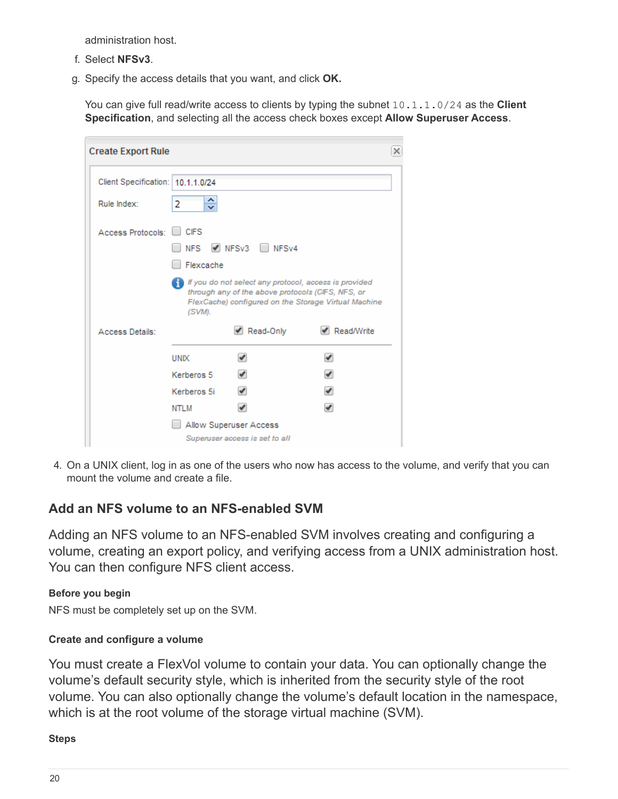administration host.

- f. Select **NFSv3**.
- g. Specify the access details that you want, and click **OK.**

You can give full read/write access to clients by typing the subnet 10.1.1.0/24 as the **Client Specification**, and selecting all the access check boxes except **Allow Superuser Access**.

| <b>Create Export Rule</b>         |             |                                                                                                                           | ×                                                    |
|-----------------------------------|-------------|---------------------------------------------------------------------------------------------------------------------------|------------------------------------------------------|
| Client Specification: 10.1.1.0/24 |             |                                                                                                                           |                                                      |
| Rule Index:                       | ≎<br>2      |                                                                                                                           |                                                      |
| Access Protocols:                 | <b>CIFS</b> |                                                                                                                           |                                                      |
|                                   | <b>NFS</b>  | NESv3 NESv4                                                                                                               |                                                      |
|                                   | Flexcache   |                                                                                                                           |                                                      |
|                                   | (SVM).      | $\blacksquare$ If you do not select any protocol, access is provided<br>through any of the above protocols (CIFS, NFS, or | FlexCache) configured on the Storage Virtual Machine |
| Access Details:                   |             | Read-Only                                                                                                                 | ✔ Read/Write                                         |
|                                   | <b>UNIX</b> |                                                                                                                           |                                                      |
|                                   | Kerberos 5  | ✔                                                                                                                         | ✔                                                    |
|                                   | Kerberos 5i | ✔                                                                                                                         | ✔                                                    |
|                                   | NTLM        |                                                                                                                           |                                                      |
|                                   |             | Allow Superuser Access                                                                                                    |                                                      |
|                                   |             | Superuser access is set to all                                                                                            |                                                      |

4. On a UNIX client, log in as one of the users who now has access to the volume, and verify that you can mount the volume and create a file.

## <span id="page-21-0"></span>**Add an NFS volume to an NFS-enabled SVM**

Adding an NFS volume to an NFS-enabled SVM involves creating and configuring a volume, creating an export policy, and verifying access from a UNIX administration host. You can then configure NFS client access.

#### **Before you begin**

NFS must be completely set up on the SVM.

## **Create and configure a volume**

You must create a FlexVol volume to contain your data. You can optionally change the volume's default security style, which is inherited from the security style of the root volume. You can also optionally change the volume's default location in the namespace, which is at the root volume of the storage virtual machine (SVM).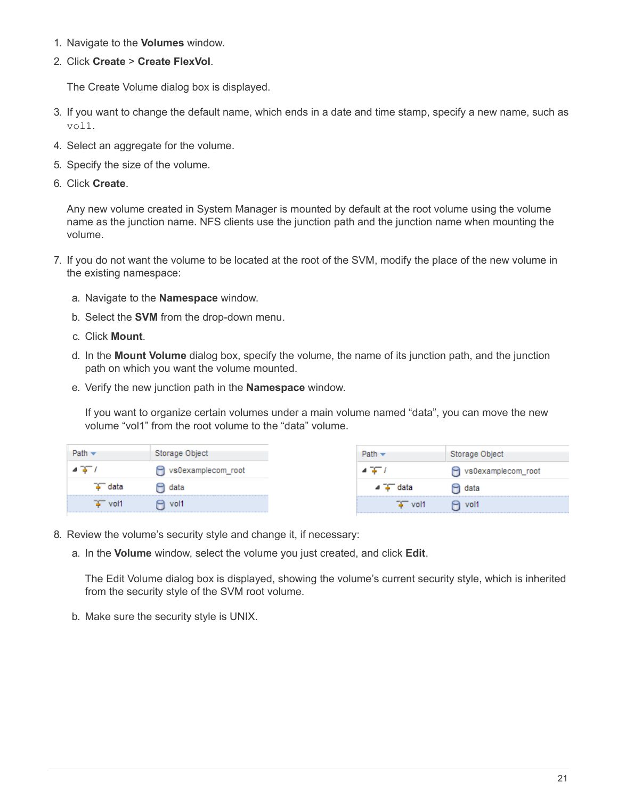- 1. Navigate to the **Volumes** window.
- 2. Click **Create** > **Create FlexVol**.

The Create Volume dialog box is displayed.

- 3. If you want to change the default name, which ends in a date and time stamp, specify a new name, such as vol1.
- 4. Select an aggregate for the volume.
- 5. Specify the size of the volume.
- 6. Click **Create**.

Any new volume created in System Manager is mounted by default at the root volume using the volume name as the junction name. NFS clients use the junction path and the junction name when mounting the volume.

- 7. If you do not want the volume to be located at the root of the SVM, modify the place of the new volume in the existing namespace:
	- a. Navigate to the **Namespace** window.
	- b. Select the **SVM** from the drop-down menu.
	- c. Click **Mount**.
	- d. In the **Mount Volume** dialog box, specify the volume, the name of its junction path, and the junction path on which you want the volume mounted.
	- e. Verify the new junction path in the **Namespace** window.

If you want to organize certain volumes under a main volume named "data", you can move the new volume "vol1" from the root volume to the "data" volume.

|                     | Storage Object     |                     | Storage Object    |
|---------------------|--------------------|---------------------|-------------------|
|                     | vs0examplecom_root |                     | s0examplecom_root |
| " data              | ⊟ data             | $\overline{4}$ data | $\Box$ data       |
| $\overline{+}$ vol1 | $\Theta$ vol1      | $\overline{+}$ vol1 | $\Theta$ vol1     |

- 8. Review the volume's security style and change it, if necessary:
	- a. In the **Volume** window, select the volume you just created, and click **Edit**.

The Edit Volume dialog box is displayed, showing the volume's current security style, which is inherited from the security style of the SVM root volume.

b. Make sure the security style is UNIX.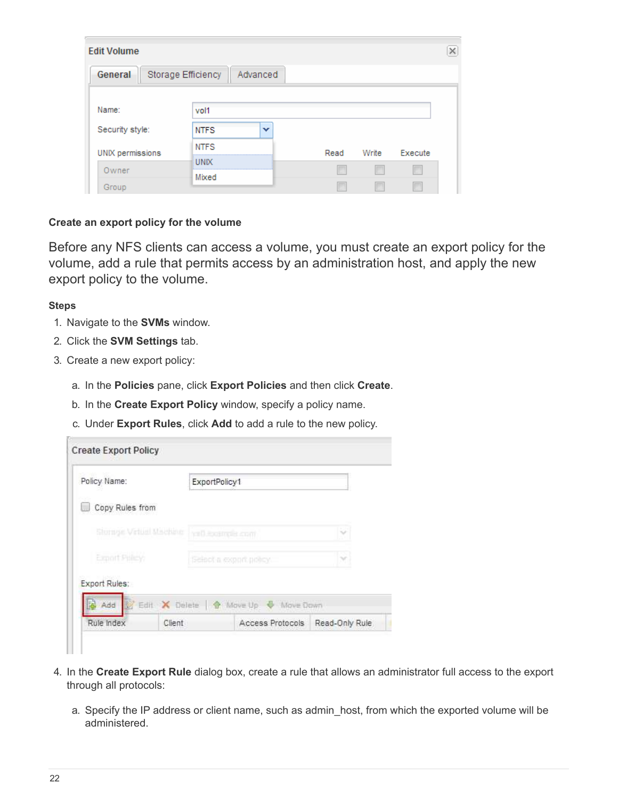| <b>Edit Volume</b> |                    |          |      |       |         |  |
|--------------------|--------------------|----------|------|-------|---------|--|
| General            | Storage Efficiency | Advanced |      |       |         |  |
| Name:              | vol1               |          |      |       |         |  |
| Security style:    | <b>NTFS</b>        | v        |      |       |         |  |
| UNIX permissions   | <b>NTFS</b>        |          | Read | Write | Execute |  |
| Owner              | UNIX<br>Mixed      |          |      |       |         |  |
| Group              |                    |          |      |       |         |  |

#### **Create an export policy for the volume**

Before any NFS clients can access a volume, you must create an export policy for the volume, add a rule that permits access by an administration host, and apply the new export policy to the volume.

- 1. Navigate to the **SVMs** window.
- 2. Click the **SVM Settings** tab.
- 3. Create a new export policy:
	- a. In the **Policies** pane, click **Export Policies** and then click **Create**.
	- b. In the **Create Export Policy** window, specify a policy name.
	- c. Under **Export Rules**, click **Add** to add a rule to the new policy.

| Policy Name:            |        | ExportPolicy1               |                                     |                |
|-------------------------|--------|-----------------------------|-------------------------------------|----------------|
| Copy Rules from         |        |                             |                                     |                |
| Storage Virtual Machine |        | <b>NBO Excernalist comi</b> |                                     | $\sim$         |
| Export Priley           |        | beloot a export policy.     |                                     | v              |
| Export Rules:           |        |                             |                                     |                |
| Add                     |        |                             | Edit X Delete   nove Up + Move Down |                |
| Rule Index              | Client |                             | Access Protocols                    | Read-Only Rule |

- 4. In the **Create Export Rule** dialog box, create a rule that allows an administrator full access to the export through all protocols:
	- a. Specify the IP address or client name, such as admin\_host, from which the exported volume will be administered.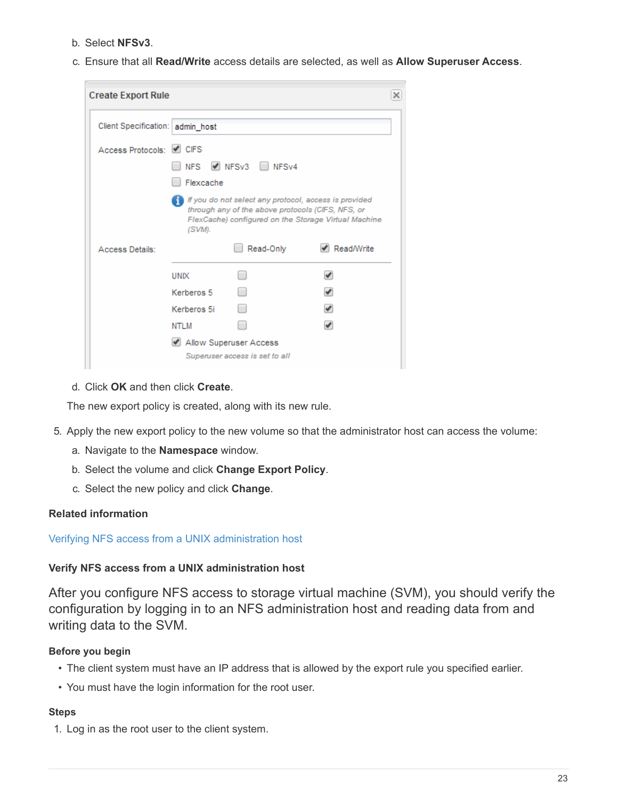- b. Select **NFSv3**.
- c. Ensure that all **Read/Write** access details are selected, as well as **Allow Superuser Access**.

| <b>Create Export Rule</b>        |                                                  |                                                                                                                         |                                                                    | × |
|----------------------------------|--------------------------------------------------|-------------------------------------------------------------------------------------------------------------------------|--------------------------------------------------------------------|---|
| Client Specification: admin_host |                                                  |                                                                                                                         |                                                                    |   |
| Access Protocols: 0 CIFS         | NFS.<br>Flexcache                                | $\triangledown$ NFSv3 NFSv4                                                                                             |                                                                    |   |
| Access Details:                  | (SVM).                                           | If you do not select any protocol, access is provided<br>through any of the above protocols (CIFS, NFS, or<br>Read-Only | FlexCache) configured on the Storage Virtual Machine<br>Read/Write |   |
|                                  | <b>UNIX</b><br>Kerberos 5<br>Kerberos 5i<br>NTLM | Allow Superuser Access<br>Superuser access is set to all                                                                |                                                                    |   |

d. Click **OK** and then click **Create**.

The new export policy is created, along with its new rule.

- 5. Apply the new export policy to the new volume so that the administrator host can access the volume:
	- a. Navigate to the **Namespace** window.
	- b. Select the volume and click **Change Export Policy**.
	- c. Select the new policy and click **Change**.

#### **Related information**

#### [Verifying NFS access from a UNIX administration host](#page-11-0)

#### **Verify NFS access from a UNIX administration host**

After you configure NFS access to storage virtual machine (SVM), you should verify the configuration by logging in to an NFS administration host and reading data from and writing data to the SVM.

#### **Before you begin**

- The client system must have an IP address that is allowed by the export rule you specified earlier.
- You must have the login information for the root user.

#### **Steps**

1. Log in as the root user to the client system.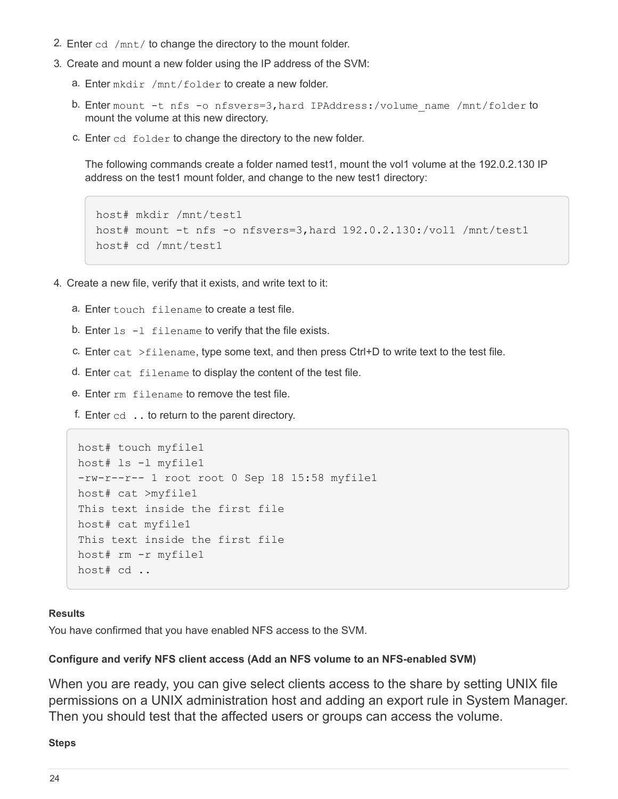- 2. Enter cd /mnt/ to change the directory to the mount folder.
- 3. Create and mount a new folder using the IP address of the SVM:
	- a. Enter mkdir /mnt/folder to create a new folder.
	- b. Enter mount -t nfs -o nfsvers=3, hard IPAddress:/volume\_name /mnt/folder to mount the volume at this new directory.
	- c. Enter cd folder to change the directory to the new folder.

The following commands create a folder named test1, mount the vol1 volume at the 192.0.2.130 IP address on the test1 mount folder, and change to the new test1 directory:

```
host# mkdir /mnt/test1
host# mount -t nfs -o nfsvers=3,hard 192.0.2.130:/vol1 /mnt/test1
host# cd /mnt/test1
```
- 4. Create a new file, verify that it exists, and write text to it:
	- a. Enter touch filename to create a test file.
	- b. Enter  $ls -l$  filename to verify that the file exists.
	- c. Enter cat  $>$ filename, type some text, and then press Ctrl+D to write text to the test file.
	- d. Enter cat filename to display the content of the test file.
	- e. Enter rm filename to remove the test file.
	- f. Enter  $cd$   $\ldots$  to return to the parent directory.

```
host# touch myfile1
host# ls -l myfile1
-rw-r--r-- 1 root root 0 Sep 18 15:58 myfile1
host# cat >myfile1
This text inside the first file
host# cat myfile1
This text inside the first file
host# rm -r myfile1
host# cd ..
```
#### **Results**

You have confirmed that you have enabled NFS access to the SVM.

## **Configure and verify NFS client access (Add an NFS volume to an NFS-enabled SVM)**

When you are ready, you can give select clients access to the share by setting UNIX file permissions on a UNIX administration host and adding an export rule in System Manager. Then you should test that the affected users or groups can access the volume.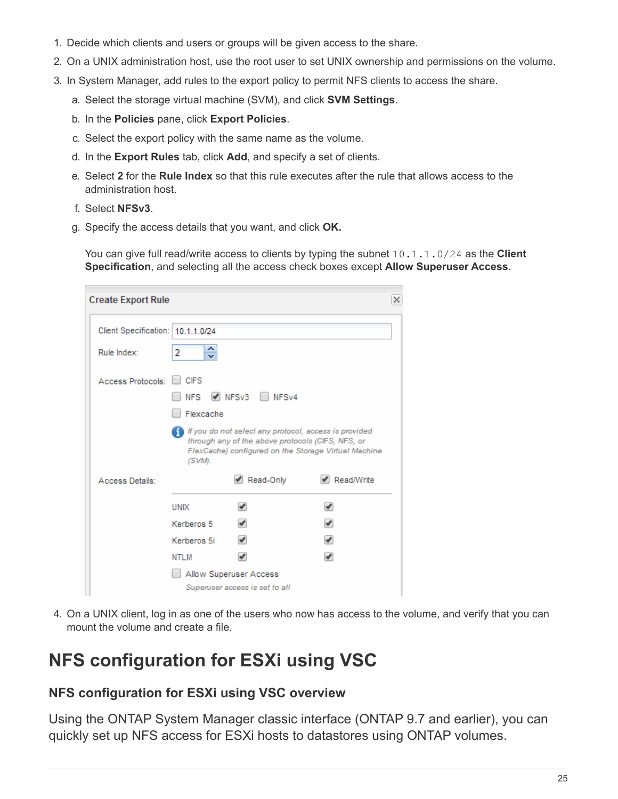- 1. Decide which clients and users or groups will be given access to the share.
- 2. On a UNIX administration host, use the root user to set UNIX ownership and permissions on the volume.
- 3. In System Manager, add rules to the export policy to permit NFS clients to access the share.
	- a. Select the storage virtual machine (SVM), and click **SVM Settings**.
	- b. In the **Policies** pane, click **Export Policies**.
	- c. Select the export policy with the same name as the volume.
	- d. In the **Export Rules** tab, click **Add**, and specify a set of clients.
	- e. Select **2** for the **Rule Index** so that this rule executes after the rule that allows access to the administration host.
	- f. Select **NFSv3**.
	- g. Specify the access details that you want, and click **OK.**

You can give full read/write access to clients by typing the subnet 10.1.1.0/24 as the **Client Specification**, and selecting all the access check boxes except **Allow Superuser Access**.

| <b>Create Export Rule</b>         |             |                                                                                                               | $\times$                                             |
|-----------------------------------|-------------|---------------------------------------------------------------------------------------------------------------|------------------------------------------------------|
| Client Specification: 10.1.1.0/24 |             |                                                                                                               |                                                      |
| Rule Index:                       | ᄉ<br>2<br>v |                                                                                                               |                                                      |
| Access Protocols:                 | <b>CIFS</b> |                                                                                                               |                                                      |
|                                   | <b>NFS</b>  | MPSv3 NPSv4                                                                                                   |                                                      |
|                                   | Flexcache   |                                                                                                               |                                                      |
|                                   | (SVM).      | If If you do not select any protocol, access is provided<br>through any of the above protocols (CIFS, NFS, or | FlexCache) configured on the Storage Virtual Machine |
| Access Details:                   |             | Read-Only                                                                                                     | $\blacktriangleright$ Read/Write                     |
|                                   | <b>UNIX</b> |                                                                                                               | ✔                                                    |
|                                   | Kerberos 5  |                                                                                                               | ✔                                                    |
|                                   | Kerberos 5i |                                                                                                               | $\blacktriangledown$                                 |
|                                   | NTLM        |                                                                                                               |                                                      |
|                                   |             | Allow Superuser Access                                                                                        |                                                      |
|                                   |             | Superuser access is set to all                                                                                |                                                      |

4. On a UNIX client, log in as one of the users who now has access to the volume, and verify that you can mount the volume and create a file.

## <span id="page-26-0"></span>**NFS configuration for ESXi using VSC**

## **NFS configuration for ESXi using VSC overview**

Using the ONTAP System Manager classic interface (ONTAP 9.7 and earlier), you can quickly set up NFS access for ESXi hosts to datastores using ONTAP volumes.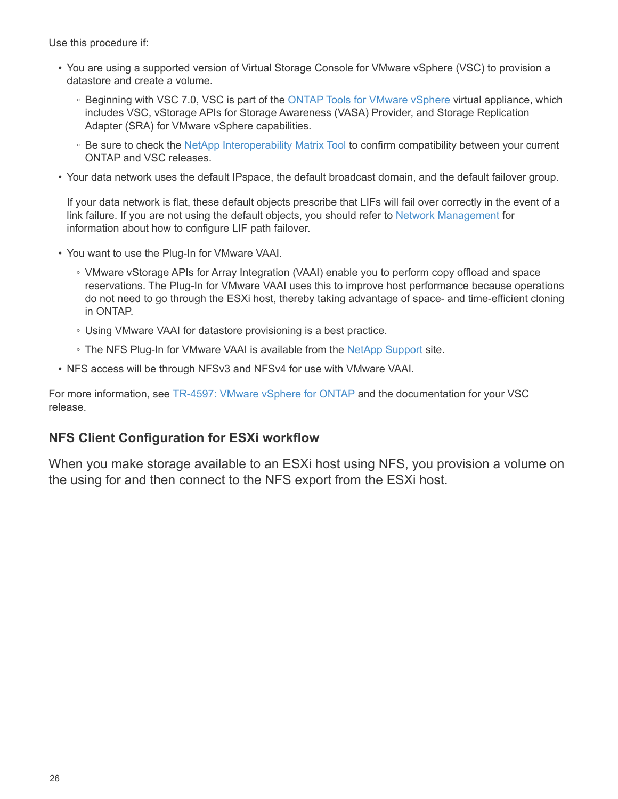Use this procedure if:

- You are using a supported version of Virtual Storage Console for VMware vSphere (VSC) to provision a datastore and create a volume.
	- Beginning with VSC 7.0, VSC is part of the [ONTAP Tools for VMware vSphere](https://docs.netapp.com/us-en/ontap-tools-vmware-vsphere/index.html) virtual appliance, which includes VSC, vStorage APIs for Storage Awareness (VASA) Provider, and Storage Replication Adapter (SRA) for VMware vSphere capabilities.
	- Be sure to check the [NetApp Interoperability Matrix Tool](https://imt.netapp.com/matrix/) to confirm compatibility between your current ONTAP and VSC releases.
- Your data network uses the default IPspace, the default broadcast domain, and the default failover group.

If your data network is flat, these default objects prescribe that LIFs will fail over correctly in the event of a link failure. If you are not using the default objects, you should refer to [Network Management](https://docs.netapp.com/us-en/ontap/networking/index.html) for information about how to configure LIF path failover.

- You want to use the Plug-In for VMware VAAI.
	- VMware vStorage APIs for Array Integration (VAAI) enable you to perform copy offload and space reservations. The Plug-In for VMware VAAI uses this to improve host performance because operations do not need to go through the ESXi host, thereby taking advantage of space- and time-efficient cloning in ONTAP.
	- Using VMware VAAI for datastore provisioning is a best practice.
	- The NFS Plug-In for VMware VAAI is available from the [NetApp Support](https://mysupport.netapp.com/site/global/dashboard) site.
- NFS access will be through NFSv3 and NFSv4 for use with VMware VAAI.

For more information, see [TR-4597: VMware vSphere for ONTAP](https://docs.netapp.com/us-en/netapp-solutions/virtualization/vsphere_ontap_ontap_for_vsphere.html) and the documentation for your VSC release.

## **NFS Client Configuration for ESXi workflow**

When you make storage available to an ESXi host using NFS, you provision a volume on the using for and then connect to the NFS export from the ESXi host.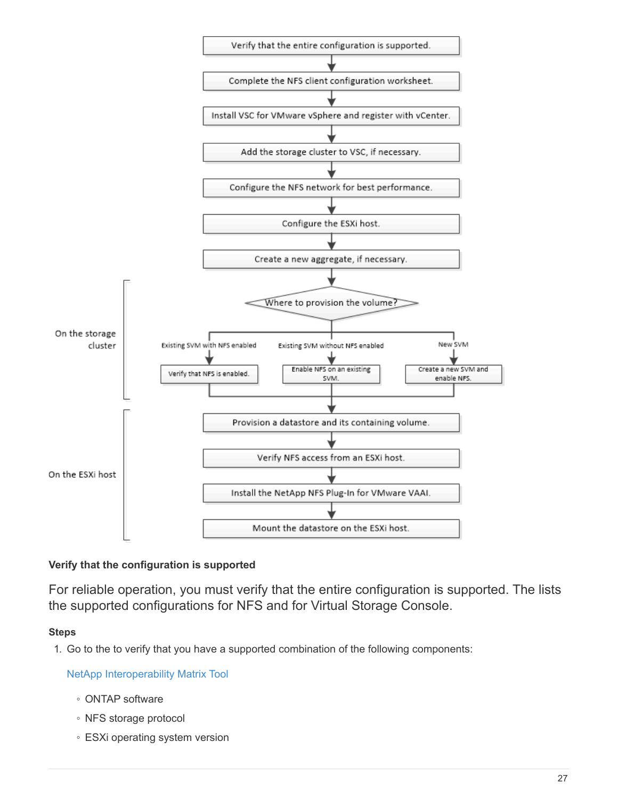

## **Verify that the configuration is supported**

For reliable operation, you must verify that the entire configuration is supported. The lists the supported configurations for NFS and for Virtual Storage Console.

#### **Steps**

1. Go to the to verify that you have a supported combination of the following components:

[NetApp Interoperability Matrix Tool](https://mysupport.netapp.com/matrix)

- ONTAP software
- NFS storage protocol
- ESXi operating system version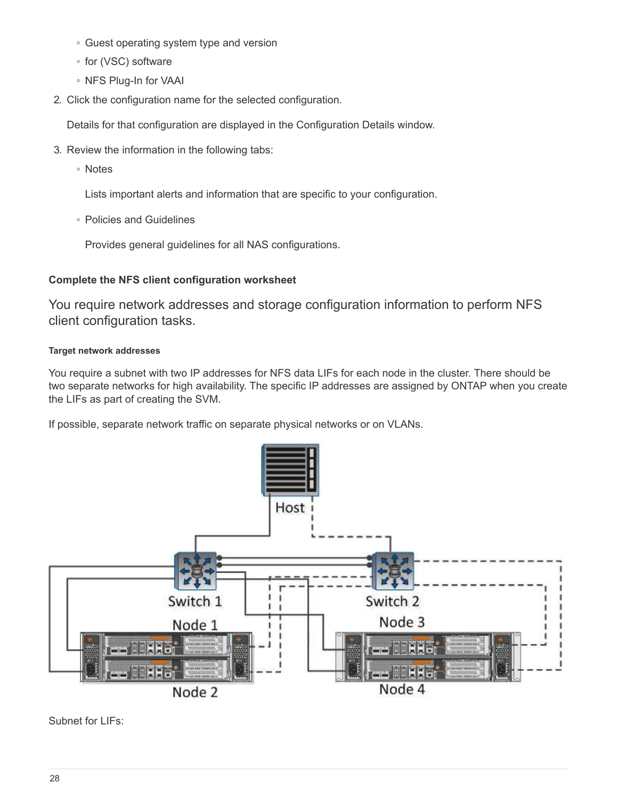- Guest operating system type and version
- for (VSC) software
- NFS Plug-In for VAAI
- 2. Click the configuration name for the selected configuration.

Details for that configuration are displayed in the Configuration Details window.

- 3. Review the information in the following tabs:
	- Notes

Lists important alerts and information that are specific to your configuration.

◦ Policies and Guidelines

Provides general guidelines for all NAS configurations.

## **Complete the NFS client configuration worksheet**

You require network addresses and storage configuration information to perform NFS client configuration tasks.

## **Target network addresses**

You require a subnet with two IP addresses for NFS data LIFs for each node in the cluster. There should be two separate networks for high availability. The specific IP addresses are assigned by ONTAP when you create the LIFs as part of creating the SVM.

If possible, separate network traffic on separate physical networks or on VLANs.



Subnet for LIFs: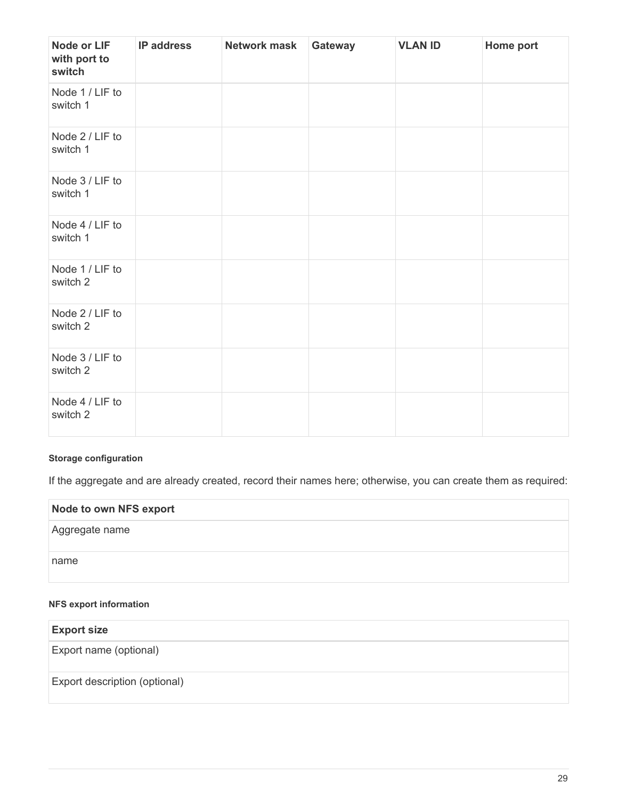| <b>Node or LIF</b><br>with port to<br>switch | <b>IP address</b> | <b>Network mask</b> | Gateway | <b>VLAN ID</b> | Home port |
|----------------------------------------------|-------------------|---------------------|---------|----------------|-----------|
| Node 1 / LIF to<br>switch 1                  |                   |                     |         |                |           |
| Node 2 / LIF to<br>switch 1                  |                   |                     |         |                |           |
| Node 3 / LIF to<br>switch 1                  |                   |                     |         |                |           |
| Node 4 / LIF to<br>switch 1                  |                   |                     |         |                |           |
| Node 1 / LIF to<br>switch 2                  |                   |                     |         |                |           |
| Node 2 / LIF to<br>switch 2                  |                   |                     |         |                |           |
| Node 3 / LIF to<br>switch 2                  |                   |                     |         |                |           |
| Node 4 / LIF to<br>switch 2                  |                   |                     |         |                |           |

## **Storage configuration**

If the aggregate and are already created, record their names here; otherwise, you can create them as required:

| <b>Node to own NFS export</b> |  |
|-------------------------------|--|
| Aggregate name                |  |
| name                          |  |

#### **NFS export information**

| <b>Export size</b>            |  |
|-------------------------------|--|
| Export name (optional)        |  |
| Export description (optional) |  |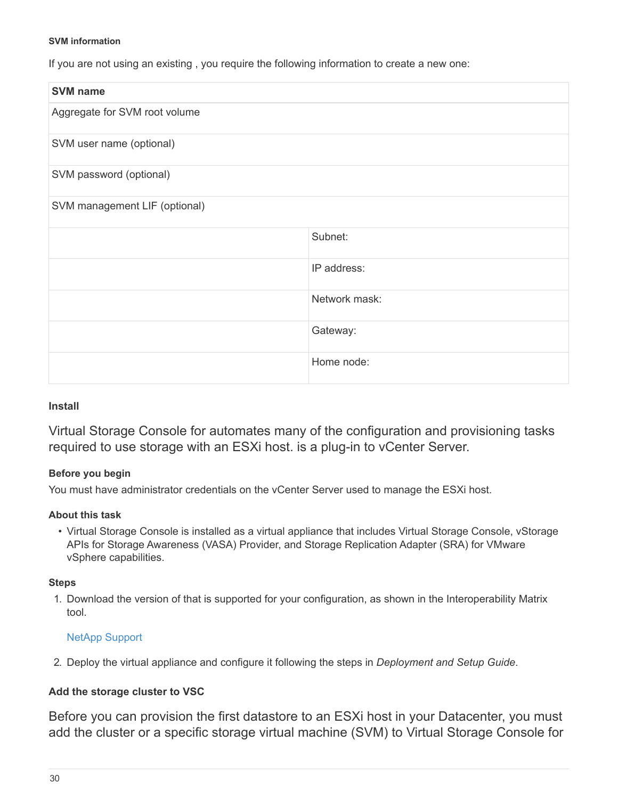#### **SVM information**

If you are not using an existing , you require the following information to create a new one:

| <b>SVM name</b>               |               |
|-------------------------------|---------------|
| Aggregate for SVM root volume |               |
| SVM user name (optional)      |               |
| SVM password (optional)       |               |
| SVM management LIF (optional) |               |
|                               | Subnet:       |
|                               | IP address:   |
|                               | Network mask: |
|                               | Gateway:      |
|                               | Home node:    |

#### **Install**

Virtual Storage Console for automates many of the configuration and provisioning tasks required to use storage with an ESXi host. is a plug-in to vCenter Server.

#### **Before you begin**

You must have administrator credentials on the vCenter Server used to manage the ESXi host.

#### **About this task**

• Virtual Storage Console is installed as a virtual appliance that includes Virtual Storage Console, vStorage APIs for Storage Awareness (VASA) Provider, and Storage Replication Adapter (SRA) for VMware vSphere capabilities.

#### **Steps**

1. Download the version of that is supported for your configuration, as shown in the Interoperability Matrix tool.

#### [NetApp Support](https://mysupport.netapp.com/site/global/dashboard)

2. Deploy the virtual appliance and configure it following the steps in *Deployment and Setup Guide*.

#### **Add the storage cluster to VSC**

Before you can provision the first datastore to an ESXi host in your Datacenter, you must add the cluster or a specific storage virtual machine (SVM) to Virtual Storage Console for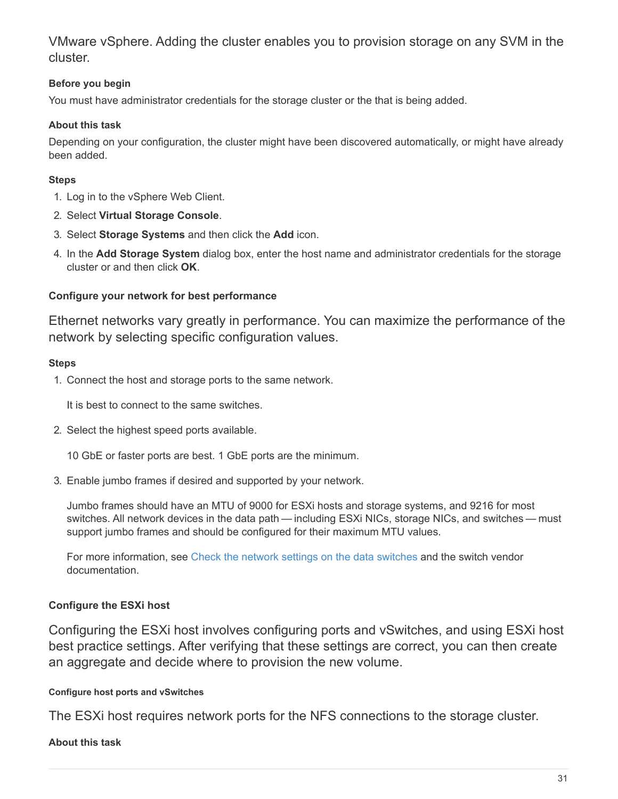VMware vSphere. Adding the cluster enables you to provision storage on any SVM in the cluster.

## **Before you begin**

You must have administrator credentials for the storage cluster or the that is being added.

#### **About this task**

Depending on your configuration, the cluster might have been discovered automatically, or might have already been added.

#### **Steps**

- 1. Log in to the vSphere Web Client.
- 2. Select **Virtual Storage Console**.
- 3. Select **Storage Systems** and then click the **Add** icon.
- 4. In the **Add Storage System** dialog box, enter the host name and administrator credentials for the storage cluster or and then click **OK**.

#### **Configure your network for best performance**

Ethernet networks vary greatly in performance. You can maximize the performance of the network by selecting specific configuration values.

#### **Steps**

1. Connect the host and storage ports to the same network.

It is best to connect to the same switches.

2. Select the highest speed ports available.

10 GbE or faster ports are best. 1 GbE ports are the minimum.

3. Enable jumbo frames if desired and supported by your network.

Jumbo frames should have an MTU of 9000 for ESXi hosts and storage systems, and 9216 for most switches. All network devices in the data path — including ESXi NICs, storage NICs, and switches — must support jumbo frames and should be configured for their maximum MTU values.

For more information, see [Check the network settings on the data switches](https://docs.netapp.com/us-en/ontap/performance-admin/check-network-settings-data-switches-task.html) and the switch vendor documentation.

## **Configure the ESXi host**

Configuring the ESXi host involves configuring ports and vSwitches, and using ESXi host best practice settings. After verifying that these settings are correct, you can then create an aggregate and decide where to provision the new volume.

#### **Configure host ports and vSwitches**

The ESXi host requires network ports for the NFS connections to the storage cluster.

#### **About this task**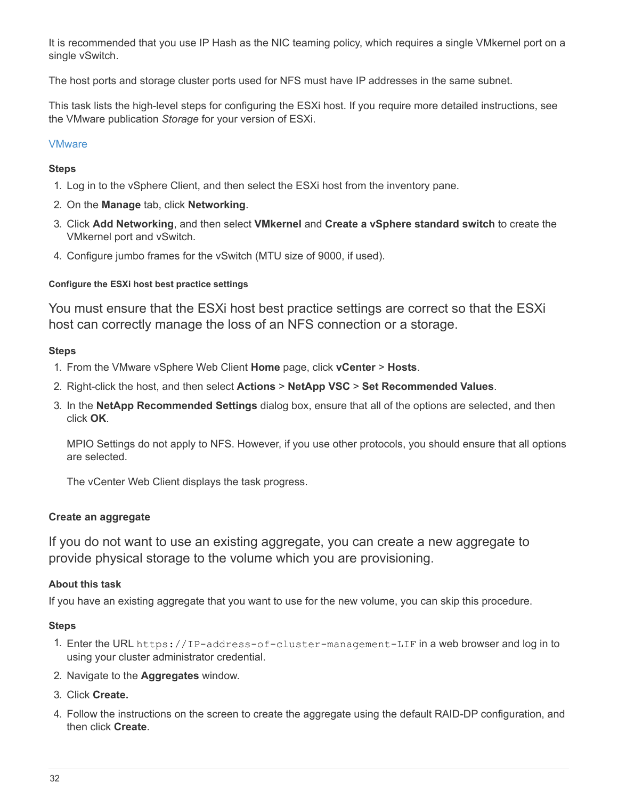It is recommended that you use IP Hash as the NIC teaming policy, which requires a single VMkernel port on a single vSwitch.

The host ports and storage cluster ports used for NFS must have IP addresses in the same subnet.

This task lists the high-level steps for configuring the ESXi host. If you require more detailed instructions, see the VMware publication *Storage* for your version of ESXi.

#### [VMware](http://www.vmware.com)

#### **Steps**

- 1. Log in to the vSphere Client, and then select the ESXi host from the inventory pane.
- 2. On the **Manage** tab, click **Networking**.
- 3. Click **Add Networking**, and then select **VMkernel** and **Create a vSphere standard switch** to create the VMkernel port and vSwitch.
- 4. Configure jumbo frames for the vSwitch (MTU size of 9000, if used).

#### **Configure the ESXi host best practice settings**

You must ensure that the ESXi host best practice settings are correct so that the ESXi host can correctly manage the loss of an NFS connection or a storage.

#### **Steps**

- 1. From the VMware vSphere Web Client **Home** page, click **vCenter** > **Hosts**.
- 2. Right-click the host, and then select **Actions** > **NetApp VSC** > **Set Recommended Values**.
- 3. In the **NetApp Recommended Settings** dialog box, ensure that all of the options are selected, and then click **OK**.

MPIO Settings do not apply to NFS. However, if you use other protocols, you should ensure that all options are selected.

The vCenter Web Client displays the task progress.

#### **Create an aggregate**

If you do not want to use an existing aggregate, you can create a new aggregate to provide physical storage to the volume which you are provisioning.

#### **About this task**

If you have an existing aggregate that you want to use for the new volume, you can skip this procedure.

- 1. Enter the URL https://IP-address-of-cluster-management-LIF in a web browser and log in to using your cluster administrator credential.
- 2. Navigate to the **Aggregates** window.
- 3. Click **Create.**
- 4. Follow the instructions on the screen to create the aggregate using the default RAID-DP configuration, and then click **Create**.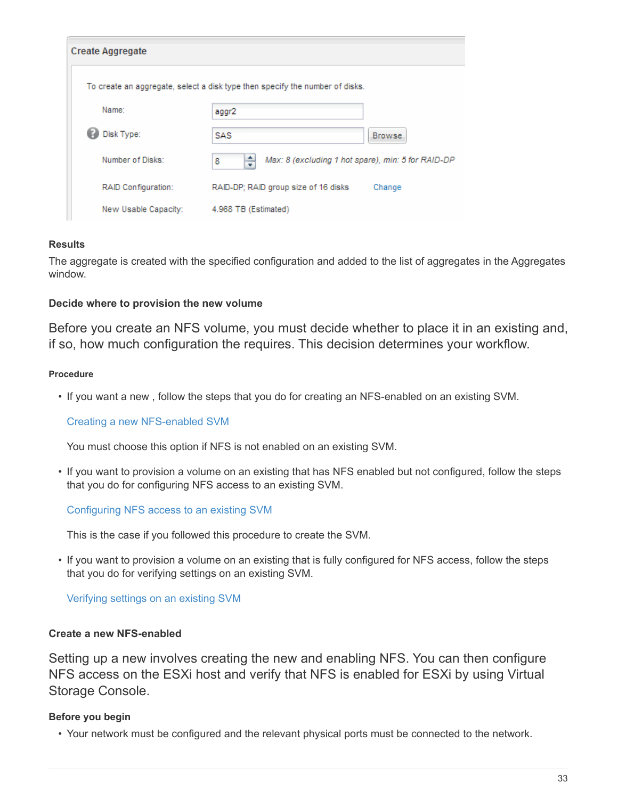| <b>Create Aggregate</b> |                                                                              |
|-------------------------|------------------------------------------------------------------------------|
|                         | To create an aggregate, select a disk type then specify the number of disks. |
| Name:                   | aggr2                                                                        |
| Disk Type:              | SAS<br>Browse.                                                               |
| Number of Disks:        | ÷<br>Max: 8 (excluding 1 hot spare), min: 5 for RAID-DP<br>8                 |
| RAID Configuration:     | RAID-DP; RAID group size of 16 disks<br>Change                               |
| New Usable Capacity:    | 4.968 TB (Estimated)                                                         |

#### **Results**

The aggregate is created with the specified configuration and added to the list of aggregates in the Aggregates window.

#### **Decide where to provision the new volume**

Before you create an NFS volume, you must decide whether to place it in an existing and, if so, how much configuration the requires. This decision determines your workflow.

#### **Procedure**

• If you want a new , follow the steps that you do for creating an NFS-enabled on an existing SVM.

[Creating a new NFS-enabled SVM](#page-34-0)

You must choose this option if NFS is not enabled on an existing SVM.

• If you want to provision a volume on an existing that has NFS enabled but not configured, follow the steps that you do for configuring NFS access to an existing SVM.

[Configuring NFS access to an existing SVM](#page-37-0)

This is the case if you followed this procedure to create the SVM.

• If you want to provision a volume on an existing that is fully configured for NFS access, follow the steps that you do for verifying settings on an existing SVM.

[Verifying settings on an existing SVM](#page-38-0)

#### <span id="page-34-0"></span>**Create a new NFS-enabled**

Setting up a new involves creating the new and enabling NFS. You can then configure NFS access on the ESXi host and verify that NFS is enabled for ESXi by using Virtual Storage Console.

#### **Before you begin**

• Your network must be configured and the relevant physical ports must be connected to the network.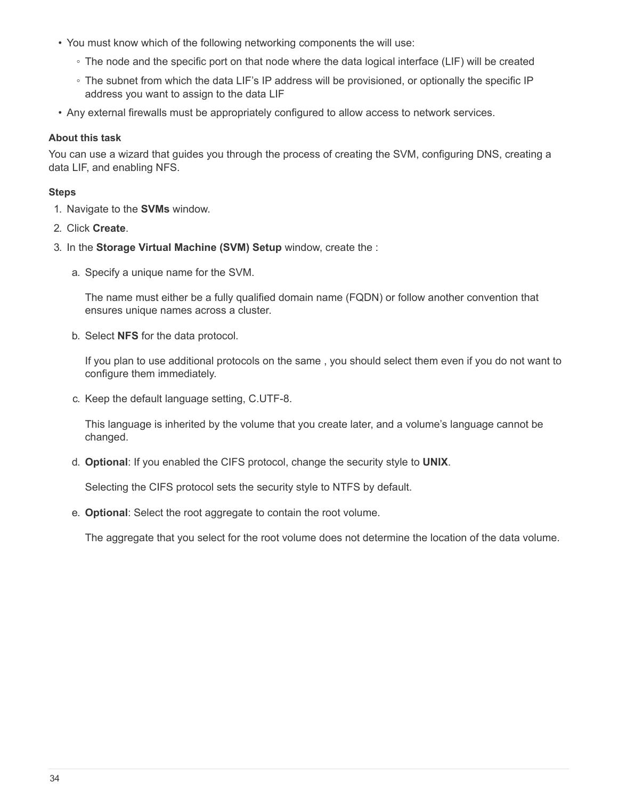- You must know which of the following networking components the will use:
	- The node and the specific port on that node where the data logical interface (LIF) will be created
	- The subnet from which the data LIF's IP address will be provisioned, or optionally the specific IP address you want to assign to the data LIF
- Any external firewalls must be appropriately configured to allow access to network services.

#### **About this task**

You can use a wizard that guides you through the process of creating the SVM, configuring DNS, creating a data LIF, and enabling NFS.

#### **Steps**

- 1. Navigate to the **SVMs** window.
- 2. Click **Create**.
- 3. In the **Storage Virtual Machine (SVM) Setup** window, create the :
	- a. Specify a unique name for the SVM.

The name must either be a fully qualified domain name (FQDN) or follow another convention that ensures unique names across a cluster.

b. Select **NFS** for the data protocol.

If you plan to use additional protocols on the same , you should select them even if you do not want to configure them immediately.

c. Keep the default language setting, C.UTF-8.

This language is inherited by the volume that you create later, and a volume's language cannot be changed.

d. **Optional**: If you enabled the CIFS protocol, change the security style to **UNIX**.

Selecting the CIFS protocol sets the security style to NTFS by default.

e. **Optional**: Select the root aggregate to contain the root volume.

The aggregate that you select for the root volume does not determine the location of the data volume.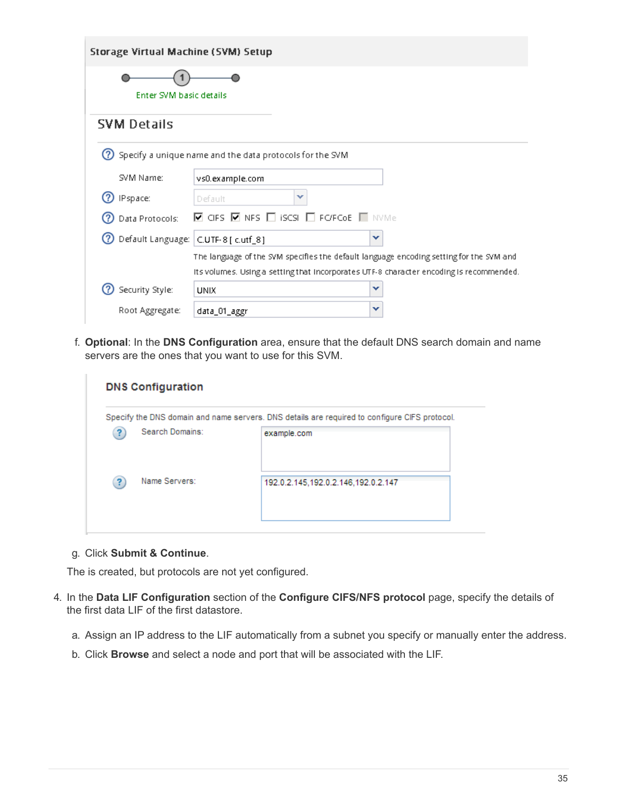| Storage Virtual Machine (SVM) Setup |                                                                                                        |   |
|-------------------------------------|--------------------------------------------------------------------------------------------------------|---|
| Enter SVM basic details             |                                                                                                        |   |
| <b>SVM Details</b>                  |                                                                                                        |   |
| (?)                                 | Specify a unique name and the data protocols for the SVM                                               |   |
| SVM Name:                           | vs0.example.com                                                                                        |   |
| IPspace:                            | ×<br>Default                                                                                           |   |
| Data Protocols:                     | $\blacksquare$ CIFS $\blacksquare$ NFS $\blacksquare$ iscsl $\blacksquare$ FC/FCoE $\blacksquare$ NVMe |   |
| (?)                                 | Default Language: C.UTF-8 [ c.utf_8]                                                                   | v |
|                                     | The language of the SVM specifies the default language encoding setting for the SVM and                |   |
|                                     | Its volumes. Using a setting that incorporates UTF-8 character encoding is recommended.                |   |
| Security Style:                     | <b>UNIX</b>                                                                                            | v |
| Root Aggregate:                     | data_01_aggr                                                                                           | v |

f. **Optional**: In the **DNS Configuration** area, ensure that the default DNS search domain and name servers are the ones that you want to use for this SVM.

|   |                 | Specify the DNS domain and name servers. DNS details are required to configure CIFS protocol. |
|---|-----------------|-----------------------------------------------------------------------------------------------|
|   | Search Domains: | example.com                                                                                   |
| ? | Name Servers:   | 192.0.2.145,192.0.2.146,192.0.2.147                                                           |

g. Click **Submit & Continue**.

The is created, but protocols are not yet configured.

- 4. In the **Data LIF Configuration** section of the **Configure CIFS/NFS protocol** page, specify the details of the first data LIF of the first datastore.
	- a. Assign an IP address to the LIF automatically from a subnet you specify or manually enter the address.
	- b. Click **Browse** and select a node and port that will be associated with the LIF.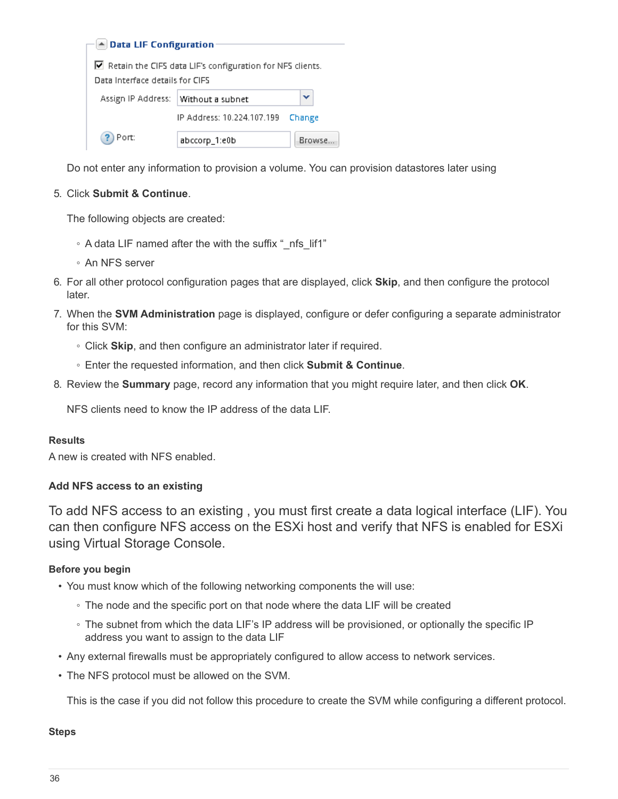| A Data LIF Configuration            |                                                           |        |
|-------------------------------------|-----------------------------------------------------------|--------|
|                                     |                                                           |        |
|                                     | Retain the CIFS data LIF's configuration for NFS clients. |        |
| Data Interface details for CIFS     |                                                           |        |
| Assign IP Address: Without a subnet |                                                           |        |
|                                     | IP Address: 10.224.107.199                                | Change |
| Port:                               | abccorp_1:e0b                                             | Browse |

Do not enter any information to provision a volume. You can provision datastores later using

#### 5. Click **Submit & Continue**.

The following objects are created:

- A data LIF named after the with the suffix "\_nfs\_lif1"
- An NFS server
- 6. For all other protocol configuration pages that are displayed, click **Skip**, and then configure the protocol later.
- 7. When the **SVM Administration** page is displayed, configure or defer configuring a separate administrator for this SVM:
	- Click **Skip**, and then configure an administrator later if required.
	- Enter the requested information, and then click **Submit & Continue**.
- 8. Review the **Summary** page, record any information that you might require later, and then click **OK**.

NFS clients need to know the IP address of the data LIF.

#### **Results**

A new is created with NFS enabled.

## **Add NFS access to an existing**

To add NFS access to an existing , you must first create a data logical interface (LIF). You can then configure NFS access on the ESXi host and verify that NFS is enabled for ESXi using Virtual Storage Console.

## **Before you begin**

- You must know which of the following networking components the will use:
	- The node and the specific port on that node where the data LIF will be created
	- The subnet from which the data LIF's IP address will be provisioned, or optionally the specific IP address you want to assign to the data LIF
- Any external firewalls must be appropriately configured to allow access to network services.
- The NFS protocol must be allowed on the SVM.

This is the case if you did not follow this procedure to create the SVM while configuring a different protocol.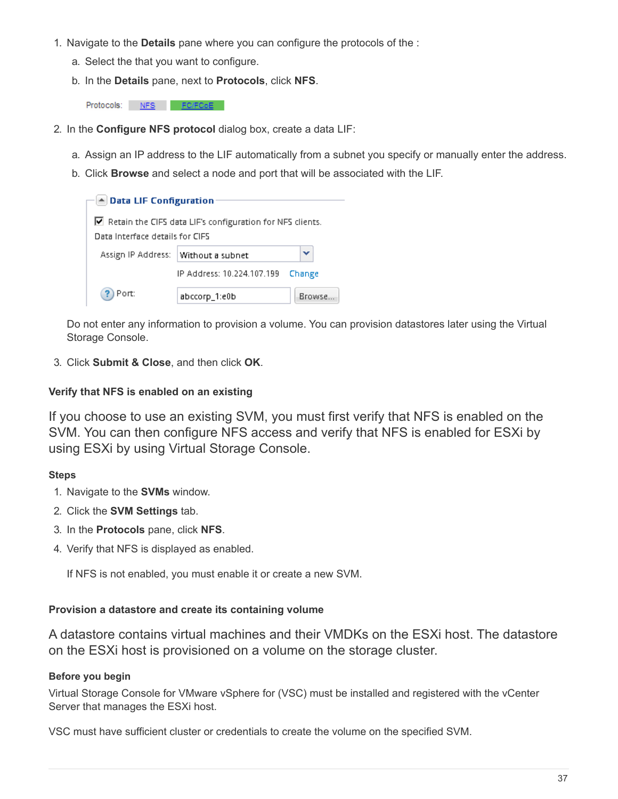- 1. Navigate to the **Details** pane where you can configure the protocols of the :
	- a. Select the that you want to configure.
	- b. In the **Details** pane, next to **Protocols**, click **NFS**.

Protocols: NFS FO/FCoE

- 2. In the **Configure NFS protocol** dialog box, create a data LIF:
	- a. Assign an IP address to the LIF automatically from a subnet you specify or manually enter the address.
	- b. Click **Browse** and select a node and port that will be associated with the LIF.

| $\blacktriangle$ Data LIF Configuration |                                                                          |         |
|-----------------------------------------|--------------------------------------------------------------------------|---------|
|                                         |                                                                          |         |
| Data Interface details for CIFS         | $\blacksquare$ Retain the CIFS data LIF's configuration for NFS clients. |         |
| Assign IP Address:                      | Without a subnet                                                         | v       |
|                                         | IP Address: 10.224.107.199                                               | Change  |
| Port:                                   | abccorp_1:e0b                                                            | Browse. |

Do not enter any information to provision a volume. You can provision datastores later using the Virtual Storage Console.

3. Click **Submit & Close**, and then click **OK**.

## **Verify that NFS is enabled on an existing**

If you choose to use an existing SVM, you must first verify that NFS is enabled on the SVM. You can then configure NFS access and verify that NFS is enabled for ESXi by using ESXi by using Virtual Storage Console.

## **Steps**

- 1. Navigate to the **SVMs** window.
- 2. Click the **SVM Settings** tab.
- 3. In the **Protocols** pane, click **NFS**.
- 4. Verify that NFS is displayed as enabled.

If NFS is not enabled, you must enable it or create a new SVM.

## **Provision a datastore and create its containing volume**

A datastore contains virtual machines and their VMDKs on the ESXi host. The datastore on the ESXi host is provisioned on a volume on the storage cluster.

## **Before you begin**

Virtual Storage Console for VMware vSphere for (VSC) must be installed and registered with the vCenter Server that manages the ESXi host.

VSC must have sufficient cluster or credentials to create the volume on the specified SVM.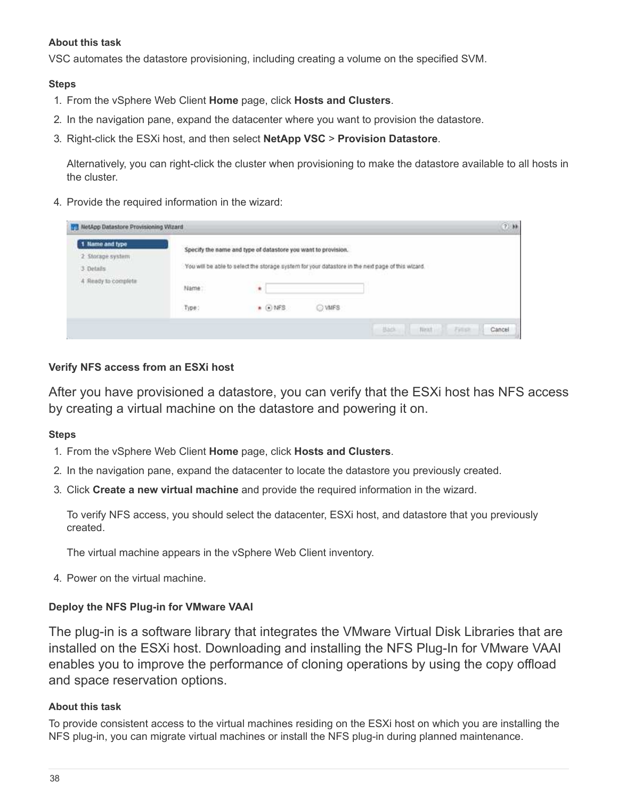#### **About this task**

VSC automates the datastore provisioning, including creating a volume on the specified SVM.

#### **Steps**

- 1. From the vSphere Web Client **Home** page, click **Hosts and Clusters**.
- 2. In the navigation pane, expand the datacenter where you want to provision the datastore.
- 3. Right-click the ESXi host, and then select **NetApp VSC** > **Provision Datastore**.

Alternatively, you can right-click the cluster when provisioning to make the datastore available to all hosts in the cluster.

4. Provide the required information in the wizard:

| umanan<br>Name | ٠               |        |                                                                                                                                                                    |
|----------------|-----------------|--------|--------------------------------------------------------------------------------------------------------------------------------------------------------------------|
| Type:          | $\bullet$ 0 NFS | O VMFS |                                                                                                                                                                    |
|                |                 |        | Specify the name and type of datastore you want to provision.<br>You will be able to select the storage system for your datastore in the next page of this wizard. |

## **Verify NFS access from an ESXi host**

After you have provisioned a datastore, you can verify that the ESXi host has NFS access by creating a virtual machine on the datastore and powering it on.

#### **Steps**

- 1. From the vSphere Web Client **Home** page, click **Hosts and Clusters**.
- 2. In the navigation pane, expand the datacenter to locate the datastore you previously created.
- 3. Click **Create a new virtual machine** and provide the required information in the wizard.

To verify NFS access, you should select the datacenter, ESXi host, and datastore that you previously created.

The virtual machine appears in the vSphere Web Client inventory.

4. Power on the virtual machine.

## **Deploy the NFS Plug-in for VMware VAAI**

The plug-in is a software library that integrates the VMware Virtual Disk Libraries that are installed on the ESXi host. Downloading and installing the NFS Plug-In for VMware VAAI enables you to improve the performance of cloning operations by using the copy offload and space reservation options.

#### **About this task**

To provide consistent access to the virtual machines residing on the ESXi host on which you are installing the NFS plug-in, you can migrate virtual machines or install the NFS plug-in during planned maintenance.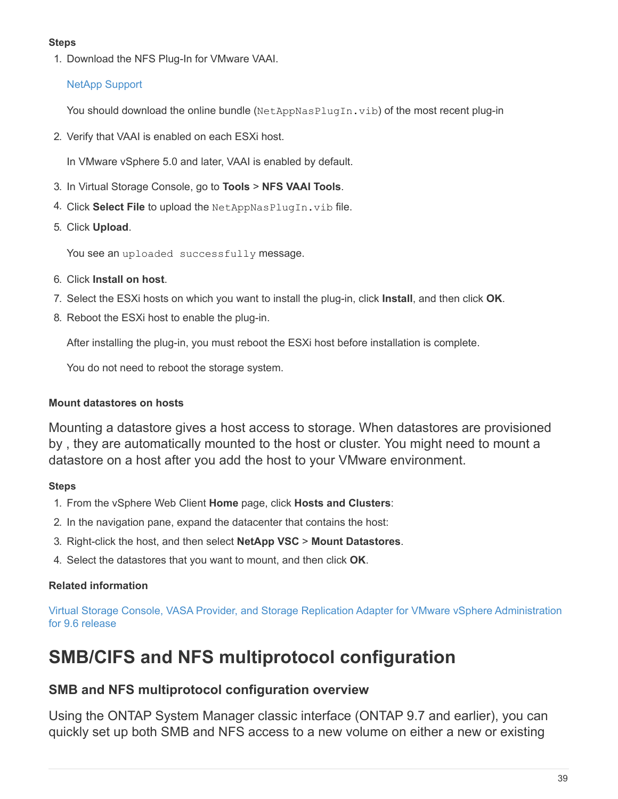## **Steps**

1. Download the NFS Plug-In for VMware VAAI.

## [NetApp Support](https://mysupport.netapp.com/site/global/dashboard)

You should download the online bundle (NetAppNasPlugIn.vib) of the most recent plug-in

2. Verify that VAAI is enabled on each ESXi host.

In VMware vSphere 5.0 and later, VAAI is enabled by default.

- 3. In Virtual Storage Console, go to **Tools** > **NFS VAAI Tools**.
- 4. Click **Select File** to upload the NetAppNasPlugIn.vib file.
- 5. Click **Upload**.

You see an uploaded successfully message.

- 6. Click **Install on host**.
- 7. Select the ESXi hosts on which you want to install the plug-in, click **Install**, and then click **OK**.
- 8. Reboot the ESXi host to enable the plug-in.

After installing the plug-in, you must reboot the ESXi host before installation is complete.

You do not need to reboot the storage system.

## **Mount datastores on hosts**

Mounting a datastore gives a host access to storage. When datastores are provisioned by , they are automatically mounted to the host or cluster. You might need to mount a datastore on a host after you add the host to your VMware environment.

## **Steps**

- 1. From the vSphere Web Client **Home** page, click **Hosts and Clusters**:
- 2. In the navigation pane, expand the datacenter that contains the host:
- 3. Right-click the host, and then select **NetApp VSC** > **Mount Datastores**.
- 4. Select the datastores that you want to mount, and then click **OK**.

# **Related information**

[Virtual Storage Console, VASA Provider, and Storage Replication Adapter for VMware vSphere Administration](https://docs.netapp.com/vapp-96/topic/com.netapp.doc.vsc-iag/home.html) [for 9.6 release](https://docs.netapp.com/vapp-96/topic/com.netapp.doc.vsc-iag/home.html)

# **SMB/CIFS and NFS multiprotocol configuration**

# **SMB and NFS multiprotocol configuration overview**

Using the ONTAP System Manager classic interface (ONTAP 9.7 and earlier), you can quickly set up both SMB and NFS access to a new volume on either a new or existing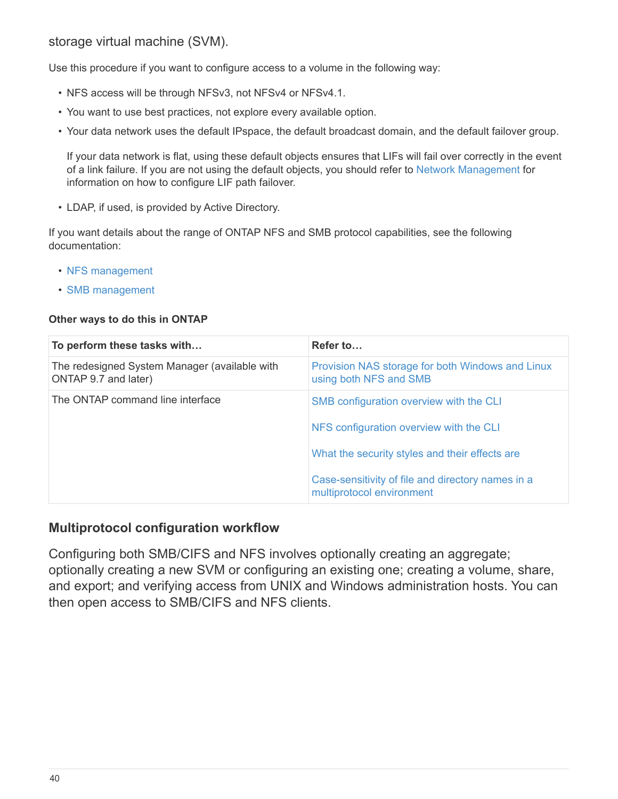# storage virtual machine (SVM).

Use this procedure if you want to configure access to a volume in the following way:

- NFS access will be through NFSv3, not NFSv4 or NFSv4.1.
- You want to use best practices, not explore every available option.
- Your data network uses the default IPspace, the default broadcast domain, and the default failover group.

If your data network is flat, using these default objects ensures that LIFs will fail over correctly in the event of a link failure. If you are not using the default objects, you should refer to [Network Management](https://docs.netapp.com/us-en/ontap/networking/index.html) for information on how to configure LIF path failover.

• LDAP, if used, is provided by Active Directory.

If you want details about the range of ONTAP NFS and SMB protocol capabilities, see the following documentation:

- [NFS management](https://docs.netapp.com/us-en/ontap/nfs-admin/index.html)
- [SMB management](https://docs.netapp.com/us-en/ontap/smb-admin/index.html)

## **Other ways to do this in ONTAP**

| To perform these tasks with                                           | Refer to                                                                       |
|-----------------------------------------------------------------------|--------------------------------------------------------------------------------|
| The redesigned System Manager (available with<br>ONTAP 9.7 and later) | Provision NAS storage for both Windows and Linux<br>using both NFS and SMB     |
| The ONTAP command line interface                                      | SMB configuration overview with the CLI                                        |
|                                                                       | NFS configuration overview with the CLI                                        |
|                                                                       | What the security styles and their effects are                                 |
|                                                                       | Case-sensitivity of file and directory names in a<br>multiprotocol environment |

# **Multiprotocol configuration workflow**

Configuring both SMB/CIFS and NFS involves optionally creating an aggregate; optionally creating a new SVM or configuring an existing one; creating a volume, share, and export; and verifying access from UNIX and Windows administration hosts. You can then open access to SMB/CIFS and NFS clients.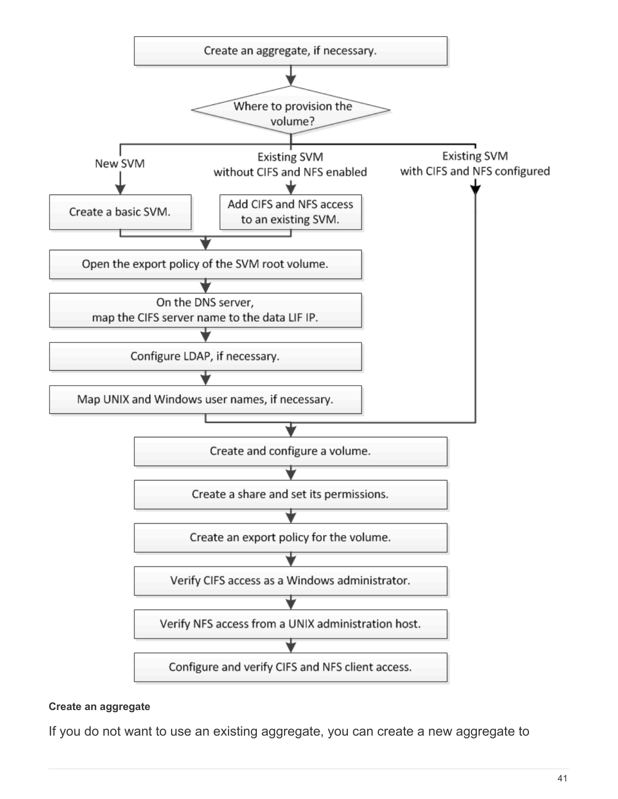

# **Create an aggregate**

If you do not want to use an existing aggregate, you can create a new aggregate to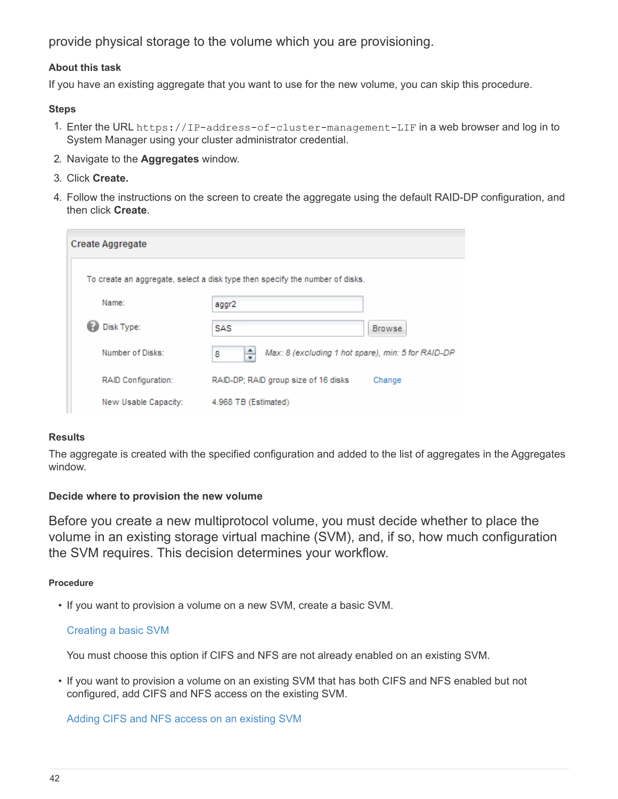provide physical storage to the volume which you are provisioning.

#### **About this task**

If you have an existing aggregate that you want to use for the new volume, you can skip this procedure.

#### **Steps**

- 1. Enter the URL https://IP-address-of-cluster-management-LIF in a web browser and log in to System Manager using your cluster administrator credential.
- 2. Navigate to the **Aggregates** window.
- 3. Click **Create.**
- 4. Follow the instructions on the screen to create the aggregate using the default RAID-DP configuration, and then click **Create**.

| <b>Create Aggregate</b> |                                                                              |         |
|-------------------------|------------------------------------------------------------------------------|---------|
|                         | To create an aggregate, select a disk type then specify the number of disks. |         |
| Name:                   | aggr2                                                                        |         |
| Disk Type:              | <b>SAS</b>                                                                   | Browse. |
| Number of Disks:        | ÷<br>Max: 8 (excluding 1 hot spare), min: 5 for RAID-DP<br>8                 |         |
| RAID Configuration:     | RAID-DP; RAID group size of 16 disks                                         | Change  |
| New Usable Capacity:    | 4.968 TB (Estimated)                                                         |         |

#### **Results**

The aggregate is created with the specified configuration and added to the list of aggregates in the Aggregates window.

## **Decide where to provision the new volume**

Before you create a new multiprotocol volume, you must decide whether to place the volume in an existing storage virtual machine (SVM), and, if so, how much configuration the SVM requires. This decision determines your workflow.

#### **Procedure**

• If you want to provision a volume on a new SVM, create a basic SVM.

## [Creating a basic SVM](#page-44-0)

You must choose this option if CIFS and NFS are not already enabled on an existing SVM.

• If you want to provision a volume on an existing SVM that has both CIFS and NFS enabled but not configured, add CIFS and NFS access on the existing SVM.

[Adding CIFS and NFS access on an existing SVM](#page-47-0)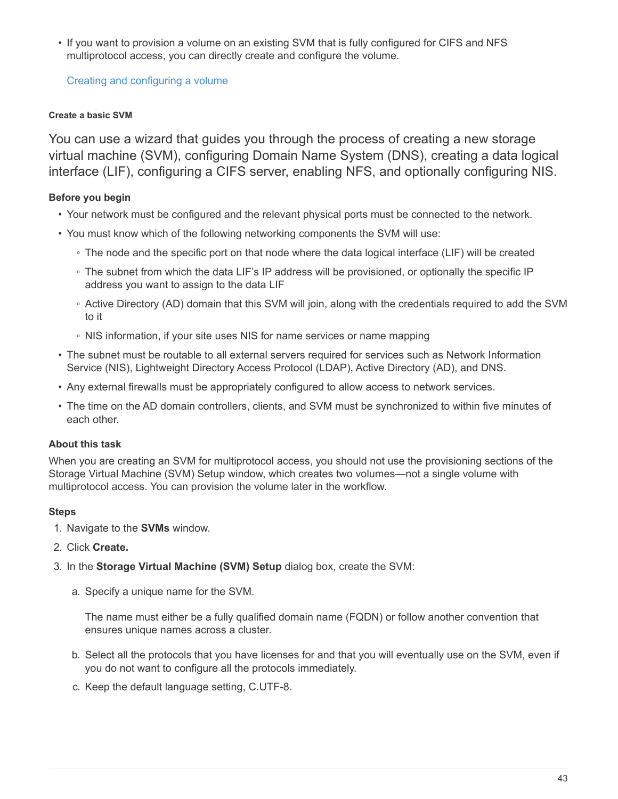• If you want to provision a volume on an existing SVM that is fully configured for CIFS and NFS multiprotocol access, you can directly create and configure the volume.

[Creating and configuring a volume](#page-57-0)

## <span id="page-44-0"></span>**Create a basic SVM**

You can use a wizard that guides you through the process of creating a new storage virtual machine (SVM), configuring Domain Name System (DNS), creating a data logical interface (LIF), configuring a CIFS server, enabling NFS, and optionally configuring NIS.

# **Before you begin**

- Your network must be configured and the relevant physical ports must be connected to the network.
- You must know which of the following networking components the SVM will use:
	- The node and the specific port on that node where the data logical interface (LIF) will be created
	- The subnet from which the data LIF's IP address will be provisioned, or optionally the specific IP address you want to assign to the data LIF
	- Active Directory (AD) domain that this SVM will join, along with the credentials required to add the SVM to it
	- NIS information, if your site uses NIS for name services or name mapping
- The subnet must be routable to all external servers required for services such as Network Information Service (NIS), Lightweight Directory Access Protocol (LDAP), Active Directory (AD), and DNS.
- Any external firewalls must be appropriately configured to allow access to network services.
- The time on the AD domain controllers, clients, and SVM must be synchronized to within five minutes of each other.

# **About this task**

When you are creating an SVM for multiprotocol access, you should not use the provisioning sections of the Storage Virtual Machine (SVM) Setup window, which creates two volumes—not a single volume with multiprotocol access. You can provision the volume later in the workflow.

## **Steps**

- 1. Navigate to the **SVMs** window.
- 2. Click **Create.**
- 3. In the **Storage Virtual Machine (SVM) Setup** dialog box, create the SVM:
	- a. Specify a unique name for the SVM.

The name must either be a fully qualified domain name (FQDN) or follow another convention that ensures unique names across a cluster.

- b. Select all the protocols that you have licenses for and that you will eventually use on the SVM, even if you do not want to configure all the protocols immediately.
- c. Keep the default language setting, C.UTF-8.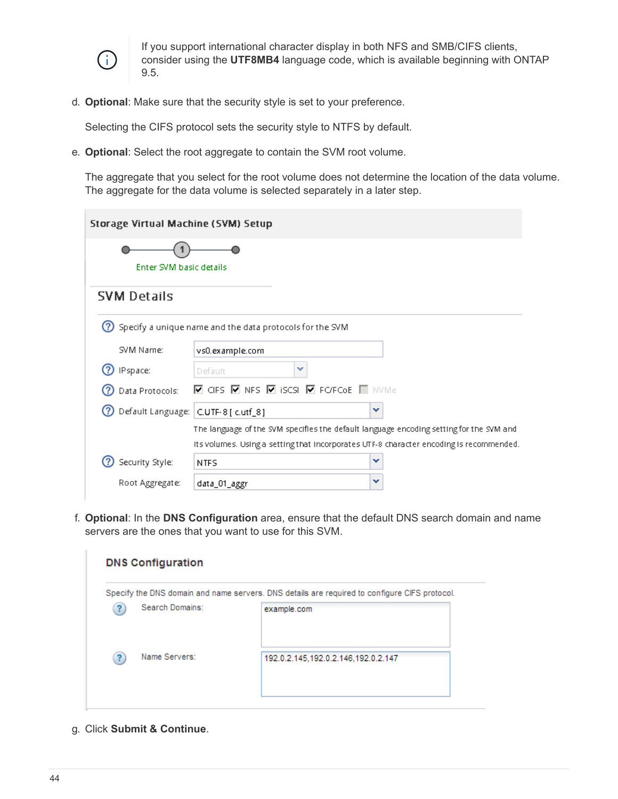

If you support international character display in both NFS and SMB/CIFS clients, consider using the **UTF8MB4** language code, which is available beginning with ONTAP 9.5.

d. **Optional**: Make sure that the security style is set to your preference.

Selecting the CIFS protocol sets the security style to NTFS by default.

e. **Optional**: Select the root aggregate to contain the SVM root volume.

The aggregate that you select for the root volume does not determine the location of the data volume. The aggregate for the data volume is selected separately in a later step.

| Storage Virtual Machine (SVM) Setup  |                                                                                                        |
|--------------------------------------|--------------------------------------------------------------------------------------------------------|
| Enter SVM basic details              |                                                                                                        |
| <b>SVM Details</b>                   |                                                                                                        |
|                                      | Specify a unique name and the data protocols for the SVM                                               |
| SVM Name:                            | vs0.example.com                                                                                        |
| IPspace:                             | ×<br>Default                                                                                           |
| Data Protocols:                      | $\blacksquare$ CIFS $\blacksquare$ NFS $\blacksquare$ ISCSI $\blacksquare$ FO/FCoE $\blacksquare$ NVMe |
| Default Language: C.UTF-8 [ c.utf_8] | v                                                                                                      |
|                                      | The language of the SVM specifies the default language encoding setting for the SVM and                |
|                                      | Its volumes. Using a setting that incorporates UTF-8 character encoding is recommended.                |
| Security Style:                      | v<br><b>NTFS</b>                                                                                       |
| Root Aggregate:                      | v<br>data_01_aggr                                                                                      |

f. **Optional**: In the **DNS Configuration** area, ensure that the default DNS search domain and name servers are the ones that you want to use for this SVM.

|                 | Specify the DNS domain and name servers. DNS details are required to configure CIFS protocol. |
|-----------------|-----------------------------------------------------------------------------------------------|
| Search Domains: | example.com                                                                                   |
| Name Servers:   | 192.0.2.145,192.0.2.146,192.0.2.147                                                           |

g. Click **Submit & Continue**.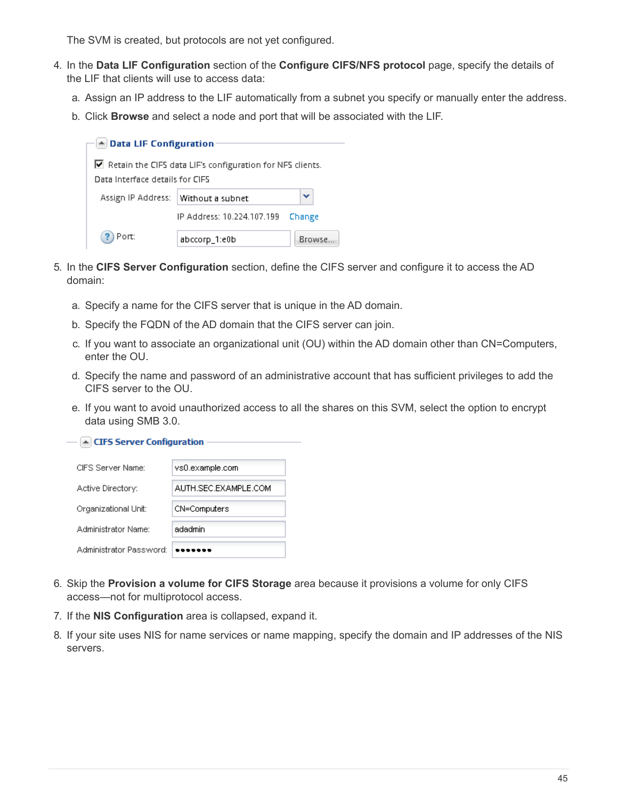The SVM is created, but protocols are not yet configured.

- 4. In the **Data LIF Configuration** section of the **Configure CIFS/NFS protocol** page, specify the details of the LIF that clients will use to access data:
	- a. Assign an IP address to the LIF automatically from a subnet you specify or manually enter the address.
	- b. Click **Browse** and select a node and port that will be associated with the LIF.

| ▲ Data LIF Configuration         |                                                                          |         |
|----------------------------------|--------------------------------------------------------------------------|---------|
|                                  |                                                                          |         |
|                                  | $\blacksquare$ Retain the CIFS data LIF's configuration for NFS clients. |         |
| Data Interface details for CIFS. |                                                                          |         |
|                                  |                                                                          |         |
| Assign IP Address:               | Without a subnet                                                         | v       |
|                                  | IP Address: 10.224.107.199                                               | Change  |
| Port:                            | abccorp_1:e0b                                                            | Browse, |

- 5. In the **CIFS Server Configuration** section, define the CIFS server and configure it to access the AD domain:
	- a. Specify a name for the CIFS server that is unique in the AD domain.
	- b. Specify the FQDN of the AD domain that the CIFS server can join.
	- c. If you want to associate an organizational unit (OU) within the AD domain other than CN=Computers, enter the OU.
	- d. Specify the name and password of an administrative account that has sufficient privileges to add the CIFS server to the OU.
	- e. If you want to avoid unauthorized access to all the shares on this SVM, select the option to encrypt data using SMB 3.0.

 $\triangle$  CIFS Server Configuration

| CIES Server Name:       | vs0.example.com      |
|-------------------------|----------------------|
| Active Directory:       | AUTH SEC EXAMPLE COM |
| Organizational Unit:    | CN=Computers         |
| Administrator Name:     | adadmin              |
| Administrator Password: |                      |

- 6. Skip the **Provision a volume for CIFS Storage** area because it provisions a volume for only CIFS access—not for multiprotocol access.
- 7. If the **NIS Configuration** area is collapsed, expand it.
- 8. If your site uses NIS for name services or name mapping, specify the domain and IP addresses of the NIS servers.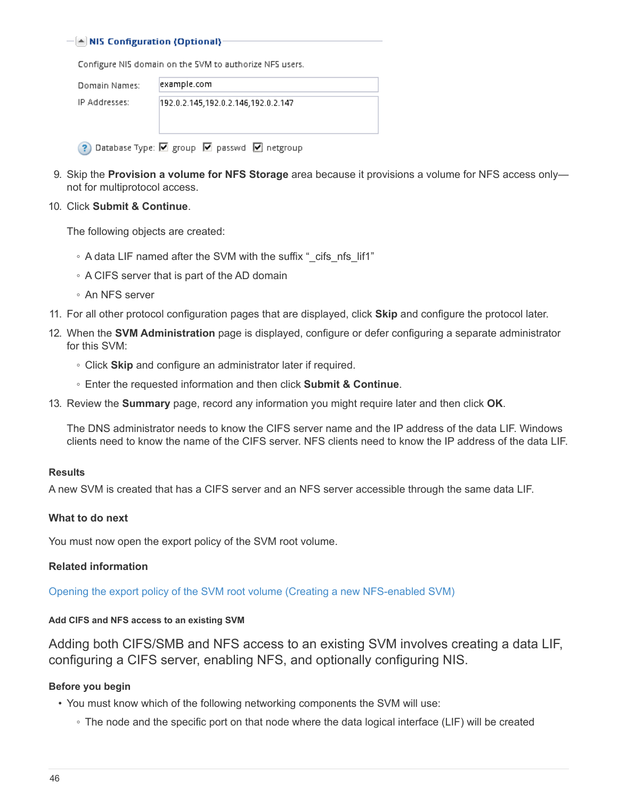#### $\left[\triangle\right]$  NIS Configuration (Optional):

Configure NIS domain on the SVM to authorize NFS users.

? Database Type: Ø group Ø passwd Ø netgroup

| Domain Names: | example.com                         |
|---------------|-------------------------------------|
| IP Addresses: | 192.0.2.145.192.0.2.146.192.0.2.147 |
|               |                                     |

- 9. Skip the **Provision a volume for NFS Storage** area because it provisions a volume for NFS access only—
- 10. Click **Submit & Continue**.

not for multiprotocol access.

The following objects are created:

- A data LIF named after the SVM with the suffix "\_cifs\_nfs\_lif1"
- A CIFS server that is part of the AD domain
- An NFS server
- 11. For all other protocol configuration pages that are displayed, click **Skip** and configure the protocol later.
- 12. When the **SVM Administration** page is displayed, configure or defer configuring a separate administrator for this SVM:
	- Click **Skip** and configure an administrator later if required.
	- Enter the requested information and then click **Submit & Continue**.
- 13. Review the **Summary** page, record any information you might require later and then click **OK**.

The DNS administrator needs to know the CIFS server name and the IP address of the data LIF. Windows clients need to know the name of the CIFS server. NFS clients need to know the IP address of the data LIF.

#### **Results**

A new SVM is created that has a CIFS server and an NFS server accessible through the same data LIF.

#### **What to do next**

You must now open the export policy of the SVM root volume.

#### **Related information**

[Opening the export policy of the SVM root volume \(Creating a new NFS-enabled SVM\)](#page-50-0)

#### <span id="page-47-0"></span>**Add CIFS and NFS access to an existing SVM**

Adding both CIFS/SMB and NFS access to an existing SVM involves creating a data LIF, configuring a CIFS server, enabling NFS, and optionally configuring NIS.

#### **Before you begin**

- You must know which of the following networking components the SVM will use:
	- The node and the specific port on that node where the data logical interface (LIF) will be created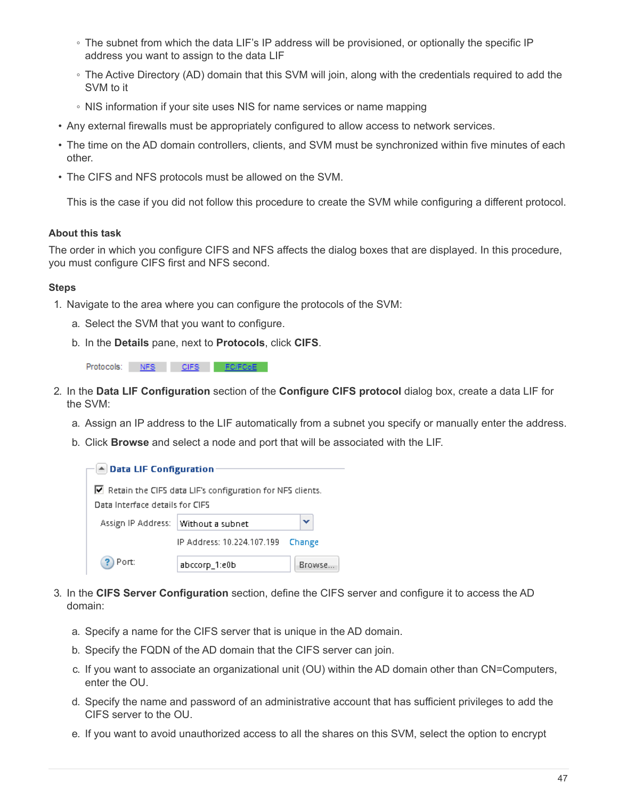- The subnet from which the data LIF's IP address will be provisioned, or optionally the specific IP address you want to assign to the data LIF
- The Active Directory (AD) domain that this SVM will join, along with the credentials required to add the SVM to it
- NIS information if your site uses NIS for name services or name mapping
- Any external firewalls must be appropriately configured to allow access to network services.
- The time on the AD domain controllers, clients, and SVM must be synchronized within five minutes of each other.
- The CIFS and NFS protocols must be allowed on the SVM.

This is the case if you did not follow this procedure to create the SVM while configuring a different protocol.

#### **About this task**

The order in which you configure CIFS and NFS affects the dialog boxes that are displayed. In this procedure, you must configure CIFS first and NFS second.

- 1. Navigate to the area where you can configure the protocols of the SVM:
	- a. Select the SVM that you want to configure.
	- b. In the **Details** pane, next to **Protocols**, click **CIFS**.

| Protocols: | NFS | CIFS |  |
|------------|-----|------|--|
|            |     |      |  |

- 2. In the **Data LIF Configuration** section of the **Configure CIFS protocol** dialog box, create a data LIF for the SVM:
	- a. Assign an IP address to the LIF automatically from a subnet you specify or manually enter the address.
	- b. Click **Browse** and select a node and port that will be associated with the LIF.

| $\blacktriangle$ Data LIF Configuration |                                                           |         |  |  |  |
|-----------------------------------------|-----------------------------------------------------------|---------|--|--|--|
|                                         |                                                           |         |  |  |  |
| Data Interface details for CIFS         | Retain the CIFS data LIF's configuration for NFS clients. |         |  |  |  |
| Assign IP Address:                      | Without a subnet                                          | v       |  |  |  |
|                                         | IP Address: 10.224.107.199                                | Change  |  |  |  |
| Port:                                   | abccorp_1:e0b                                             | Browse. |  |  |  |

- 3. In the **CIFS Server Configuration** section, define the CIFS server and configure it to access the AD domain:
	- a. Specify a name for the CIFS server that is unique in the AD domain.
	- b. Specify the FQDN of the AD domain that the CIFS server can join.
	- c. If you want to associate an organizational unit (OU) within the AD domain other than CN=Computers, enter the OU.
	- d. Specify the name and password of an administrative account that has sufficient privileges to add the CIFS server to the OU.
	- e. If you want to avoid unauthorized access to all the shares on this SVM, select the option to encrypt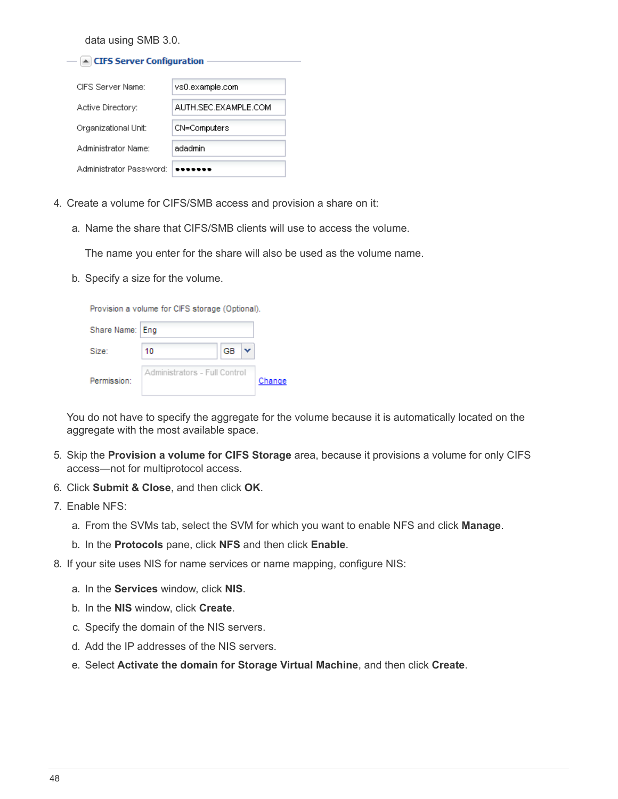data using SMB 3.0.

| ▲ CIFS Server Configuration |                      |  |  |  |  |
|-----------------------------|----------------------|--|--|--|--|
| CIFS Server Name:           | vs0.example.com      |  |  |  |  |
| Active Directory:           | AUTH SEC EXAMPLE COM |  |  |  |  |
| Organizational Unit:        | CN=Computers         |  |  |  |  |
| Administrator Name:         | adadmin              |  |  |  |  |
| Administrator Password:     |                      |  |  |  |  |

- 4. Create a volume for CIFS/SMB access and provision a share on it:
	- a. Name the share that CIFS/SMB clients will use to access the volume.

The name you enter for the share will also be used as the volume name.

b. Specify a size for the volume.

|                 | Provision a volume for CIFS storage (Optional). |    |        |
|-----------------|-------------------------------------------------|----|--------|
| Share Name: Eng |                                                 |    |        |
| Size:           | 10                                              | GB |        |
| Permission:     | Administrators - Full Control                   |    | Change |

You do not have to specify the aggregate for the volume because it is automatically located on the aggregate with the most available space.

- 5. Skip the **Provision a volume for CIFS Storage** area, because it provisions a volume for only CIFS access—not for multiprotocol access.
- 6. Click **Submit & Close**, and then click **OK**.
- 7. Enable NFS:
	- a. From the SVMs tab, select the SVM for which you want to enable NFS and click **Manage**.
	- b. In the **Protocols** pane, click **NFS** and then click **Enable**.
- 8. If your site uses NIS for name services or name mapping, configure NIS:
	- a. In the **Services** window, click **NIS**.
	- b. In the **NIS** window, click **Create**.
	- c. Specify the domain of the NIS servers.
	- d. Add the IP addresses of the NIS servers.
	- e. Select **Activate the domain for Storage Virtual Machine**, and then click **Create**.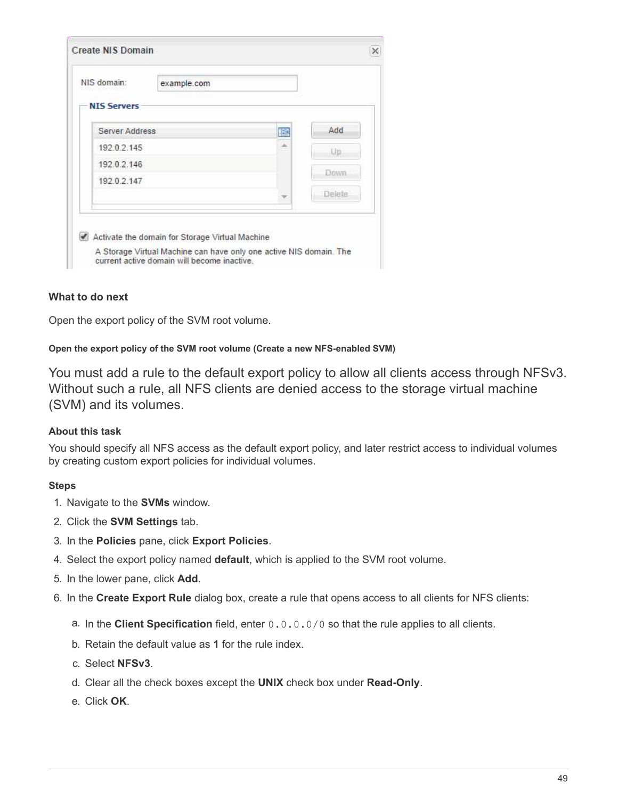| NIS domain:        | example.com |   |        |
|--------------------|-------------|---|--------|
| <b>NIS Servers</b> |             |   |        |
| Server Address     |             | 鹛 | Add    |
| 192.0.2.145        |             | ۸ | Up     |
| 19202.146          |             |   | Down.  |
| 192 0 2 147        |             |   |        |
|                    |             |   | Delete |

## **What to do next**

Open the export policy of the SVM root volume.

#### <span id="page-50-0"></span>**Open the export policy of the SVM root volume (Create a new NFS-enabled SVM)**

You must add a rule to the default export policy to allow all clients access through NFSv3. Without such a rule, all NFS clients are denied access to the storage virtual machine (SVM) and its volumes.

## **About this task**

You should specify all NFS access as the default export policy, and later restrict access to individual volumes by creating custom export policies for individual volumes.

- 1. Navigate to the **SVMs** window.
- 2. Click the **SVM Settings** tab.
- 3. In the **Policies** pane, click **Export Policies**.
- 4. Select the export policy named **default**, which is applied to the SVM root volume.
- 5. In the lower pane, click **Add**.
- 6. In the **Create Export Rule** dialog box, create a rule that opens access to all clients for NFS clients:
	- a. In the **Client Specification** field, enter 0.0.0.0/0 so that the rule applies to all clients.
	- b. Retain the default value as **1** for the rule index.
	- c. Select **NFSv3**.
	- d. Clear all the check boxes except the **UNIX** check box under **Read-Only**.
	- e. Click **OK**.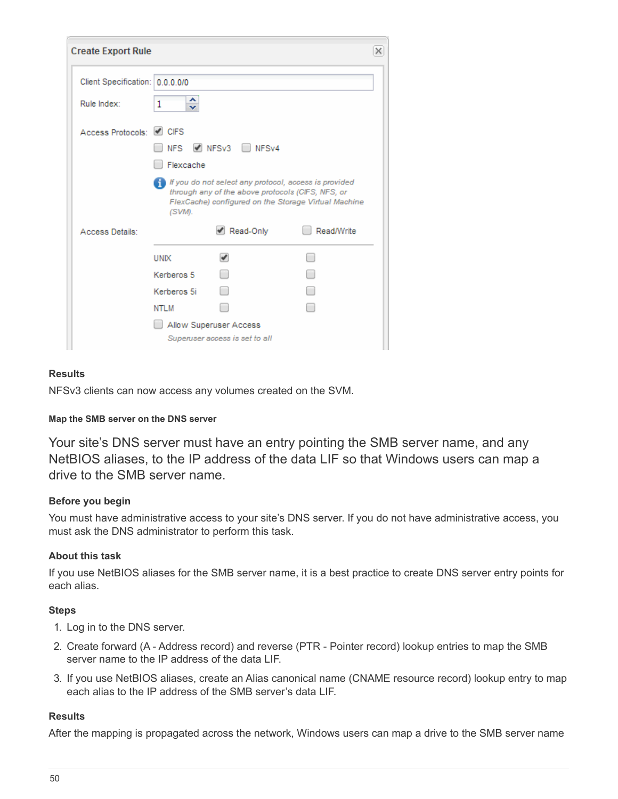| <b>Create Export Rule</b>       |             |                                                                                                            |                                                      | × |
|---------------------------------|-------------|------------------------------------------------------------------------------------------------------------|------------------------------------------------------|---|
| Client Specification: 0.0.0.0/0 |             |                                                                                                            |                                                      |   |
| Rule Index:                     | ≎<br>1      |                                                                                                            |                                                      |   |
| Access Protocols: ✔ CIFS        | <b>NFS</b>  | NFSv3 NFSv4                                                                                                |                                                      |   |
|                                 | Flexcache   |                                                                                                            |                                                      |   |
|                                 | (SVM).      | If you do not select any protocol, access is provided<br>through any of the above protocols (CIFS, NFS, or | FlexCache) configured on the Storage Virtual Machine |   |
| Access Details:                 |             | Read-Only                                                                                                  | <b>Read/Write</b>                                    |   |
|                                 | <b>UNIX</b> | $\blacktriangledown$                                                                                       |                                                      |   |
|                                 | Kerberos 5  |                                                                                                            |                                                      |   |
|                                 | Kerberos 5i |                                                                                                            |                                                      |   |
|                                 | NTLM        |                                                                                                            |                                                      |   |
|                                 |             | Allow Superuser Access<br>Superuser access is set to all                                                   |                                                      |   |

## **Results**

NFSv3 clients can now access any volumes created on the SVM.

#### **Map the SMB server on the DNS server**

Your site's DNS server must have an entry pointing the SMB server name, and any NetBIOS aliases, to the IP address of the data LIF so that Windows users can map a drive to the SMB server name.

#### **Before you begin**

You must have administrative access to your site's DNS server. If you do not have administrative access, you must ask the DNS administrator to perform this task.

#### **About this task**

If you use NetBIOS aliases for the SMB server name, it is a best practice to create DNS server entry points for each alias.

#### **Steps**

- 1. Log in to the DNS server.
- 2. Create forward (A Address record) and reverse (PTR Pointer record) lookup entries to map the SMB server name to the IP address of the data LIF.
- 3. If you use NetBIOS aliases, create an Alias canonical name (CNAME resource record) lookup entry to map each alias to the IP address of the SMB server's data LIF.

#### **Results**

After the mapping is propagated across the network, Windows users can map a drive to the SMB server name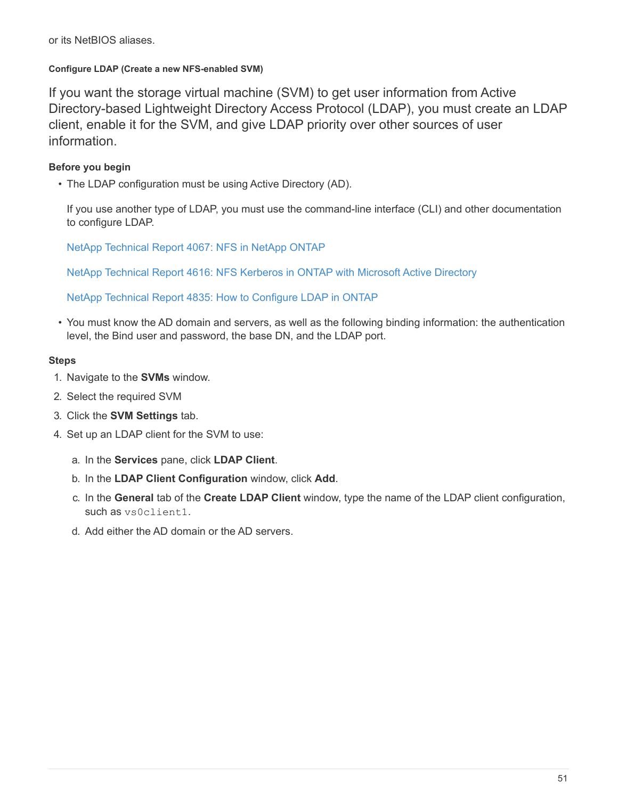#### **Configure LDAP (Create a new NFS-enabled SVM)**

If you want the storage virtual machine (SVM) to get user information from Active Directory-based Lightweight Directory Access Protocol (LDAP), you must create an LDAP client, enable it for the SVM, and give LDAP priority over other sources of user information.

## **Before you begin**

• The LDAP configuration must be using Active Directory (AD).

If you use another type of LDAP, you must use the command-line interface (CLI) and other documentation to configure LDAP.

[NetApp Technical Report 4067: NFS in NetApp ONTAP](https://www.netapp.com/pdf.html?item=/media/10720-tr-4067.pdf)

[NetApp Technical Report 4616: NFS Kerberos in ONTAP with Microsoft Active Directory](https://www.netapp.com/pdf.html?item=/media/19384-tr-4616.pdf)

[NetApp Technical Report 4835: How to Configure LDAP in ONTAP](https://www.netapp.com/pdf.html?item=/media/19423-tr-4835.pdf)

• You must know the AD domain and servers, as well as the following binding information: the authentication level, the Bind user and password, the base DN, and the LDAP port.

- 1. Navigate to the **SVMs** window.
- 2. Select the required SVM
- 3. Click the **SVM Settings** tab.
- 4. Set up an LDAP client for the SVM to use:
	- a. In the **Services** pane, click **LDAP Client**.
	- b. In the **LDAP Client Configuration** window, click **Add**.
	- c. In the **General** tab of the **Create LDAP Client** window, type the name of the LDAP client configuration, such as vs0client1.
	- d. Add either the AD domain or the AD servers.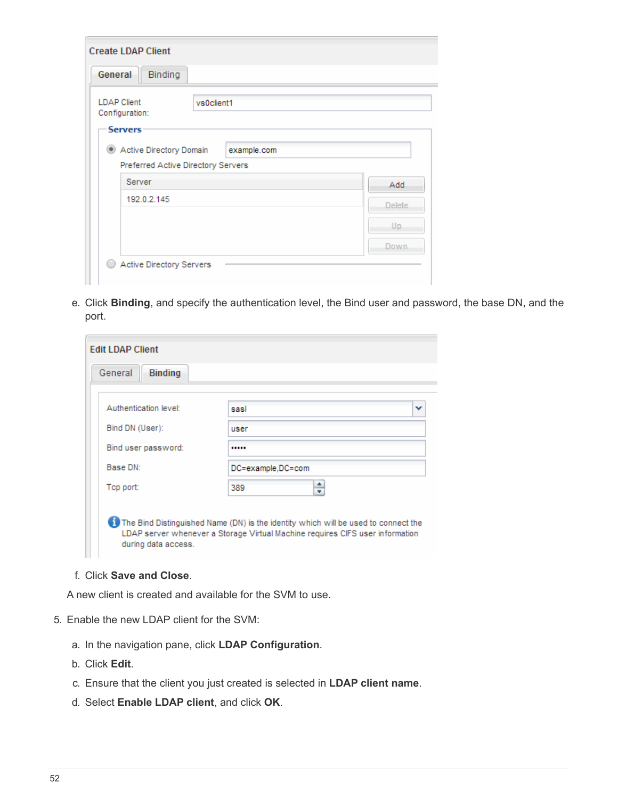| <b>Create LDAP Client</b>                          |         |
|----------------------------------------------------|---------|
| General<br>Binding                                 |         |
| <b>LDAP Client</b><br>vs0client1<br>Configuration: |         |
| <b>Servers</b>                                     |         |
| Active Directory Domain<br>example.com             |         |
| Preferred Active Directory Servers                 |         |
| Server                                             | Add     |
| 192.0.2.145                                        | Delete. |
|                                                    | Up.     |
|                                                    | Down.   |
| Active Directory Servers                           |         |

e. Click **Binding**, and specify the authentication level, the Bind user and password, the base DN, and the port.

| <b>Edit LDAP Client</b>   |                                                                                                                                                                     |
|---------------------------|---------------------------------------------------------------------------------------------------------------------------------------------------------------------|
| General<br><b>Binding</b> |                                                                                                                                                                     |
|                           |                                                                                                                                                                     |
| Authentication level:     | sasl<br>v                                                                                                                                                           |
| Bind DN (User):           | user                                                                                                                                                                |
| Bind user password:       |                                                                                                                                                                     |
| Base DN:                  | DC=example,DC=com                                                                                                                                                   |
| Top port:                 | ÷<br>389                                                                                                                                                            |
| during data access.       | The Bind Distinguished Name (DN) is the identity which will be used to connect the<br>LDAP server whenever a Storage Virtual Machine requires CIFS user information |

# f. Click **Save and Close**.

A new client is created and available for the SVM to use.

- 5. Enable the new LDAP client for the SVM:
	- a. In the navigation pane, click **LDAP Configuration**.
	- b. Click **Edit**.
	- c. Ensure that the client you just created is selected in **LDAP client name**.
	- d. Select **Enable LDAP client**, and click **OK**.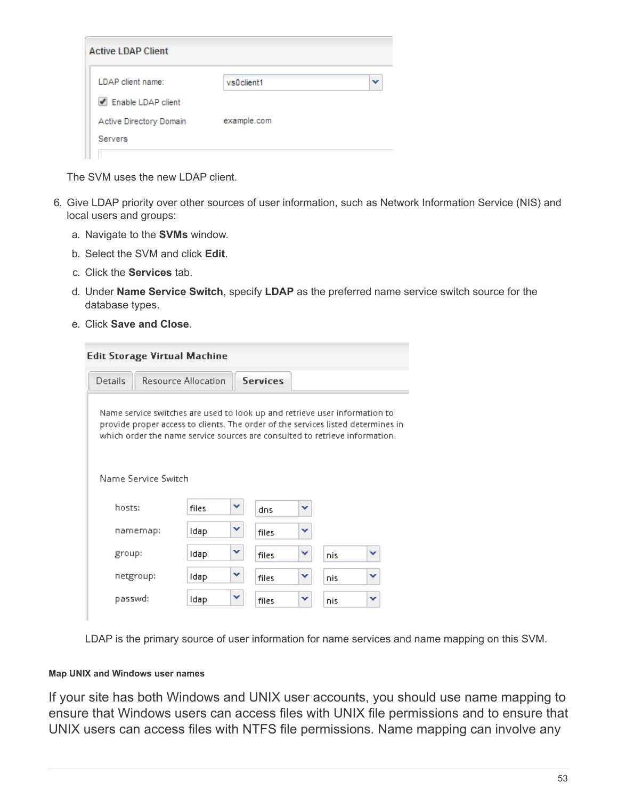| <b>Active LDAP Client</b> |             |              |
|---------------------------|-------------|--------------|
| LDAP client name:         | vs0client1  | $\checkmark$ |
| Enable LDAP client        |             |              |
| Active Directory Domain   | example.com |              |
| <b>Servers</b>            |             |              |
|                           |             |              |

The SVM uses the new LDAP client.

- 6. Give LDAP priority over other sources of user information, such as Network Information Service (NIS) and local users and groups:
	- a. Navigate to the **SVMs** window.
	- b. Select the SVM and click **Edit**.
	- c. Click the **Services** tab.
	- d. Under **Name Service Switch**, specify **LDAP** as the preferred name service switch source for the database types.
	- e. Click **Save and Close**.

| <b>Edit Storage Virtual Machine</b>                                                                                                                                                                                                           |                            |   |                 |   |     |   |
|-----------------------------------------------------------------------------------------------------------------------------------------------------------------------------------------------------------------------------------------------|----------------------------|---|-----------------|---|-----|---|
| Details                                                                                                                                                                                                                                       | <b>Resource Allocation</b> |   | <b>Services</b> |   |     |   |
| Name service switches are used to look up and retrieve user information to<br>provide proper access to clients. The order of the services listed determines in<br>which order the name service sources are consulted to retrieve information. |                            |   |                 |   |     |   |
| Name Service Switch                                                                                                                                                                                                                           |                            |   |                 |   |     |   |
| hosts:                                                                                                                                                                                                                                        | files                      | v | dns             | v |     |   |
| namemap:                                                                                                                                                                                                                                      | Idap                       | ▾ | files           | v |     |   |
| group:                                                                                                                                                                                                                                        | Idap                       | v | files           | v | nis | v |
| netgroup:                                                                                                                                                                                                                                     | Idap                       | v | files           | v | nis | v |
| passwd:                                                                                                                                                                                                                                       | Idap                       | v | files           | v | nis | v |
|                                                                                                                                                                                                                                               |                            |   |                 |   |     |   |

LDAP is the primary source of user information for name services and name mapping on this SVM.

#### **Map UNIX and Windows user names**

If your site has both Windows and UNIX user accounts, you should use name mapping to ensure that Windows users can access files with UNIX file permissions and to ensure that UNIX users can access files with NTFS file permissions. Name mapping can involve any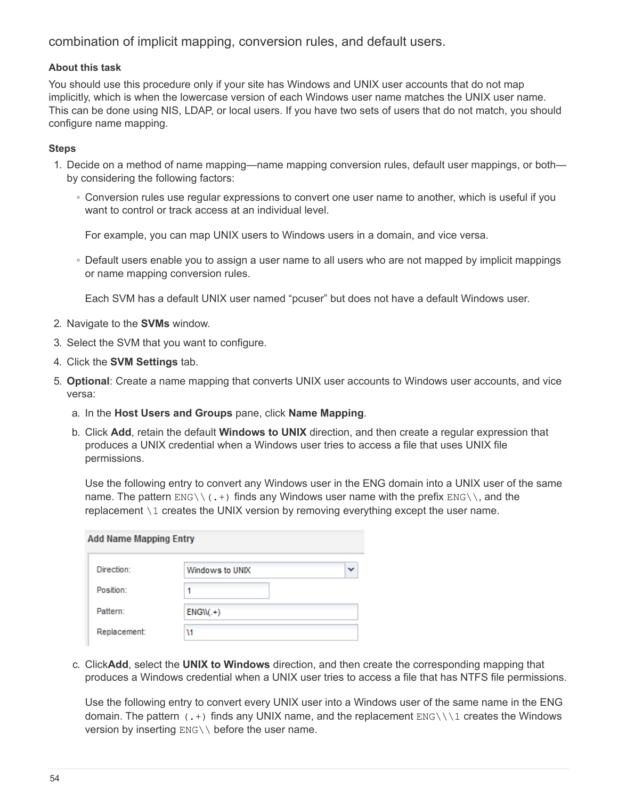combination of implicit mapping, conversion rules, and default users.

#### **About this task**

You should use this procedure only if your site has Windows and UNIX user accounts that do not map implicitly, which is when the lowercase version of each Windows user name matches the UNIX user name. This can be done using NIS, LDAP, or local users. If you have two sets of users that do not match, you should configure name mapping.

#### **Steps**

- 1. Decide on a method of name mapping—name mapping conversion rules, default user mappings, or both by considering the following factors:
	- Conversion rules use regular expressions to convert one user name to another, which is useful if you want to control or track access at an individual level.

For example, you can map UNIX users to Windows users in a domain, and vice versa.

◦ Default users enable you to assign a user name to all users who are not mapped by implicit mappings or name mapping conversion rules.

Each SVM has a default UNIX user named "pcuser" but does not have a default Windows user.

- 2. Navigate to the **SVMs** window.
- 3. Select the SVM that you want to configure.
- 4. Click the **SVM Settings** tab.
- 5. **Optional**: Create a name mapping that converts UNIX user accounts to Windows user accounts, and vice versa:
	- a. In the **Host Users and Groups** pane, click **Name Mapping**.
	- b. Click **Add**, retain the default **Windows to UNIX** direction, and then create a regular expression that produces a UNIX credential when a Windows user tries to access a file that uses UNIX file permissions.

Use the following entry to convert any Windows user in the ENG domain into a UNIX user of the same name. The pattern  $ENG\setminus (T,+)$  finds any Windows user name with the prefix  $ENG\setminus (T, a$  and the replacement \1 creates the UNIX version by removing everything except the user name.

| <b>Add Name Mapping Entry</b> |                 |  |
|-------------------------------|-----------------|--|
| Direction:                    | Windows to UNIX |  |
| Position:                     |                 |  |
| Pattern:                      | $ENGW(+)$       |  |
| Replacement:                  | ١1              |  |

c. Click**Add**, select the **UNIX to Windows** direction, and then create the corresponding mapping that produces a Windows credential when a UNIX user tries to access a file that has NTFS file permissions.

Use the following entry to convert every UNIX user into a Windows user of the same name in the ENG domain. The pattern  $(.+)$  finds any UNIX name, and the replacement  $ENGN\1$  creates the Windows version by inserting ENG\\ before the user name.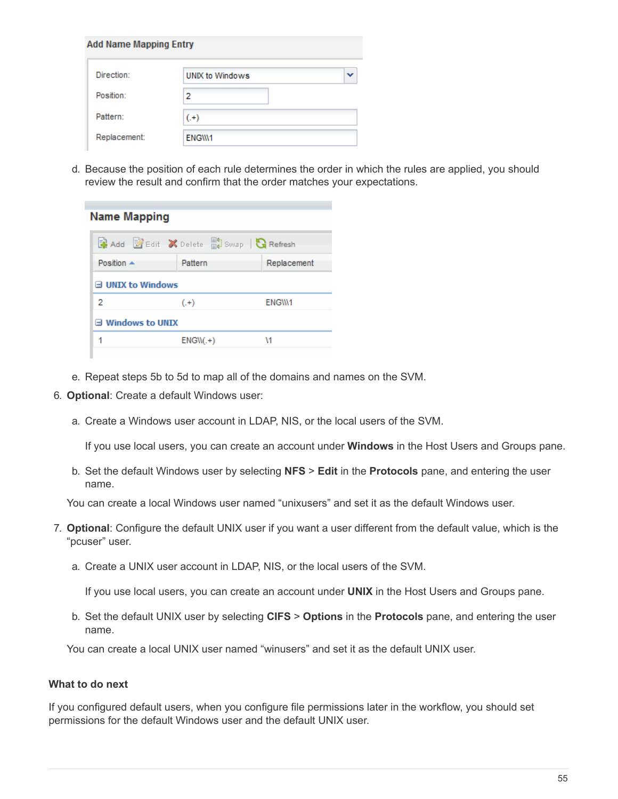| <b>Add Name Mapping Entry</b> |                        |  |
|-------------------------------|------------------------|--|
| Direction:                    | <b>UNIX to Windows</b> |  |
| Position:                     | 2                      |  |
| Pattern:                      | $(+)$                  |  |
| Replacement:                  | ENGW1                  |  |

d. Because the position of each rule determines the order in which the rules are applied, you should review the result and confirm that the order matches your expectations.

| <b>Name Mapping</b>       |                                                            |             |  |  |  |
|---------------------------|------------------------------------------------------------|-------------|--|--|--|
|                           | <b>Reference Construction</b> Belete Reflexion and Refresh |             |  |  |  |
| Position $\triangle$      | Pattern                                                    | Replacement |  |  |  |
| $\exists$ UNIX to Windows |                                                            |             |  |  |  |
| 2                         | $(+)$                                                      | ENGW1       |  |  |  |
| $\equiv$ Windows to UNIX  |                                                            |             |  |  |  |
|                           | $ENGW(+)$                                                  | ١1          |  |  |  |
|                           |                                                            |             |  |  |  |

- e. Repeat steps 5b to 5d to map all of the domains and names on the SVM.
- 6. **Optional**: Create a default Windows user:
	- a. Create a Windows user account in LDAP, NIS, or the local users of the SVM.

If you use local users, you can create an account under **Windows** in the Host Users and Groups pane.

b. Set the default Windows user by selecting **NFS** > **Edit** in the **Protocols** pane, and entering the user name.

You can create a local Windows user named "unixusers" and set it as the default Windows user.

- 7. **Optional**: Configure the default UNIX user if you want a user different from the default value, which is the "pcuser" user.
	- a. Create a UNIX user account in LDAP, NIS, or the local users of the SVM.

If you use local users, you can create an account under **UNIX** in the Host Users and Groups pane.

b. Set the default UNIX user by selecting **CIFS** > **Options** in the **Protocols** pane, and entering the user name.

You can create a local UNIX user named "winusers" and set it as the default UNIX user.

#### **What to do next**

If you configured default users, when you configure file permissions later in the workflow, you should set permissions for the default Windows user and the default UNIX user.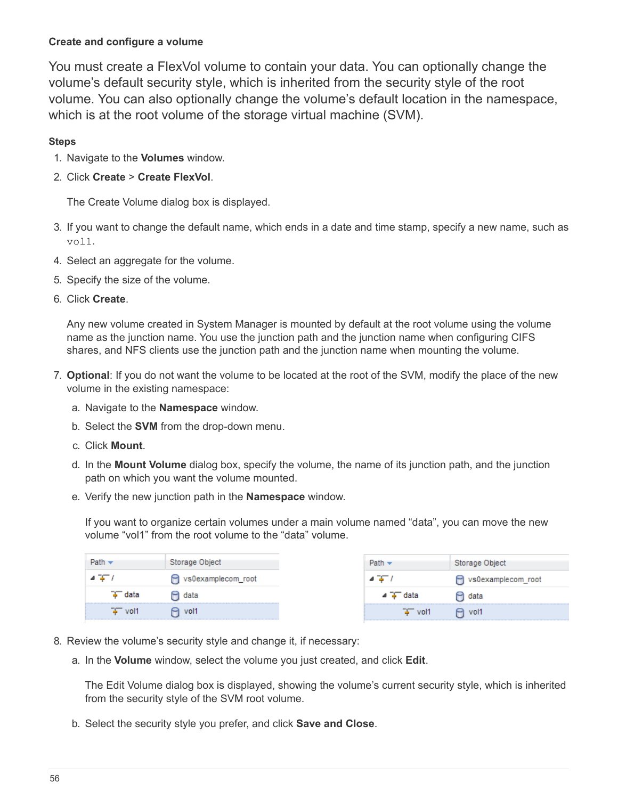## <span id="page-57-0"></span>**Create and configure a volume**

You must create a FlexVol volume to contain your data. You can optionally change the volume's default security style, which is inherited from the security style of the root volume. You can also optionally change the volume's default location in the namespace, which is at the root volume of the storage virtual machine (SVM).

## **Steps**

- 1. Navigate to the **Volumes** window.
- 2. Click **Create** > **Create FlexVol**.

The Create Volume dialog box is displayed.

- 3. If you want to change the default name, which ends in a date and time stamp, specify a new name, such as vol1.
- 4. Select an aggregate for the volume.
- 5. Specify the size of the volume.
- 6. Click **Create**.

Any new volume created in System Manager is mounted by default at the root volume using the volume name as the junction name. You use the junction path and the junction name when configuring CIFS shares, and NFS clients use the junction path and the junction name when mounting the volume.

- 7. **Optional**: If you do not want the volume to be located at the root of the SVM, modify the place of the new volume in the existing namespace:
	- a. Navigate to the **Namespace** window.
	- b. Select the **SVM** from the drop-down menu.
	- c. Click **Mount**.
	- d. In the **Mount Volume** dialog box, specify the volume, the name of its junction path, and the junction path on which you want the volume mounted.
	- e. Verify the new junction path in the **Namespace** window.

If you want to organize certain volumes under a main volume named "data", you can move the new volume "vol1" from the root volume to the "data" volume.

|        | Storage Object     |
|--------|--------------------|
|        | vs0examplecom_root |
|        | data               |
| – voľ1 | $P_1$ vol1         |

- 8. Review the volume's security style and change it, if necessary:
	- a. In the **Volume** window, select the volume you just created, and click **Edit**.

The Edit Volume dialog box is displayed, showing the volume's current security style, which is inherited from the security style of the SVM root volume.

b. Select the security style you prefer, and click **Save and Close**.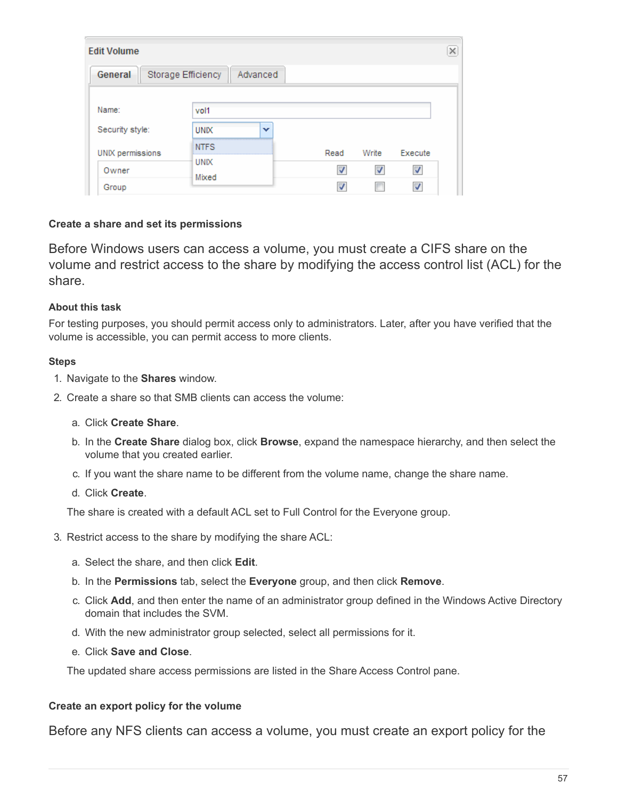| <b>Edit Volume</b> |                      |          |      |       |         |
|--------------------|----------------------|----------|------|-------|---------|
| General            | Storage Efficiency   | Advanced |      |       |         |
| Name:              | vol1                 |          |      |       |         |
| Security style:    | <b>UNIX</b>          | v        |      |       |         |
| UNIX permissions   | <b>NTFS</b>          |          | Read | Write | Execute |
| Owner              | <b>UNIX</b><br>Mixed |          |      | V     | √       |
| Group              |                      |          |      |       |         |

## **Create a share and set its permissions**

Before Windows users can access a volume, you must create a CIFS share on the volume and restrict access to the share by modifying the access control list (ACL) for the share.

#### **About this task**

For testing purposes, you should permit access only to administrators. Later, after you have verified that the volume is accessible, you can permit access to more clients.

#### **Steps**

- 1. Navigate to the **Shares** window.
- 2. Create a share so that SMB clients can access the volume:
	- a. Click **Create Share**.
	- b. In the **Create Share** dialog box, click **Browse**, expand the namespace hierarchy, and then select the volume that you created earlier.
	- c. If you want the share name to be different from the volume name, change the share name.
	- d. Click **Create**.

The share is created with a default ACL set to Full Control for the Everyone group.

- 3. Restrict access to the share by modifying the share ACL:
	- a. Select the share, and then click **Edit**.
	- b. In the **Permissions** tab, select the **Everyone** group, and then click **Remove**.
	- c. Click **Add**, and then enter the name of an administrator group defined in the Windows Active Directory domain that includes the SVM.
	- d. With the new administrator group selected, select all permissions for it.
	- e. Click **Save and Close**.

The updated share access permissions are listed in the Share Access Control pane.

#### **Create an export policy for the volume**

Before any NFS clients can access a volume, you must create an export policy for the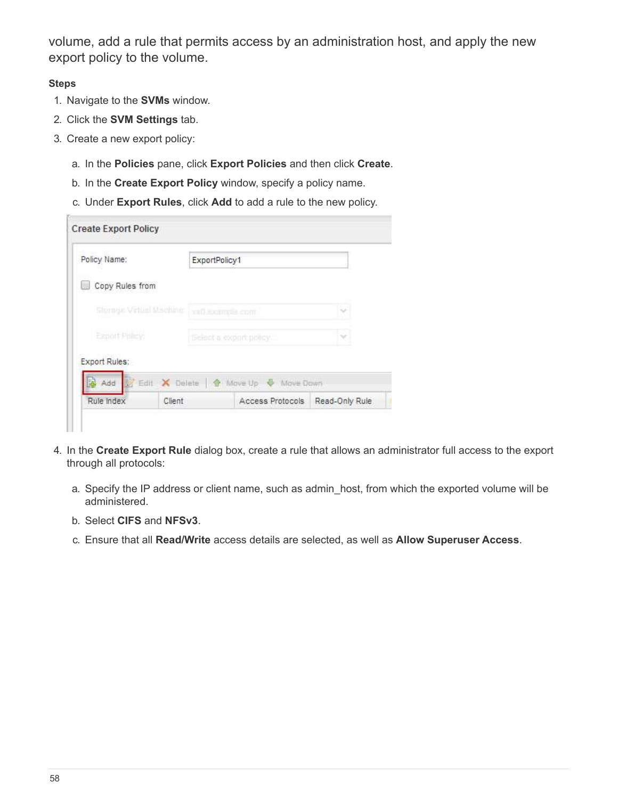volume, add a rule that permits access by an administration host, and apply the new export policy to the volume.

- 1. Navigate to the **SVMs** window.
- 2. Click the **SVM Settings** tab.
- 3. Create a new export policy:
	- a. In the **Policies** pane, click **Export Policies** and then click **Create**.
	- b. In the **Create Export Policy** window, specify a policy name.
	- c. Under **Export Rules**, click **Add** to add a rule to the new policy.

| Policy Name:           |        |                         | ExportPolicy1                         |                |  |
|------------------------|--------|-------------------------|---------------------------------------|----------------|--|
| Copy Rules from        |        |                         |                                       |                |  |
| Slorage Vetual Machine |        |                         | ya0. Excernally com?                  | w              |  |
| Export Pulley          |        | Select a export princy. |                                       |                |  |
| Export Rules:          |        |                         |                                       |                |  |
| Add<br>國               |        |                         | Edit X Delete   A Move Up & Move Down |                |  |
| Rule Index             | Client |                         | Access Protocols                      | Read-Only Rule |  |

- 4. In the **Create Export Rule** dialog box, create a rule that allows an administrator full access to the export through all protocols:
	- a. Specify the IP address or client name, such as admin\_host, from which the exported volume will be administered.
	- b. Select **CIFS** and **NFSv3**.
	- c. Ensure that all **Read/Write** access details are selected, as well as **Allow Superuser Access**.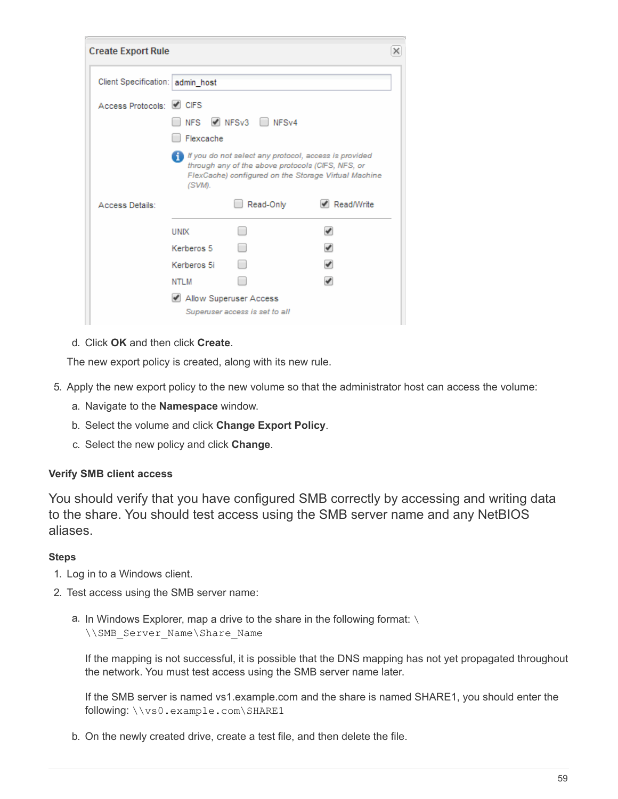| <b>Create Export Rule</b>        |             |                                                                                                            |                                                      | × |
|----------------------------------|-------------|------------------------------------------------------------------------------------------------------------|------------------------------------------------------|---|
| Client Specification: admin_host |             |                                                                                                            |                                                      |   |
| Access Protocols: 4 CIFS         |             |                                                                                                            |                                                      |   |
|                                  | Flexcache   | NFS V NFSv3 NFSv4                                                                                          |                                                      |   |
|                                  | (SVM).      | If you do not select any protocol, access is provided<br>through any of the above protocols (CIFS, NFS, or | FlexCache) configured on the Storage Virtual Machine |   |
| Access Details:                  |             | Read-Only                                                                                                  | ✔ Read/Write                                         |   |
|                                  | <b>UNIX</b> |                                                                                                            |                                                      |   |
|                                  | Kerberos 5  |                                                                                                            |                                                      |   |
|                                  | Kerberos 5i |                                                                                                            |                                                      |   |
|                                  | NTLM        |                                                                                                            |                                                      |   |
|                                  |             | Allow Superuser Access                                                                                     |                                                      |   |
|                                  |             | Superuser access is set to all                                                                             |                                                      |   |

d. Click **OK** and then click **Create**.

The new export policy is created, along with its new rule.

- 5. Apply the new export policy to the new volume so that the administrator host can access the volume:
	- a. Navigate to the **Namespace** window.
	- b. Select the volume and click **Change Export Policy**.
	- c. Select the new policy and click **Change**.

## **Verify SMB client access**

You should verify that you have configured SMB correctly by accessing and writing data to the share. You should test access using the SMB server name and any NetBIOS aliases.

#### **Steps**

- 1. Log in to a Windows client.
- 2. Test access using the SMB server name:
	- a. In Windows Explorer, map a drive to the share in the following format: \ \\SMB\_Server\_Name\Share\_Name

If the mapping is not successful, it is possible that the DNS mapping has not yet propagated throughout the network. You must test access using the SMB server name later.

If the SMB server is named vs1.example.com and the share is named SHARE1, you should enter the following: \\vs0.example.com\SHARE1

b. On the newly created drive, create a test file, and then delete the file.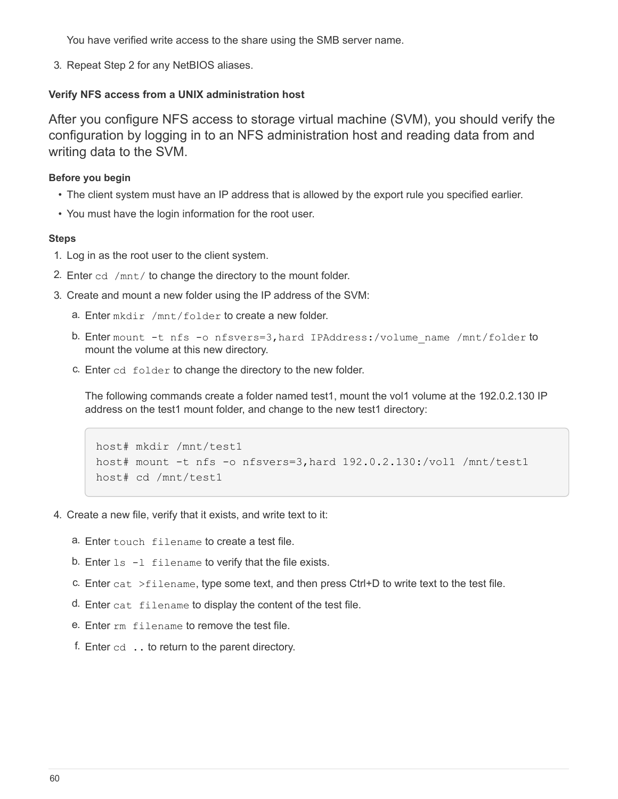You have verified write access to the share using the SMB server name.

3. Repeat Step 2 for any NetBIOS aliases.

#### **Verify NFS access from a UNIX administration host**

After you configure NFS access to storage virtual machine (SVM), you should verify the configuration by logging in to an NFS administration host and reading data from and writing data to the SVM.

#### **Before you begin**

- The client system must have an IP address that is allowed by the export rule you specified earlier.
- You must have the login information for the root user.

#### **Steps**

- 1. Log in as the root user to the client system.
- 2. Enter cd /mnt/ to change the directory to the mount folder.
- 3. Create and mount a new folder using the IP address of the SVM:
	- a. Enter mkdir /mnt/folder to create a new folder.
	- b. Enter mount -t nfs -o nfsvers=3, hard IPAddress:/volume name /mnt/folder to mount the volume at this new directory.
	- c. Enter cd folder to change the directory to the new folder.

The following commands create a folder named test1, mount the vol1 volume at the 192.0.2.130 IP address on the test1 mount folder, and change to the new test1 directory:

```
host# mkdir /mnt/test1
host# mount -t nfs -o nfsvers=3,hard 192.0.2.130:/vol1 /mnt/test1
host# cd /mnt/test1
```
- 4. Create a new file, verify that it exists, and write text to it:
	- a. Enter touch filename to create a test file.
	- b. Enter  $ls -l$  filename to verify that the file exists.
	- c. Enter cat  $>$ filename, type some text, and then press Ctrl+D to write text to the test file.
	- d. Enter cat filename to display the content of the test file.
	- e. Enter rm filename to remove the test file.
	- f. Enter  $cd$   $\ldots$  to return to the parent directory.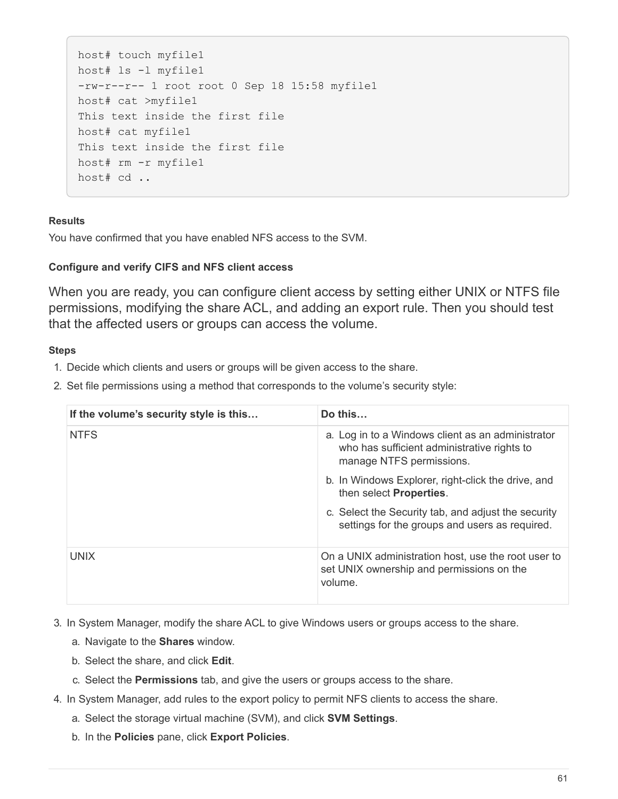```
host# touch myfile1
host# ls -l myfile1
-rw-r--r-- 1 root root 0 Sep 18 15:58 myfile1
host# cat >myfile1
This text inside the first file
host# cat myfile1
This text inside the first file
host# rm -r myfile1
host# cd ..
```
#### **Results**

You have confirmed that you have enabled NFS access to the SVM.

## **Configure and verify CIFS and NFS client access**

When you are ready, you can configure client access by setting either UNIX or NTFS file permissions, modifying the share ACL, and adding an export rule. Then you should test that the affected users or groups can access the volume.

#### **Steps**

- 1. Decide which clients and users or groups will be given access to the share.
- 2. Set file permissions using a method that corresponds to the volume's security style:

| If the volume's security style is this | Do this                                                                                                                      |
|----------------------------------------|------------------------------------------------------------------------------------------------------------------------------|
| <b>NTFS</b>                            | a. Log in to a Windows client as an administrator<br>who has sufficient administrative rights to<br>manage NTFS permissions. |
|                                        | b. In Windows Explorer, right-click the drive, and<br>then select <b>Properties</b> .                                        |
|                                        | c. Select the Security tab, and adjust the security<br>settings for the groups and users as required.                        |
| <b>UNIX</b>                            | On a UNIX administration host, use the root user to<br>set UNIX ownership and permissions on the<br>volume.                  |

3. In System Manager, modify the share ACL to give Windows users or groups access to the share.

- a. Navigate to the **Shares** window.
- b. Select the share, and click **Edit**.
- c. Select the **Permissions** tab, and give the users or groups access to the share.
- 4. In System Manager, add rules to the export policy to permit NFS clients to access the share.
	- a. Select the storage virtual machine (SVM), and click **SVM Settings**.
	- b. In the **Policies** pane, click **Export Policies**.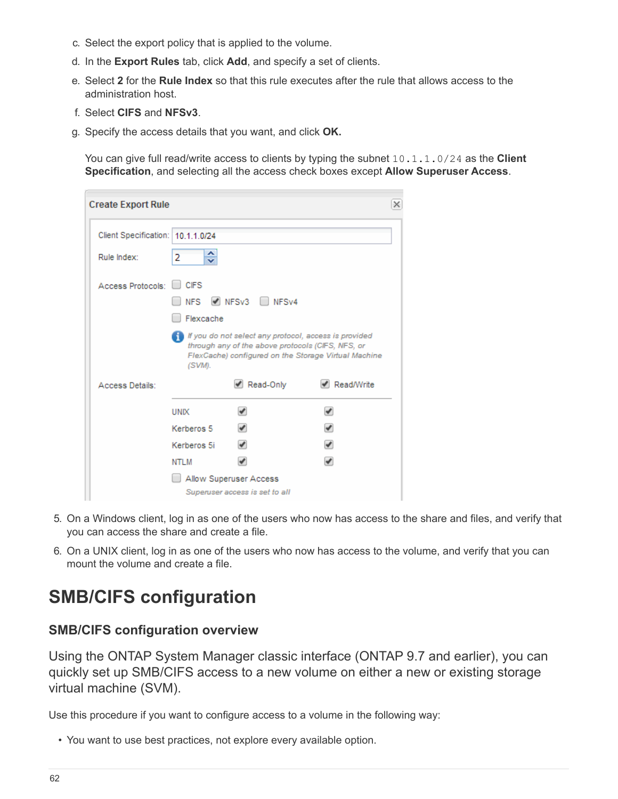- c. Select the export policy that is applied to the volume.
- d. In the **Export Rules** tab, click **Add**, and specify a set of clients.
- e. Select **2** for the **Rule Index** so that this rule executes after the rule that allows access to the administration host.
- f. Select **CIFS** and **NFSv3**.
- g. Specify the access details that you want, and click **OK.**

You can give full read/write access to clients by typing the subnet 10.1.1.0/24 as the **Client Specification**, and selecting all the access check boxes except **Allow Superuser Access**.

| <b>Create Export Rule</b>         |                         |                                                   |                                                                                                               | x |
|-----------------------------------|-------------------------|---------------------------------------------------|---------------------------------------------------------------------------------------------------------------|---|
| Client Specification: 10.1.1.0/24 |                         |                                                   |                                                                                                               |   |
| Rule Index:                       | ≎<br>2                  |                                                   |                                                                                                               |   |
| Access Protocols:                 | <b>CIFS</b>             |                                                   |                                                                                                               |   |
|                                   | <b>NFS</b><br>Flexcache | $\triangledown$ NFSv3 NFSv4                       |                                                                                                               |   |
|                                   | (SVM).                  | through any of the above protocols (CIFS, NFS, or | If you do not select any protocol, access is provided<br>FlexCache) configured on the Storage Virtual Machine |   |
| Access Details:                   |                         | Read-Only                                         | Read/Write                                                                                                    |   |
|                                   | <b>UNIX</b>             |                                                   |                                                                                                               |   |
|                                   | Kerberos 5              |                                                   |                                                                                                               |   |
|                                   | Kerberos 5i             |                                                   | $\overline{\mathscr{I}}$                                                                                      |   |
|                                   | NTLM                    |                                                   | v                                                                                                             |   |
|                                   |                         | Allow Superuser Access                            |                                                                                                               |   |
|                                   |                         | Superuser access is set to all                    |                                                                                                               |   |

- 5. On a Windows client, log in as one of the users who now has access to the share and files, and verify that you can access the share and create a file.
- 6. On a UNIX client, log in as one of the users who now has access to the volume, and verify that you can mount the volume and create a file.

# **SMB/CIFS configuration**

# **SMB/CIFS configuration overview**

Using the ONTAP System Manager classic interface (ONTAP 9.7 and earlier), you can quickly set up SMB/CIFS access to a new volume on either a new or existing storage virtual machine (SVM).

Use this procedure if you want to configure access to a volume in the following way:

• You want to use best practices, not explore every available option.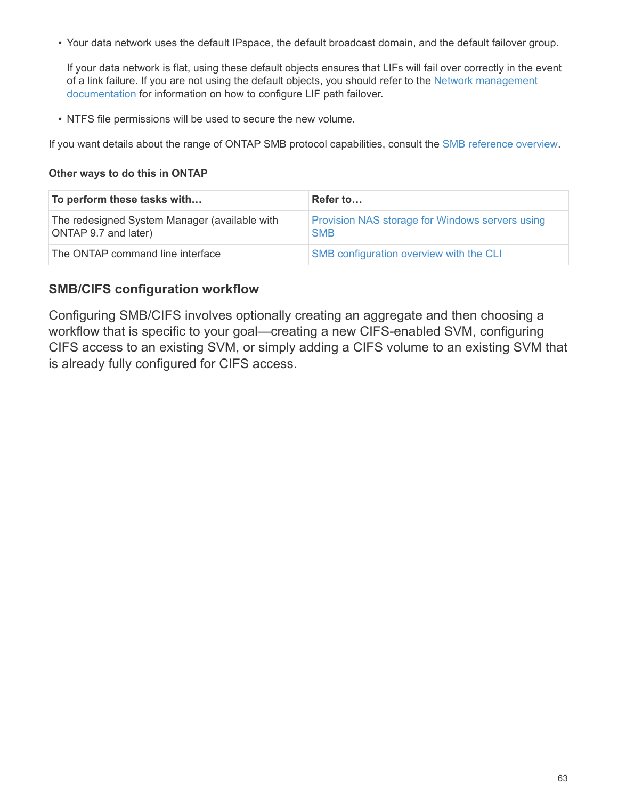• Your data network uses the default IPspace, the default broadcast domain, and the default failover group.

If your data network is flat, using these default objects ensures that LIFs will fail over correctly in the event of a link failure. If you are not using the default objects, you should refer to the [Network management](https://docs.netapp.com/us-en/ontap/networking/index.html) [documentation](https://docs.netapp.com/us-en/ontap/networking/index.html) for information on how to configure LIF path failover.

• NTFS file permissions will be used to secure the new volume.

If you want details about the range of ONTAP SMB protocol capabilities, consult the [SMB reference overview.](https://docs.netapp.com/us-en/ontap/smb-admin/index.html)

#### **Other ways to do this in ONTAP**

| To perform these tasks with                                           | Refer to                                                             |
|-----------------------------------------------------------------------|----------------------------------------------------------------------|
| The redesigned System Manager (available with<br>ONTAP 9.7 and later) | <b>Provision NAS storage for Windows servers using</b><br><b>SMB</b> |
| The ONTAP command line interface                                      | SMB configuration overview with the CLI                              |

# **SMB/CIFS configuration workflow**

Configuring SMB/CIFS involves optionally creating an aggregate and then choosing a workflow that is specific to your goal—creating a new CIFS-enabled SVM, configuring CIFS access to an existing SVM, or simply adding a CIFS volume to an existing SVM that is already fully configured for CIFS access.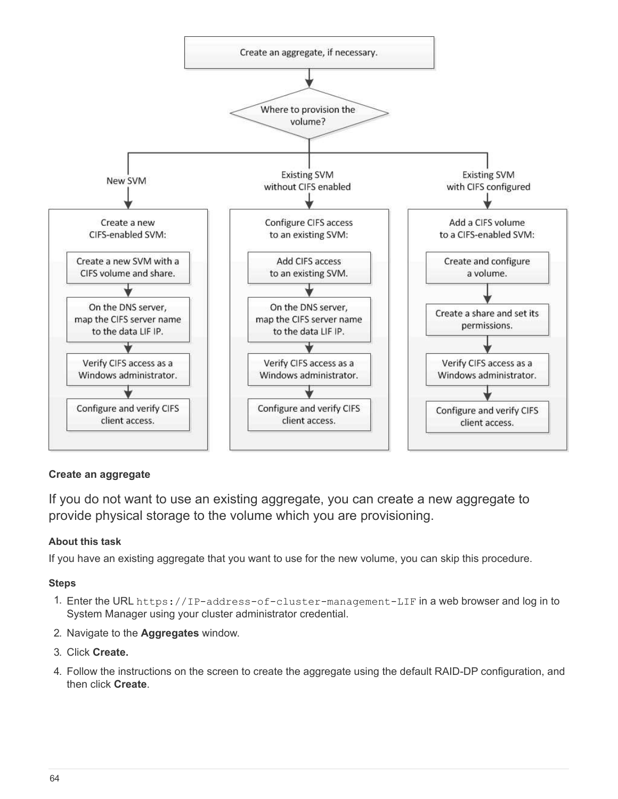

# **Create an aggregate**

If you do not want to use an existing aggregate, you can create a new aggregate to provide physical storage to the volume which you are provisioning.

## **About this task**

If you have an existing aggregate that you want to use for the new volume, you can skip this procedure.

- 1. Enter the URL https://IP-address-of-cluster-management-LIF in a web browser and log in to System Manager using your cluster administrator credential.
- 2. Navigate to the **Aggregates** window.
- 3. Click **Create.**
- 4. Follow the instructions on the screen to create the aggregate using the default RAID-DP configuration, and then click **Create**.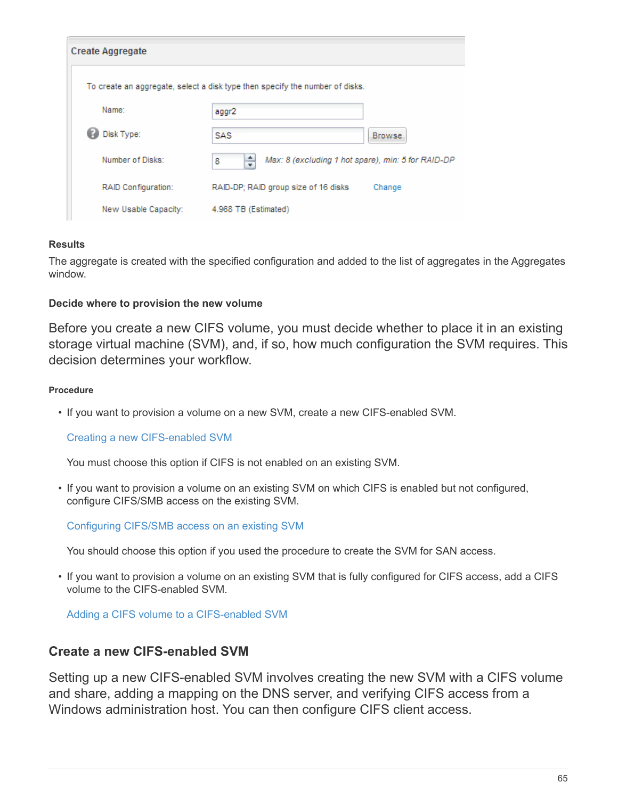| <b>Create Aggregate</b> |                                                                              |
|-------------------------|------------------------------------------------------------------------------|
|                         | To create an aggregate, select a disk type then specify the number of disks. |
| Name:                   | aggr2                                                                        |
| Disk Type:              | SAS<br><b>Browse</b>                                                         |
| Number of Disks:        | ÷<br>Max: 8 (excluding 1 hot spare), min: 5 for RAID-DP<br>8                 |
| RAID Configuration:     | RAID-DP; RAID group size of 16 disks<br>Change                               |
| New Usable Capacity:    | 4.968 TB (Estimated)                                                         |

## **Results**

The aggregate is created with the specified configuration and added to the list of aggregates in the Aggregates window.

## **Decide where to provision the new volume**

Before you create a new CIFS volume, you must decide whether to place it in an existing storage virtual machine (SVM), and, if so, how much configuration the SVM requires. This decision determines your workflow.

#### **Procedure**

• If you want to provision a volume on a new SVM, create a new CIFS-enabled SVM.

#### [Creating a new CIFS-enabled SVM](#page-66-0)

You must choose this option if CIFS is not enabled on an existing SVM.

• If you want to provision a volume on an existing SVM on which CIFS is enabled but not configured, configure CIFS/SMB access on the existing SVM.

[Configuring CIFS/SMB access on an existing SVM](#page-72-0)

You should choose this option if you used the procedure to create the SVM for SAN access.

• If you want to provision a volume on an existing SVM that is fully configured for CIFS access, add a CIFS volume to the CIFS-enabled SVM.

[Adding a CIFS volume to a CIFS-enabled SVM](#page-75-0)

# <span id="page-66-0"></span>**Create a new CIFS-enabled SVM**

Setting up a new CIFS-enabled SVM involves creating the new SVM with a CIFS volume and share, adding a mapping on the DNS server, and verifying CIFS access from a Windows administration host. You can then configure CIFS client access.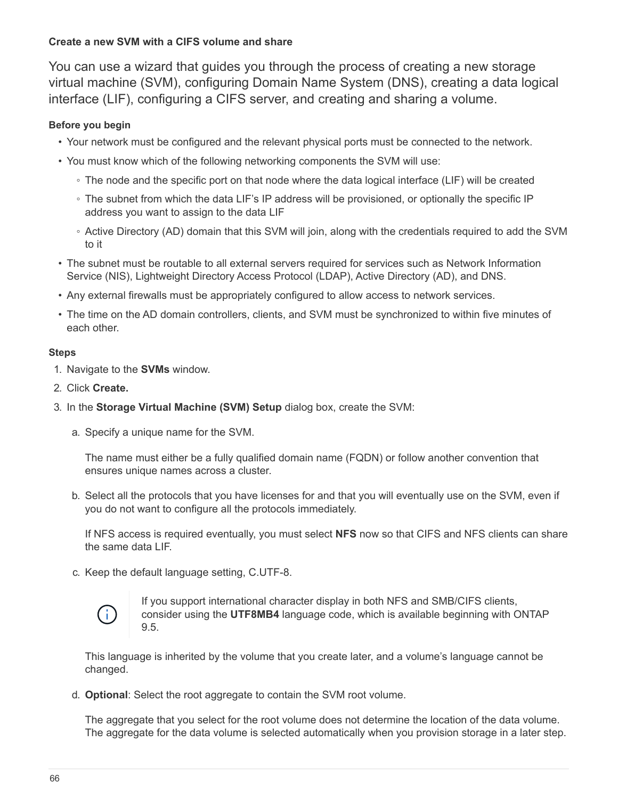## **Create a new SVM with a CIFS volume and share**

You can use a wizard that guides you through the process of creating a new storage virtual machine (SVM), configuring Domain Name System (DNS), creating a data logical interface (LIF), configuring a CIFS server, and creating and sharing a volume.

## **Before you begin**

- Your network must be configured and the relevant physical ports must be connected to the network.
- You must know which of the following networking components the SVM will use:
	- The node and the specific port on that node where the data logical interface (LIF) will be created
	- The subnet from which the data LIF's IP address will be provisioned, or optionally the specific IP address you want to assign to the data LIF
	- Active Directory (AD) domain that this SVM will join, along with the credentials required to add the SVM to it
- The subnet must be routable to all external servers required for services such as Network Information Service (NIS), Lightweight Directory Access Protocol (LDAP), Active Directory (AD), and DNS.
- Any external firewalls must be appropriately configured to allow access to network services.
- The time on the AD domain controllers, clients, and SVM must be synchronized to within five minutes of each other.

#### **Steps**

- 1. Navigate to the **SVMs** window.
- 2. Click **Create.**
- 3. In the **Storage Virtual Machine (SVM) Setup** dialog box, create the SVM:
	- a. Specify a unique name for the SVM.

The name must either be a fully qualified domain name (FQDN) or follow another convention that ensures unique names across a cluster.

b. Select all the protocols that you have licenses for and that you will eventually use on the SVM, even if you do not want to configure all the protocols immediately.

If NFS access is required eventually, you must select **NFS** now so that CIFS and NFS clients can share the same data LIF.

c. Keep the default language setting, C.UTF-8.



If you support international character display in both NFS and SMB/CIFS clients, consider using the **UTF8MB4** language code, which is available beginning with ONTAP 9.5.

This language is inherited by the volume that you create later, and a volume's language cannot be changed.

d. **Optional**: Select the root aggregate to contain the SVM root volume.

The aggregate that you select for the root volume does not determine the location of the data volume. The aggregate for the data volume is selected automatically when you provision storage in a later step.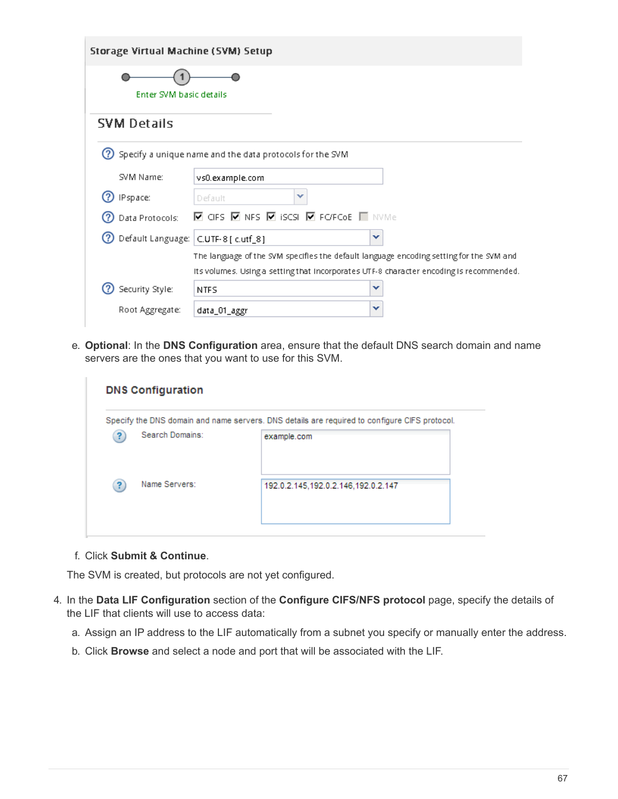| Storage Virtual Machine (SVM) Setup      |                                                                                                        |
|------------------------------------------|--------------------------------------------------------------------------------------------------------|
| Enter SVM basic details                  |                                                                                                        |
| <b>SVM Details</b>                       |                                                                                                        |
| (?)                                      | Specify a unique name and the data protocols for the SVM                                               |
| SVM Name:                                | vs0.example.com                                                                                        |
| IPspace:                                 | ×<br>Default                                                                                           |
| Data Protocols:                          | $\blacksquare$ CIFS $\blacksquare$ NFS $\blacksquare$ ISCSI $\blacksquare$ FO'FCoE $\blacksquare$ NVMe |
| 2 Default Language:   C.UTF-8 [ c.utf_8] | v                                                                                                      |
|                                          | The language of the SVM specifies the default language encoding setting for the SVM and                |
|                                          | Its volumes. Using a setting that incorporates UTF-8 character encoding is recommended.                |
| Security Style:                          | v<br><b>NTFS</b>                                                                                       |
| Root Aggregate:                          | v<br>data_01_aggr                                                                                      |

e. **Optional**: In the **DNS Configuration** area, ensure that the default DNS search domain and name servers are the ones that you want to use for this SVM.

|   |                 | Specify the DNS domain and name servers. DNS details are required to configure CIFS protocol. |
|---|-----------------|-----------------------------------------------------------------------------------------------|
|   | Search Domains: | example.com                                                                                   |
| ? | Name Servers:   | 192.0.2.145,192.0.2.146,192.0.2.147                                                           |

f. Click **Submit & Continue**.

The SVM is created, but protocols are not yet configured.

- 4. In the **Data LIF Configuration** section of the **Configure CIFS/NFS protocol** page, specify the details of the LIF that clients will use to access data:
	- a. Assign an IP address to the LIF automatically from a subnet you specify or manually enter the address.
	- b. Click **Browse** and select a node and port that will be associated with the LIF.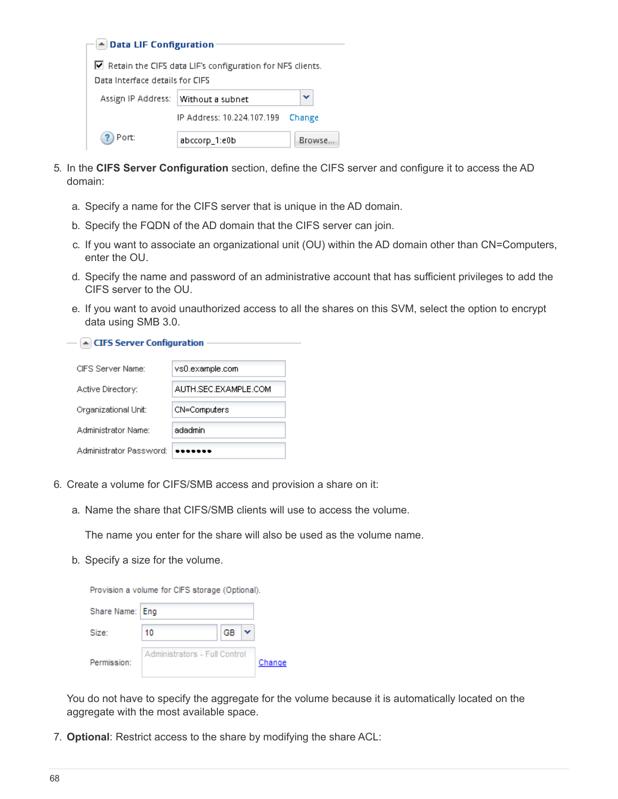| A Data LIF Configuration                                  |                            |               |  |  |  |
|-----------------------------------------------------------|----------------------------|---------------|--|--|--|
|                                                           |                            |               |  |  |  |
| Retain the CIFS data LIF's configuration for NFS clients. |                            |               |  |  |  |
| Data Interface details for CIFS                           |                            |               |  |  |  |
| Assign IP Address:                                        | Without a subnet           |               |  |  |  |
|                                                           | IP Address: 10.224.107.199 | Change        |  |  |  |
| Port:                                                     | abccorp_1:e0b              | <b>Browse</b> |  |  |  |

- 5. In the **CIFS Server Configuration** section, define the CIFS server and configure it to access the AD domain:
	- a. Specify a name for the CIFS server that is unique in the AD domain.
	- b. Specify the FQDN of the AD domain that the CIFS server can join.
	- c. If you want to associate an organizational unit (OU) within the AD domain other than CN=Computers, enter the OU.
	- d. Specify the name and password of an administrative account that has sufficient privileges to add the CIFS server to the OU.
	- e. If you want to avoid unauthorized access to all the shares on this SVM, select the option to encrypt data using SMB 3.0.

 $\boxed{\blacktriangle}$  CIFS Server Configuration -

| CIES Server Name:       | vs0.example.com      |
|-------------------------|----------------------|
| Active Directory:       | AUTH SEC EXAMPLE COM |
| Organizational Unit:    | CN=Computers         |
| Administrator Name:     | adadmin              |
| Administrator Password: |                      |

- 6. Create a volume for CIFS/SMB access and provision a share on it:
	- a. Name the share that CIFS/SMB clients will use to access the volume.

The name you enter for the share will also be used as the volume name.

b. Specify a size for the volume.

|                 | Provision a volume for CIFS storage (Optional). |    |  |        |
|-----------------|-------------------------------------------------|----|--|--------|
| Share Name: Eng |                                                 |    |  |        |
| Size:           | 10                                              | GB |  |        |
| Permission:     | Administrators - Full Control                   |    |  | Change |

You do not have to specify the aggregate for the volume because it is automatically located on the aggregate with the most available space.

7. **Optional**: Restrict access to the share by modifying the share ACL: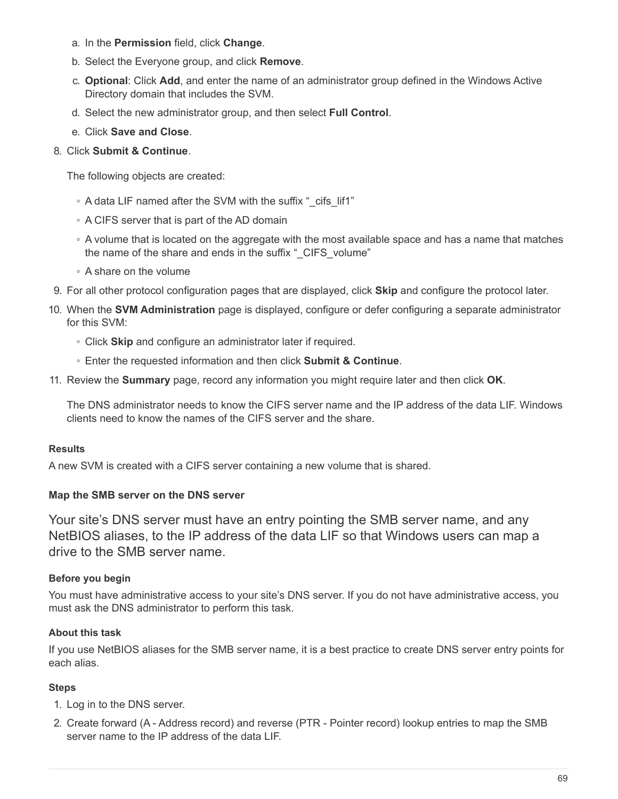- a. In the **Permission** field, click **Change**.
- b. Select the Everyone group, and click **Remove**.
- c. **Optional**: Click **Add**, and enter the name of an administrator group defined in the Windows Active Directory domain that includes the SVM.
- d. Select the new administrator group, and then select **Full Control**.
- e. Click **Save and Close**.

# 8. Click **Submit & Continue**.

The following objects are created:

- A data LIF named after the SVM with the suffix "\_cifs\_lif1"
- A CIFS server that is part of the AD domain
- A volume that is located on the aggregate with the most available space and has a name that matches the name of the share and ends in the suffix " CIFS volume"
- A share on the volume
- 9. For all other protocol configuration pages that are displayed, click **Skip** and configure the protocol later.
- 10. When the **SVM Administration** page is displayed, configure or defer configuring a separate administrator for this SVM:
	- Click **Skip** and configure an administrator later if required.
	- Enter the requested information and then click **Submit & Continue**.
- 11. Review the **Summary** page, record any information you might require later and then click **OK**.

The DNS administrator needs to know the CIFS server name and the IP address of the data LIF. Windows clients need to know the names of the CIFS server and the share.

## **Results**

A new SVM is created with a CIFS server containing a new volume that is shared.

## **Map the SMB server on the DNS server**

Your site's DNS server must have an entry pointing the SMB server name, and any NetBIOS aliases, to the IP address of the data LIF so that Windows users can map a drive to the SMB server name.

## **Before you begin**

You must have administrative access to your site's DNS server. If you do not have administrative access, you must ask the DNS administrator to perform this task.

#### **About this task**

If you use NetBIOS aliases for the SMB server name, it is a best practice to create DNS server entry points for each alias.

- 1. Log in to the DNS server.
- 2. Create forward (A Address record) and reverse (PTR Pointer record) lookup entries to map the SMB server name to the IP address of the data LIF.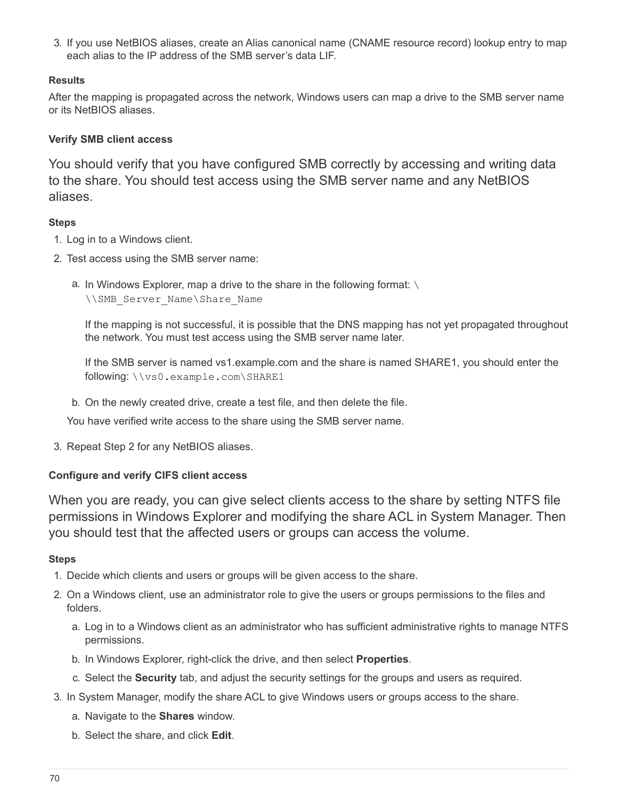3. If you use NetBIOS aliases, create an Alias canonical name (CNAME resource record) lookup entry to map each alias to the IP address of the SMB server's data LIF.

## **Results**

After the mapping is propagated across the network, Windows users can map a drive to the SMB server name or its NetBIOS aliases.

## **Verify SMB client access**

You should verify that you have configured SMB correctly by accessing and writing data to the share. You should test access using the SMB server name and any NetBIOS aliases.

## **Steps**

- 1. Log in to a Windows client.
- 2. Test access using the SMB server name:
	- a. In Windows Explorer, map a drive to the share in the following format: \
		- \\SMB\_Server\_Name\Share\_Name

If the mapping is not successful, it is possible that the DNS mapping has not yet propagated throughout the network. You must test access using the SMB server name later.

If the SMB server is named vs1.example.com and the share is named SHARE1, you should enter the following: \\vs0.example.com\SHARE1

b. On the newly created drive, create a test file, and then delete the file.

You have verified write access to the share using the SMB server name.

3. Repeat Step 2 for any NetBIOS aliases.

## **Configure and verify CIFS client access**

When you are ready, you can give select clients access to the share by setting NTFS file permissions in Windows Explorer and modifying the share ACL in System Manager. Then you should test that the affected users or groups can access the volume.

- 1. Decide which clients and users or groups will be given access to the share.
- 2. On a Windows client, use an administrator role to give the users or groups permissions to the files and folders.
	- a. Log in to a Windows client as an administrator who has sufficient administrative rights to manage NTFS permissions.
	- b. In Windows Explorer, right-click the drive, and then select **Properties**.
	- c. Select the **Security** tab, and adjust the security settings for the groups and users as required.
- 3. In System Manager, modify the share ACL to give Windows users or groups access to the share.
	- a. Navigate to the **Shares** window.
	- b. Select the share, and click **Edit**.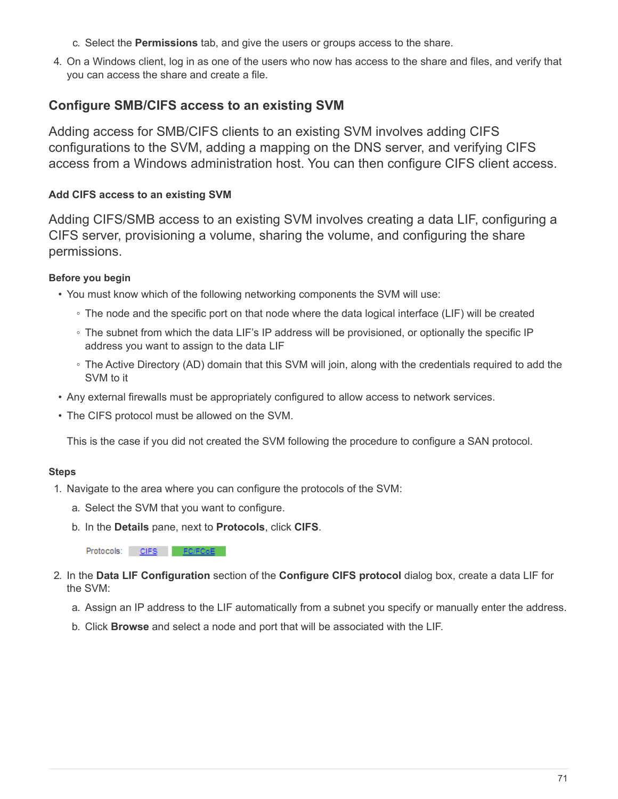- c. Select the **Permissions** tab, and give the users or groups access to the share.
- 4. On a Windows client, log in as one of the users who now has access to the share and files, and verify that you can access the share and create a file.

# **Configure SMB/CIFS access to an existing SVM**

Adding access for SMB/CIFS clients to an existing SVM involves adding CIFS configurations to the SVM, adding a mapping on the DNS server, and verifying CIFS access from a Windows administration host. You can then configure CIFS client access.

### **Add CIFS access to an existing SVM**

Adding CIFS/SMB access to an existing SVM involves creating a data LIF, configuring a CIFS server, provisioning a volume, sharing the volume, and configuring the share permissions.

### **Before you begin**

- You must know which of the following networking components the SVM will use:
	- The node and the specific port on that node where the data logical interface (LIF) will be created
	- The subnet from which the data LIF's IP address will be provisioned, or optionally the specific IP address you want to assign to the data LIF
	- The Active Directory (AD) domain that this SVM will join, along with the credentials required to add the SVM to it
- Any external firewalls must be appropriately configured to allow access to network services.
- The CIFS protocol must be allowed on the SVM.

This is the case if you did not created the SVM following the procedure to configure a SAN protocol.

### **Steps**

- 1. Navigate to the area where you can configure the protocols of the SVM:
	- a. Select the SVM that you want to configure.
	- b. In the **Details** pane, next to **Protocols**, click **CIFS**.

Protocols: CIFS FO/FCoE

- 2. In the **Data LIF Configuration** section of the **Configure CIFS protocol** dialog box, create a data LIF for the SVM:
	- a. Assign an IP address to the LIF automatically from a subnet you specify or manually enter the address.
	- b. Click **Browse** and select a node and port that will be associated with the LIF.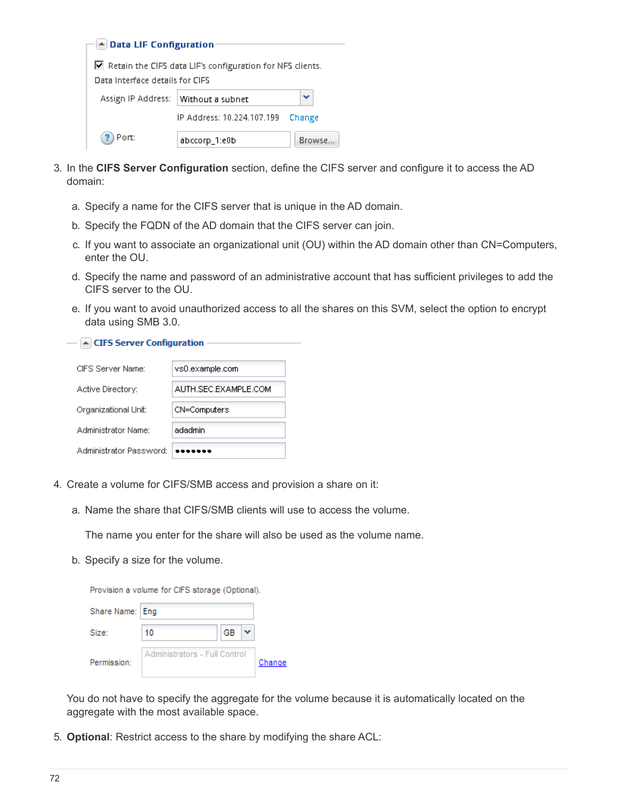| A Data LIF Configuration                                  |                            |               |  |  |  |
|-----------------------------------------------------------|----------------------------|---------------|--|--|--|
|                                                           |                            |               |  |  |  |
| Retain the CIFS data LIF's configuration for NFS clients. |                            |               |  |  |  |
| Data Interface details for CIFS                           |                            |               |  |  |  |
| Assign IP Address:                                        | Without a subnet           |               |  |  |  |
|                                                           | IP Address: 10.224.107.199 | Change        |  |  |  |
| Port:                                                     | abccorp_1:e0b              | <b>Browse</b> |  |  |  |

- 3. In the **CIFS Server Configuration** section, define the CIFS server and configure it to access the AD domain:
	- a. Specify a name for the CIFS server that is unique in the AD domain.
	- b. Specify the FQDN of the AD domain that the CIFS server can join.
	- c. If you want to associate an organizational unit (OU) within the AD domain other than CN=Computers, enter the OU.
	- d. Specify the name and password of an administrative account that has sufficient privileges to add the CIFS server to the OU.
	- e. If you want to avoid unauthorized access to all the shares on this SVM, select the option to encrypt data using SMB 3.0.

 $-\sqrt{2}$  CIFS Server Configuration -

| CIES Server Name:       | vs0.example.com      |
|-------------------------|----------------------|
| Active Directory:       | AUTH SEC EXAMPLE COM |
| Organizational Unit:    | CN=Computers         |
| Administrator Name:     | adadmin              |
| Administrator Password: |                      |

- 4. Create a volume for CIFS/SMB access and provision a share on it:
	- a. Name the share that CIFS/SMB clients will use to access the volume.

The name you enter for the share will also be used as the volume name.

b. Specify a size for the volume.

|                 | Provision a volume for CIFS storage (Optional). |    |        |
|-----------------|-------------------------------------------------|----|--------|
| Share Name: Eng |                                                 |    |        |
| Size:           | 10                                              | GВ |        |
| Permission:     | Administrators - Full Control                   |    | Change |

You do not have to specify the aggregate for the volume because it is automatically located on the aggregate with the most available space.

5. **Optional**: Restrict access to the share by modifying the share ACL: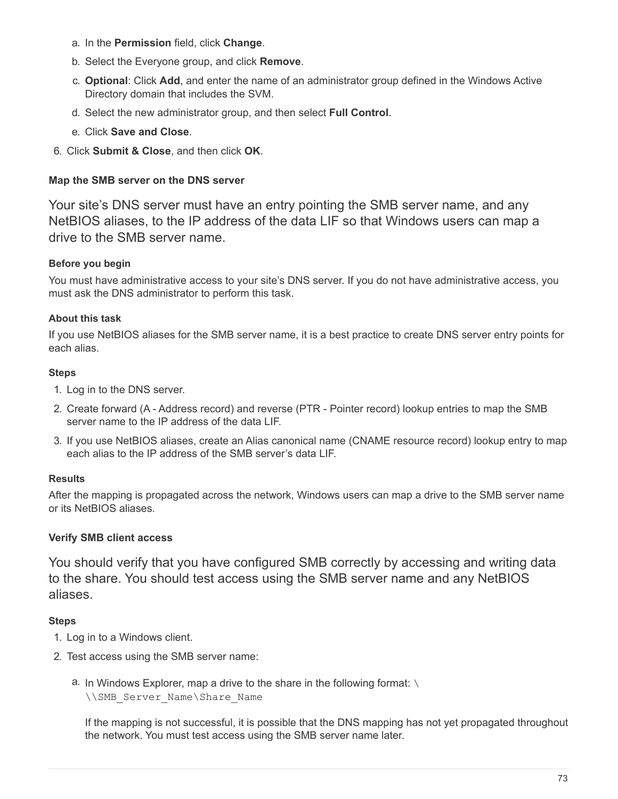- a. In the **Permission** field, click **Change**.
- b. Select the Everyone group, and click **Remove**.
- c. **Optional**: Click **Add**, and enter the name of an administrator group defined in the Windows Active Directory domain that includes the SVM.
- d. Select the new administrator group, and then select **Full Control**.
- e. Click **Save and Close**.
- 6. Click **Submit & Close**, and then click **OK**.

### **Map the SMB server on the DNS server**

Your site's DNS server must have an entry pointing the SMB server name, and any NetBIOS aliases, to the IP address of the data LIF so that Windows users can map a drive to the SMB server name.

### **Before you begin**

You must have administrative access to your site's DNS server. If you do not have administrative access, you must ask the DNS administrator to perform this task.

#### **About this task**

If you use NetBIOS aliases for the SMB server name, it is a best practice to create DNS server entry points for each alias.

#### **Steps**

- 1. Log in to the DNS server.
- 2. Create forward (A Address record) and reverse (PTR Pointer record) lookup entries to map the SMB server name to the IP address of the data LIF.
- 3. If you use NetBIOS aliases, create an Alias canonical name (CNAME resource record) lookup entry to map each alias to the IP address of the SMB server's data LIF.

### **Results**

After the mapping is propagated across the network, Windows users can map a drive to the SMB server name or its NetBIOS aliases.

### **Verify SMB client access**

You should verify that you have configured SMB correctly by accessing and writing data to the share. You should test access using the SMB server name and any NetBIOS aliases.

### **Steps**

- 1. Log in to a Windows client.
- 2. Test access using the SMB server name:
	- a. In Windows Explorer, map a drive to the share in the following format: \
		- \\SMB\_Server\_Name\Share\_Name

If the mapping is not successful, it is possible that the DNS mapping has not yet propagated throughout the network. You must test access using the SMB server name later.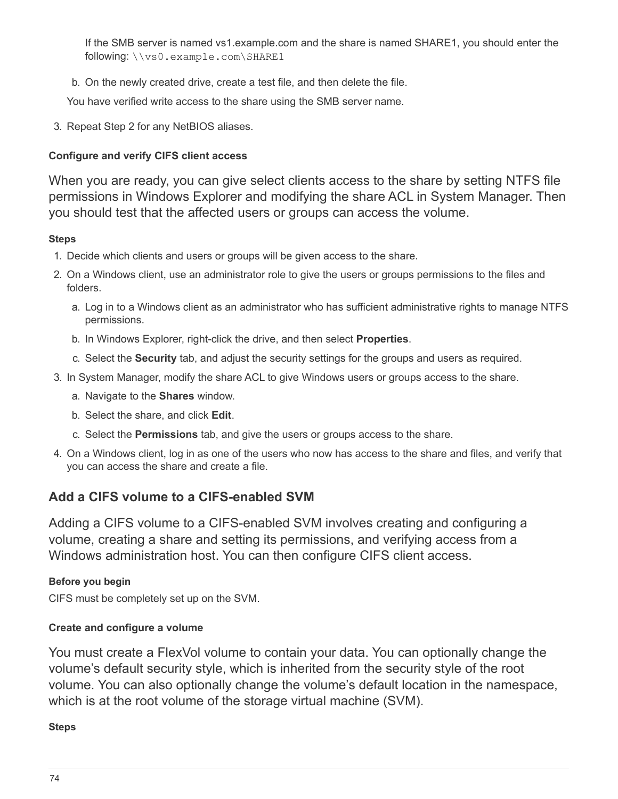If the SMB server is named vs1.example.com and the share is named SHARE1, you should enter the following: \\vs0.example.com\SHARE1

b. On the newly created drive, create a test file, and then delete the file.

You have verified write access to the share using the SMB server name.

3. Repeat Step 2 for any NetBIOS aliases.

# **Configure and verify CIFS client access**

When you are ready, you can give select clients access to the share by setting NTFS file permissions in Windows Explorer and modifying the share ACL in System Manager. Then you should test that the affected users or groups can access the volume.

## **Steps**

- 1. Decide which clients and users or groups will be given access to the share.
- 2. On a Windows client, use an administrator role to give the users or groups permissions to the files and folders.
	- a. Log in to a Windows client as an administrator who has sufficient administrative rights to manage NTFS permissions.
	- b. In Windows Explorer, right-click the drive, and then select **Properties**.
	- c. Select the **Security** tab, and adjust the security settings for the groups and users as required.
- 3. In System Manager, modify the share ACL to give Windows users or groups access to the share.
	- a. Navigate to the **Shares** window.
	- b. Select the share, and click **Edit**.
	- c. Select the **Permissions** tab, and give the users or groups access to the share.
- 4. On a Windows client, log in as one of the users who now has access to the share and files, and verify that you can access the share and create a file.

# **Add a CIFS volume to a CIFS-enabled SVM**

Adding a CIFS volume to a CIFS-enabled SVM involves creating and configuring a volume, creating a share and setting its permissions, and verifying access from a Windows administration host. You can then configure CIFS client access.

# **Before you begin**

CIFS must be completely set up on the SVM.

# **Create and configure a volume**

You must create a FlexVol volume to contain your data. You can optionally change the volume's default security style, which is inherited from the security style of the root volume. You can also optionally change the volume's default location in the namespace, which is at the root volume of the storage virtual machine (SVM).

### **Steps**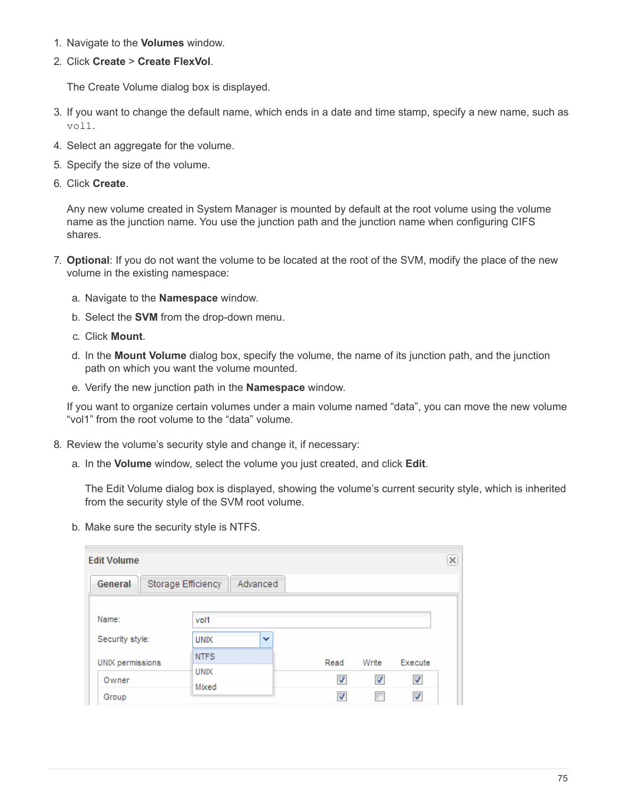- 1. Navigate to the **Volumes** window.
- 2. Click **Create** > **Create FlexVol**.

The Create Volume dialog box is displayed.

- 3. If you want to change the default name, which ends in a date and time stamp, specify a new name, such as vol1.
- 4. Select an aggregate for the volume.
- 5. Specify the size of the volume.
- 6. Click **Create**.

Any new volume created in System Manager is mounted by default at the root volume using the volume name as the junction name. You use the junction path and the junction name when configuring CIFS shares.

- 7. **Optional**: If you do not want the volume to be located at the root of the SVM, modify the place of the new volume in the existing namespace:
	- a. Navigate to the **Namespace** window.
	- b. Select the **SVM** from the drop-down menu.
	- c. Click **Mount**.
	- d. In the **Mount Volume** dialog box, specify the volume, the name of its junction path, and the junction path on which you want the volume mounted.
	- e. Verify the new junction path in the **Namespace** window.

If you want to organize certain volumes under a main volume named "data", you can move the new volume "vol1" from the root volume to the "data" volume.

- 8. Review the volume's security style and change it, if necessary:
	- a. In the **Volume** window, select the volume you just created, and click **Edit**.

The Edit Volume dialog box is displayed, showing the volume's current security style, which is inherited from the security style of the SVM root volume.

b. Make sure the security style is NTFS.

| <b>Edit Volume</b>                        |                      |   |      |       |         | × |
|-------------------------------------------|----------------------|---|------|-------|---------|---|
| General<br>Storage Efficiency<br>Advanced |                      |   |      |       |         |   |
| Name:                                     | vol1                 |   |      |       |         |   |
| Security style:                           | <b>UNIX</b>          | v |      |       |         |   |
| UNIX permissions                          | <b>NTFS</b><br>.     |   | Read | Write | Execute |   |
| Owner                                     | <b>UNIX</b><br>Mixed |   |      |       | V       |   |
| Group                                     |                      |   |      |       | V       |   |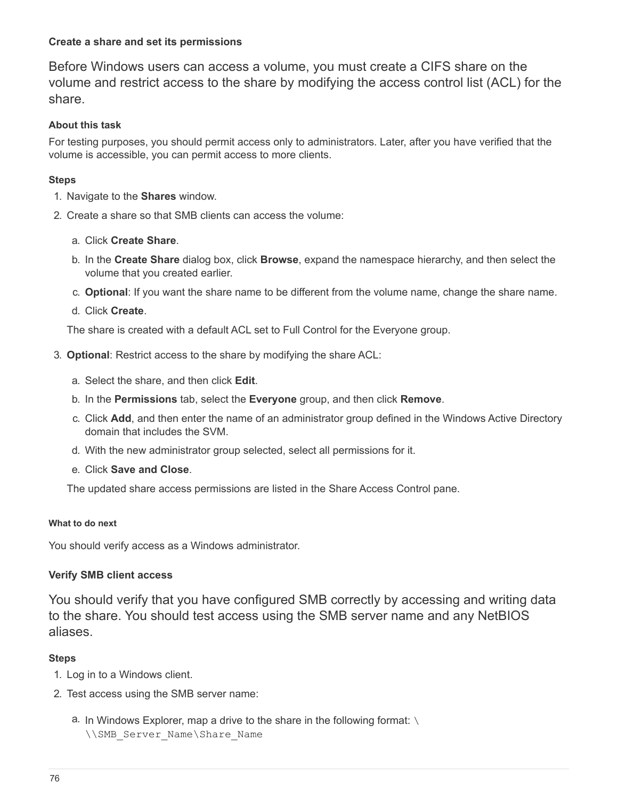### **Create a share and set its permissions**

Before Windows users can access a volume, you must create a CIFS share on the volume and restrict access to the share by modifying the access control list (ACL) for the share.

#### **About this task**

For testing purposes, you should permit access only to administrators. Later, after you have verified that the volume is accessible, you can permit access to more clients.

#### **Steps**

- 1. Navigate to the **Shares** window.
- 2. Create a share so that SMB clients can access the volume:
	- a. Click **Create Share**.
	- b. In the **Create Share** dialog box, click **Browse**, expand the namespace hierarchy, and then select the volume that you created earlier.
	- c. **Optional**: If you want the share name to be different from the volume name, change the share name.
	- d. Click **Create**.

The share is created with a default ACL set to Full Control for the Everyone group.

- 3. **Optional**: Restrict access to the share by modifying the share ACL:
	- a. Select the share, and then click **Edit**.
	- b. In the **Permissions** tab, select the **Everyone** group, and then click **Remove**.
	- c. Click **Add**, and then enter the name of an administrator group defined in the Windows Active Directory domain that includes the SVM.
	- d. With the new administrator group selected, select all permissions for it.
	- e. Click **Save and Close**.

The updated share access permissions are listed in the Share Access Control pane.

#### **What to do next**

You should verify access as a Windows administrator.

### **Verify SMB client access**

You should verify that you have configured SMB correctly by accessing and writing data to the share. You should test access using the SMB server name and any NetBIOS aliases.

### **Steps**

- 1. Log in to a Windows client.
- 2. Test access using the SMB server name:
	- a. In Windows Explorer, map a drive to the share in the following format: \ \\SMB\_Server\_Name\Share\_Name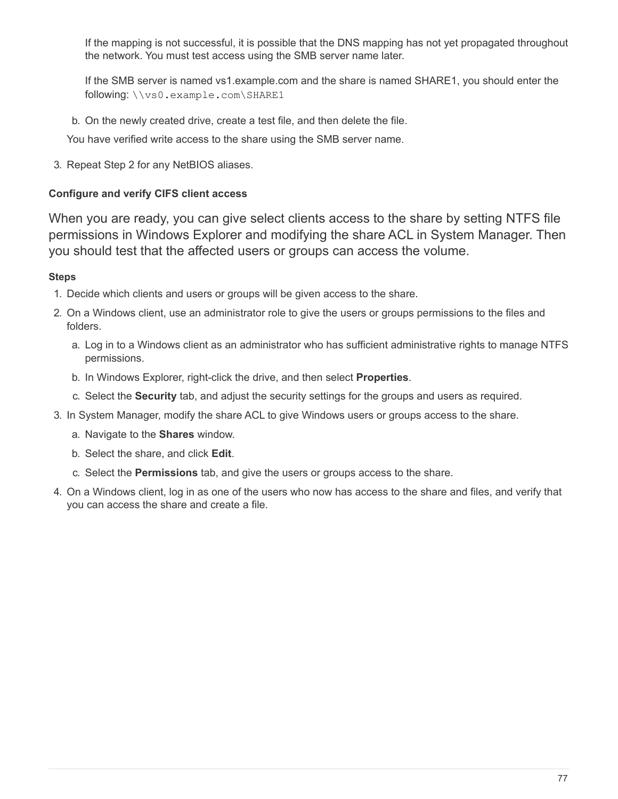If the mapping is not successful, it is possible that the DNS mapping has not yet propagated throughout the network. You must test access using the SMB server name later.

If the SMB server is named vs1.example.com and the share is named SHARE1, you should enter the following: \\vs0.example.com\SHARE1

b. On the newly created drive, create a test file, and then delete the file.

You have verified write access to the share using the SMB server name.

3. Repeat Step 2 for any NetBIOS aliases.

### **Configure and verify CIFS client access**

When you are ready, you can give select clients access to the share by setting NTFS file permissions in Windows Explorer and modifying the share ACL in System Manager. Then you should test that the affected users or groups can access the volume.

### **Steps**

- 1. Decide which clients and users or groups will be given access to the share.
- 2. On a Windows client, use an administrator role to give the users or groups permissions to the files and folders.
	- a. Log in to a Windows client as an administrator who has sufficient administrative rights to manage NTFS permissions.
	- b. In Windows Explorer, right-click the drive, and then select **Properties**.
	- c. Select the **Security** tab, and adjust the security settings for the groups and users as required.
- 3. In System Manager, modify the share ACL to give Windows users or groups access to the share.
	- a. Navigate to the **Shares** window.
	- b. Select the share, and click **Edit**.
	- c. Select the **Permissions** tab, and give the users or groups access to the share.
- 4. On a Windows client, log in as one of the users who now has access to the share and files, and verify that you can access the share and create a file.